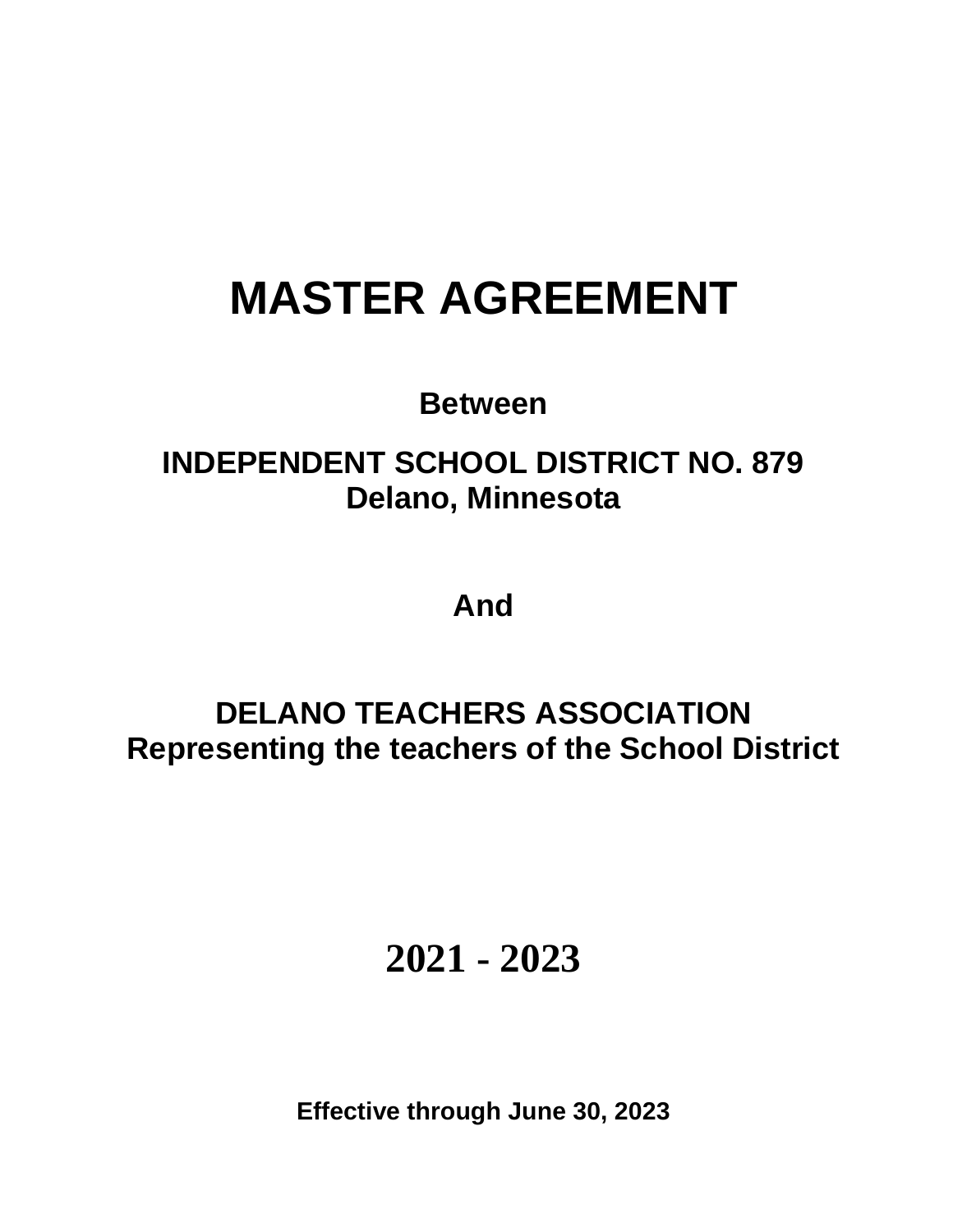# **MASTER AGREEMENT**

**Between**

# **INDEPENDENT SCHOOL DISTRICT NO. 879 Delano, Minnesota**

**And**

**DELANO TEACHERS ASSOCIATION Representing the teachers of the School District**

**2021 - 2023**

**Effective through June 30, 2023**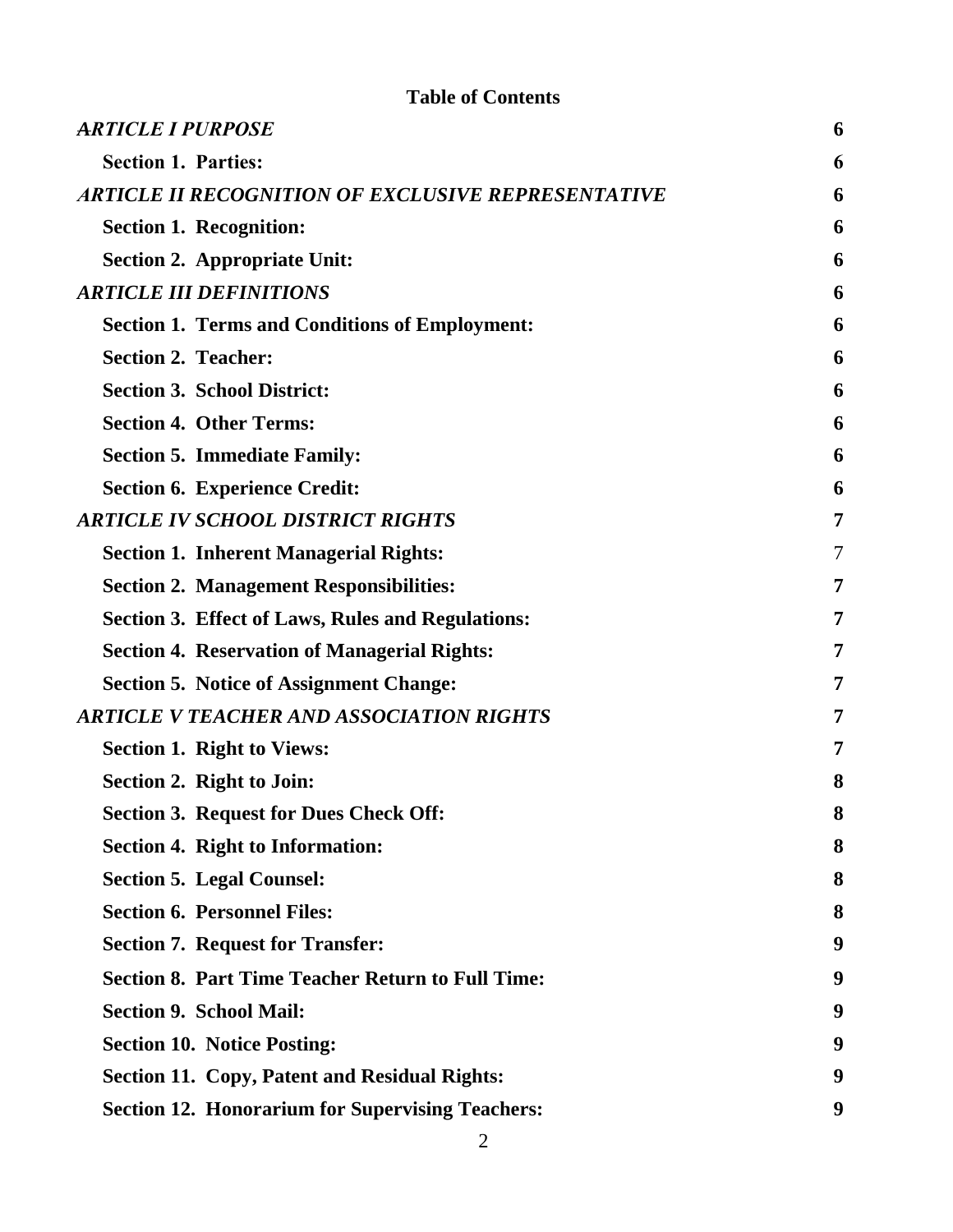# **Table of Contents**

| <b>ARTICLE I PURPOSE</b>                                  | 6 |
|-----------------------------------------------------------|---|
| <b>Section 1. Parties:</b>                                | 6 |
| <b>ARTICLE II RECOGNITION OF EXCLUSIVE REPRESENTATIVE</b> | 6 |
| <b>Section 1. Recognition:</b>                            | 6 |
| <b>Section 2. Appropriate Unit:</b>                       | 6 |
| <b>ARTICLE III DEFINITIONS</b>                            | 6 |
| <b>Section 1. Terms and Conditions of Employment:</b>     | 6 |
| <b>Section 2. Teacher:</b>                                | 6 |
| <b>Section 3. School District:</b>                        | 6 |
| <b>Section 4. Other Terms:</b>                            | 6 |
| <b>Section 5. Immediate Family:</b>                       | 6 |
| <b>Section 6. Experience Credit:</b>                      | 6 |
| <b>ARTICLE IV SCHOOL DISTRICT RIGHTS</b>                  | 7 |
| <b>Section 1. Inherent Managerial Rights:</b>             | 7 |
| <b>Section 2. Management Responsibilities:</b>            | 7 |
| Section 3. Effect of Laws, Rules and Regulations:         | 7 |
| <b>Section 4. Reservation of Managerial Rights:</b>       | 7 |
| <b>Section 5. Notice of Assignment Change:</b>            | 7 |
| <b>ARTICLE V TEACHER AND ASSOCIATION RIGHTS</b>           | 7 |
| <b>Section 1. Right to Views:</b>                         | 7 |
| Section 2. Right to Join:                                 | 8 |
| <b>Section 3. Request for Dues Check Off:</b>             | 8 |
| <b>Section 4. Right to Information:</b>                   | 8 |
| <b>Section 5. Legal Counsel:</b>                          | 8 |
| <b>Section 6. Personnel Files:</b>                        | 8 |
| <b>Section 7. Request for Transfer:</b>                   | 9 |
| <b>Section 8. Part Time Teacher Return to Full Time:</b>  | 9 |
| <b>Section 9. School Mail:</b>                            | 9 |
| <b>Section 10. Notice Posting:</b>                        | 9 |
| <b>Section 11. Copy, Patent and Residual Rights:</b>      | 9 |
| <b>Section 12. Honorarium for Supervising Teachers:</b>   | 9 |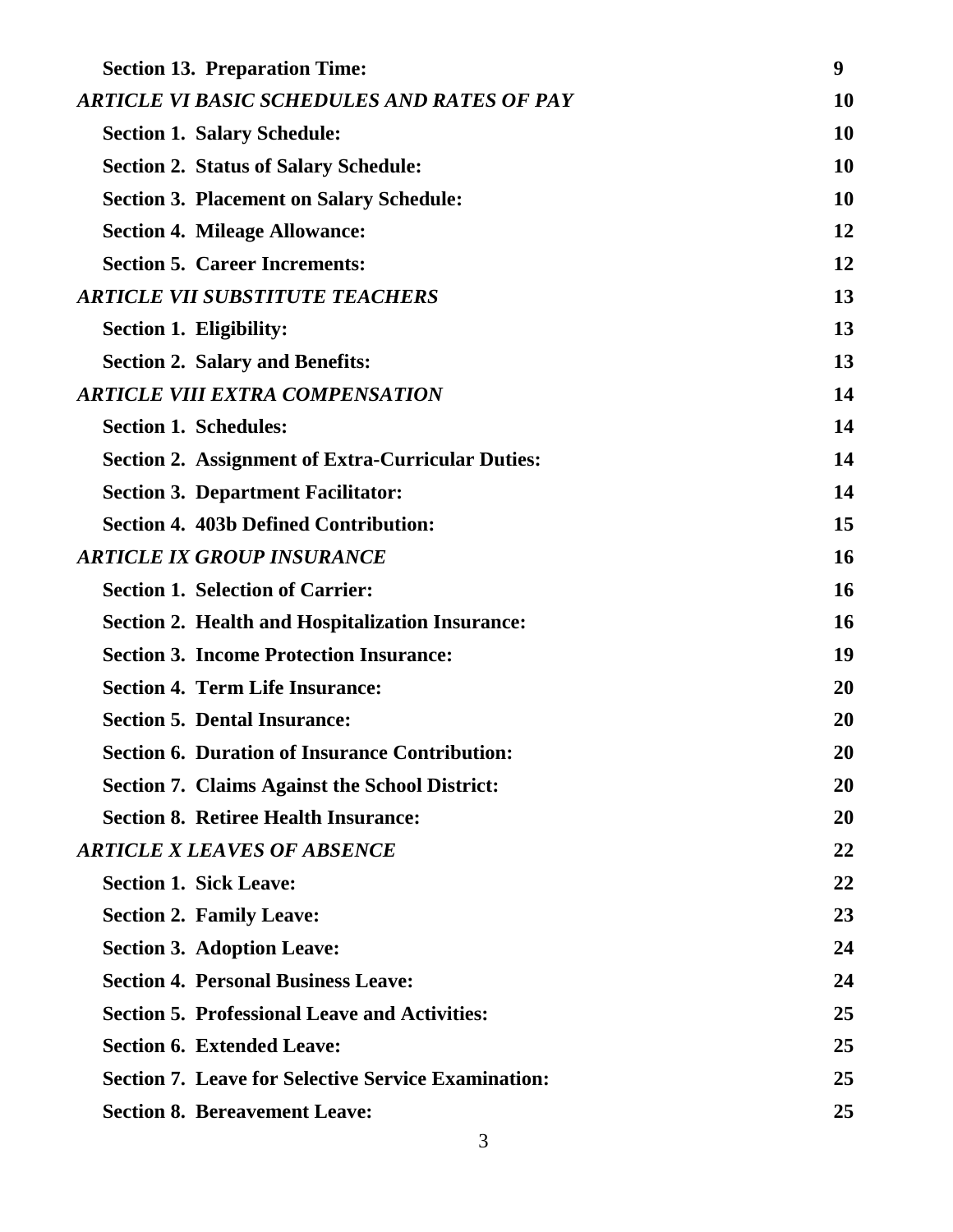| <b>Section 13. Preparation Time:</b>                       | 9         |
|------------------------------------------------------------|-----------|
| <b>ARTICLE VI BASIC SCHEDULES AND RATES OF PAY</b>         | <b>10</b> |
| <b>Section 1. Salary Schedule:</b>                         | 10        |
| <b>Section 2. Status of Salary Schedule:</b>               | 10        |
| <b>Section 3. Placement on Salary Schedule:</b>            | 10        |
| <b>Section 4. Mileage Allowance:</b>                       | 12        |
| <b>Section 5. Career Increments:</b>                       | 12        |
| <b>ARTICLE VII SUBSTITUTE TEACHERS</b>                     | 13        |
| <b>Section 1. Eligibility:</b>                             | 13        |
| <b>Section 2. Salary and Benefits:</b>                     | 13        |
| <b>ARTICLE VIII EXTRA COMPENSATION</b>                     | 14        |
| <b>Section 1. Schedules:</b>                               | 14        |
| <b>Section 2. Assignment of Extra-Curricular Duties:</b>   | 14        |
| <b>Section 3. Department Facilitator:</b>                  | 14        |
| <b>Section 4. 403b Defined Contribution:</b>               | 15        |
| <b>ARTICLE IX GROUP INSURANCE</b>                          | 16        |
| <b>Section 1. Selection of Carrier:</b>                    | <b>16</b> |
| <b>Section 2. Health and Hospitalization Insurance:</b>    | 16        |
| <b>Section 3. Income Protection Insurance:</b>             | 19        |
| <b>Section 4. Term Life Insurance:</b>                     | 20        |
| <b>Section 5. Dental Insurance:</b>                        | 20        |
| <b>Section 6. Duration of Insurance Contribution:</b>      | 20        |
| <b>Section 7. Claims Against the School District:</b>      | 20        |
| <b>Section 8. Retiree Health Insurance:</b>                | 20        |
| <b>ARTICLE X LEAVES OF ABSENCE</b>                         | 22        |
| <b>Section 1. Sick Leave:</b>                              | 22        |
| <b>Section 2. Family Leave:</b>                            | 23        |
| <b>Section 3. Adoption Leave:</b>                          | 24        |
| <b>Section 4. Personal Business Leave:</b>                 | 24        |
| <b>Section 5. Professional Leave and Activities:</b>       | 25        |
| <b>Section 6. Extended Leave:</b>                          | 25        |
| <b>Section 7. Leave for Selective Service Examination:</b> | 25        |
| <b>Section 8. Bereavement Leave:</b>                       | 25        |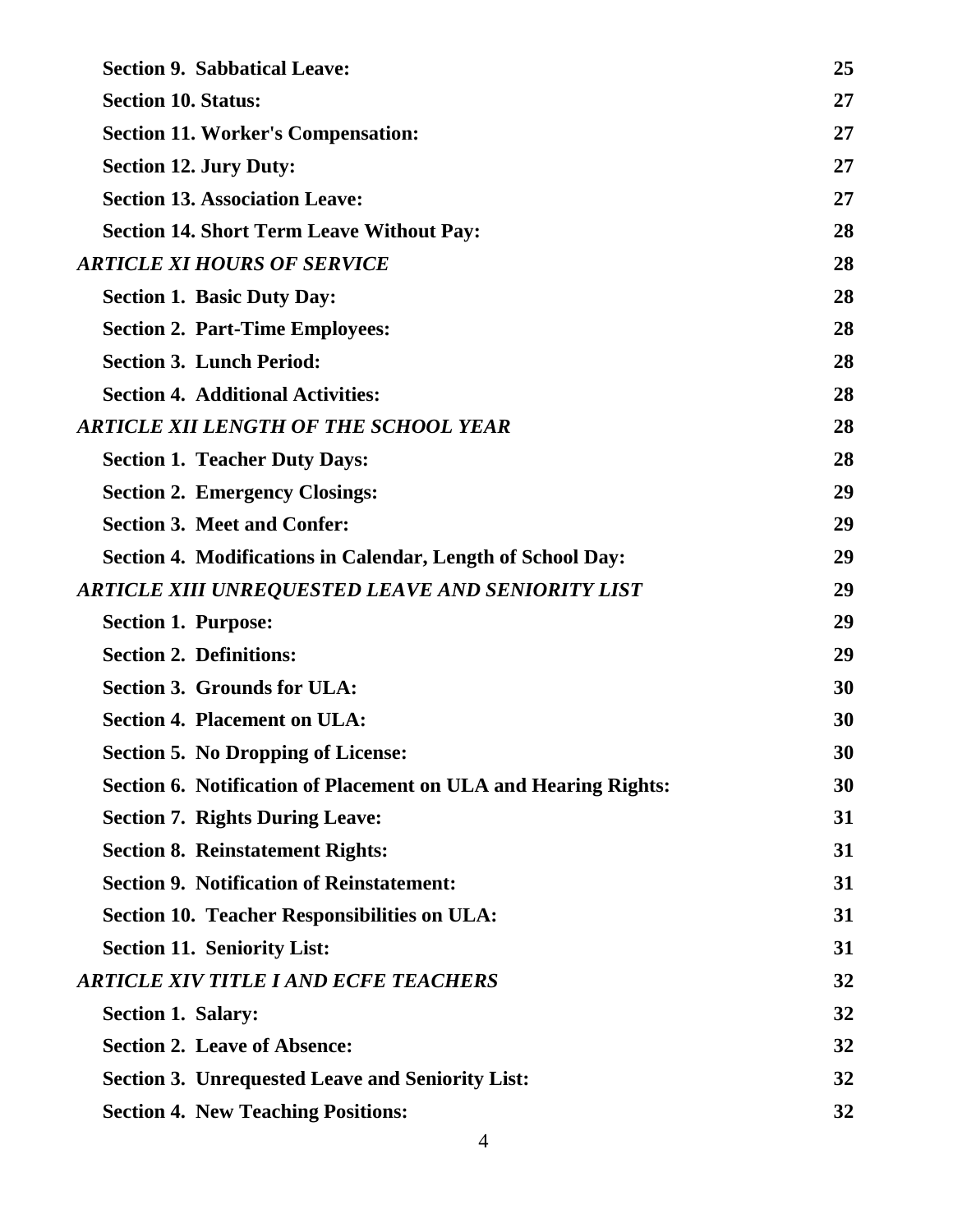| <b>Section 9. Sabbatical Leave:</b>                                    | 25 |
|------------------------------------------------------------------------|----|
| <b>Section 10. Status:</b>                                             | 27 |
| <b>Section 11. Worker's Compensation:</b>                              | 27 |
| <b>Section 12. Jury Duty:</b>                                          | 27 |
| <b>Section 13. Association Leave:</b>                                  | 27 |
| <b>Section 14. Short Term Leave Without Pay:</b>                       | 28 |
| <b>ARTICLE XI HOURS OF SERVICE</b>                                     | 28 |
| <b>Section 1. Basic Duty Day:</b>                                      | 28 |
| <b>Section 2. Part-Time Employees:</b>                                 | 28 |
| <b>Section 3. Lunch Period:</b>                                        | 28 |
| <b>Section 4. Additional Activities:</b>                               | 28 |
| <b>ARTICLE XII LENGTH OF THE SCHOOL YEAR</b>                           | 28 |
| <b>Section 1. Teacher Duty Days:</b>                                   | 28 |
| <b>Section 2. Emergency Closings:</b>                                  | 29 |
| <b>Section 3. Meet and Confer:</b>                                     | 29 |
| Section 4. Modifications in Calendar, Length of School Day:            | 29 |
| ARTICLE XIII UNREQUESTED LEAVE AND SENIORITY LIST                      | 29 |
| <b>Section 1. Purpose:</b>                                             | 29 |
| <b>Section 2. Definitions:</b>                                         | 29 |
| <b>Section 3. Grounds for ULA:</b>                                     | 30 |
| <b>Section 4. Placement on ULA:</b>                                    | 30 |
| <b>Section 5. No Dropping of License:</b>                              | 30 |
| <b>Section 6. Notification of Placement on ULA and Hearing Rights:</b> | 30 |
| <b>Section 7. Rights During Leave:</b>                                 | 31 |
| <b>Section 8. Reinstatement Rights:</b>                                | 31 |
| <b>Section 9. Notification of Reinstatement:</b>                       | 31 |
| <b>Section 10. Teacher Responsibilities on ULA:</b>                    | 31 |
| <b>Section 11. Seniority List:</b>                                     | 31 |
| <b>ARTICLE XIV TITLE I AND ECFE TEACHERS</b>                           | 32 |
| <b>Section 1. Salary:</b>                                              | 32 |
| <b>Section 2. Leave of Absence:</b>                                    | 32 |
| <b>Section 3. Unrequested Leave and Seniority List:</b>                | 32 |
| <b>Section 4. New Teaching Positions:</b>                              | 32 |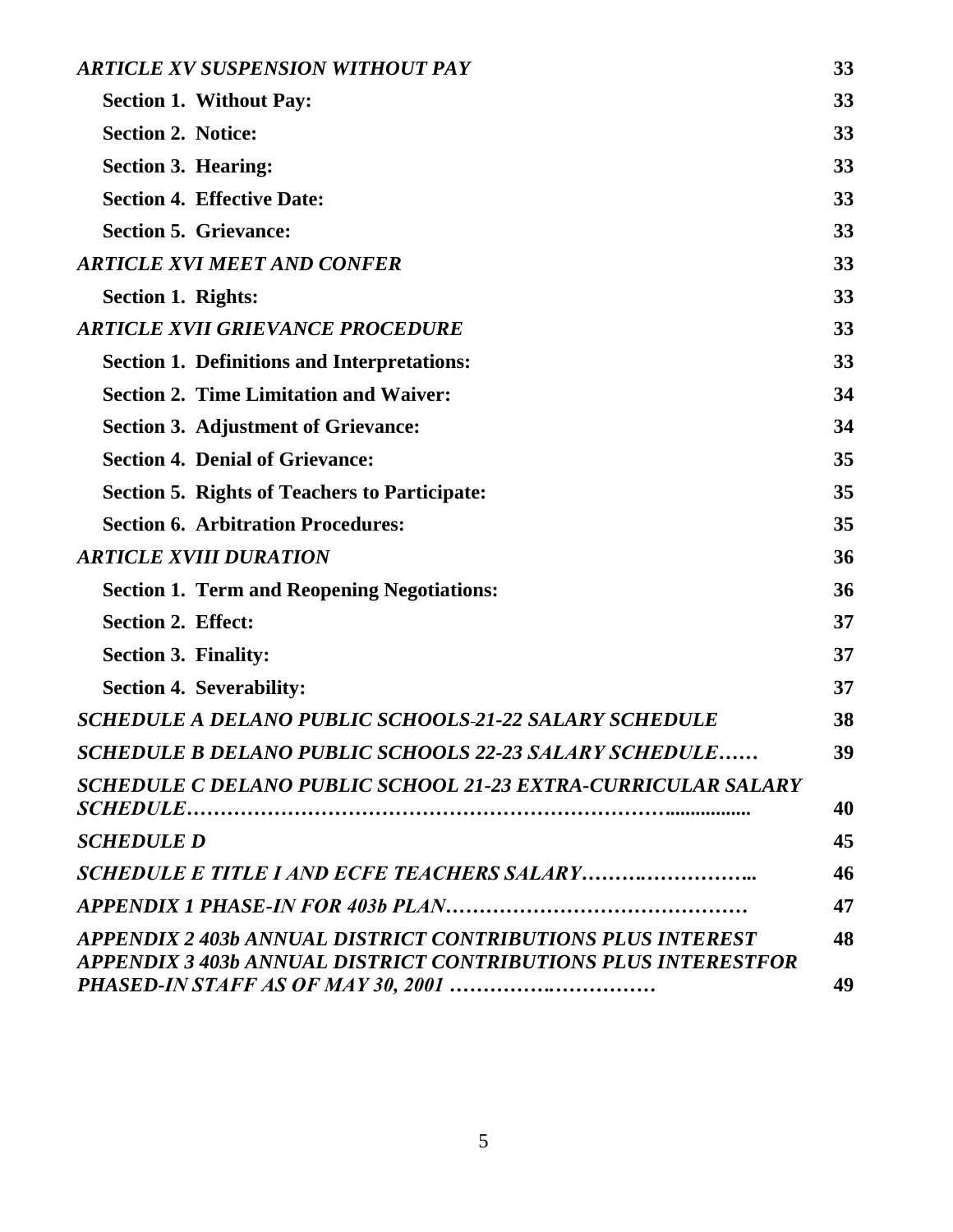| <b>ARTICLE XV SUSPENSION WITHOUT PAY</b>                                                                                      | 33       |
|-------------------------------------------------------------------------------------------------------------------------------|----------|
| <b>Section 1. Without Pay:</b>                                                                                                | 33       |
| <b>Section 2. Notice:</b>                                                                                                     | 33       |
| <b>Section 3. Hearing:</b>                                                                                                    | 33       |
| <b>Section 4. Effective Date:</b>                                                                                             | 33       |
| <b>Section 5. Grievance:</b>                                                                                                  | 33       |
| <b>ARTICLE XVI MEET AND CONFER</b>                                                                                            | 33       |
| <b>Section 1. Rights:</b>                                                                                                     | 33       |
| <b>ARTICLE XVII GRIEVANCE PROCEDURE</b>                                                                                       | 33       |
| <b>Section 1. Definitions and Interpretations:</b>                                                                            | 33       |
| <b>Section 2. Time Limitation and Waiver:</b>                                                                                 | 34       |
| <b>Section 3. Adjustment of Grievance:</b>                                                                                    | 34       |
| <b>Section 4. Denial of Grievance:</b>                                                                                        | 35       |
| <b>Section 5. Rights of Teachers to Participate:</b>                                                                          | 35       |
| <b>Section 6. Arbitration Procedures:</b>                                                                                     | 35       |
| <b>ARTICLE XVIII DURATION</b>                                                                                                 | 36       |
| <b>Section 1. Term and Reopening Negotiations:</b>                                                                            | 36       |
| <b>Section 2. Effect:</b>                                                                                                     | 37       |
| <b>Section 3. Finality:</b>                                                                                                   | 37       |
| <b>Section 4. Severability:</b>                                                                                               | 37       |
| <b>SCHEDULE A DELANO PUBLIC SCHOOLS-21-22 SALARY SCHEDULE</b>                                                                 | 38       |
| <b>SCHEDULE B DELANO PUBLIC SCHOOLS 22-23 SALARY SCHEDULE</b>                                                                 | 39       |
| SCHEDULE C DELANO PUBLIC SCHOOL 21-23 EXTRA-CURRICULAR SALARY                                                                 | 40       |
| <b>SCHEDULE D</b>                                                                                                             | 45       |
|                                                                                                                               | 46       |
|                                                                                                                               | 47       |
| APPENDIX 2 403b ANNUAL DISTRICT CONTRIBUTIONS PLUS INTEREST<br>APPENDIX 3 403b ANNUAL DISTRICT CONTRIBUTIONS PLUS INTERESTFOR | 48<br>49 |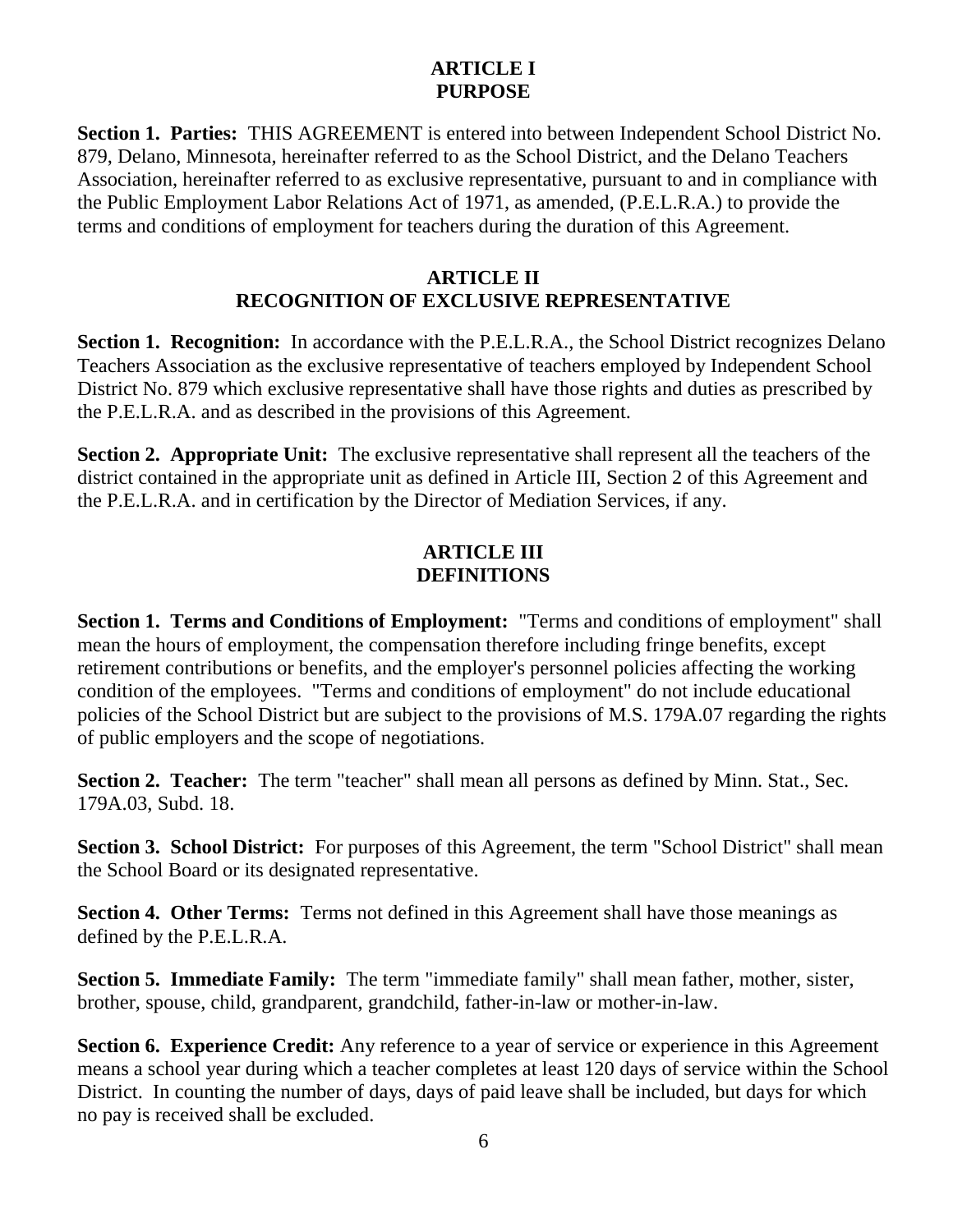# **ARTICLE I PURPOSE**

**Section 1. Parties:** THIS AGREEMENT is entered into between Independent School District No. 879, Delano, Minnesota, hereinafter referred to as the School District, and the Delano Teachers Association, hereinafter referred to as exclusive representative, pursuant to and in compliance with the Public Employment Labor Relations Act of 1971, as amended, (P.E.L.R.A.) to provide the terms and conditions of employment for teachers during the duration of this Agreement.

#### **ARTICLE II RECOGNITION OF EXCLUSIVE REPRESENTATIVE**

**Section 1. Recognition:** In accordance with the P.E.L.R.A., the School District recognizes Delano Teachers Association as the exclusive representative of teachers employed by Independent School District No. 879 which exclusive representative shall have those rights and duties as prescribed by the P.E.L.R.A. and as described in the provisions of this Agreement.

**Section 2. Appropriate Unit:** The exclusive representative shall represent all the teachers of the district contained in the appropriate unit as defined in Article III, Section 2 of this Agreement and the P.E.L.R.A. and in certification by the Director of Mediation Services, if any.

# **ARTICLE III DEFINITIONS**

**Section 1. Terms and Conditions of Employment:** "Terms and conditions of employment" shall mean the hours of employment, the compensation therefore including fringe benefits, except retirement contributions or benefits, and the employer's personnel policies affecting the working condition of the employees. "Terms and conditions of employment" do not include educational policies of the School District but are subject to the provisions of M.S. 179A.07 regarding the rights of public employers and the scope of negotiations.

**Section 2. Teacher:** The term "teacher" shall mean all persons as defined by Minn. Stat., Sec. 179A.03, Subd. 18.

**Section 3. School District:** For purposes of this Agreement, the term "School District" shall mean the School Board or its designated representative.

**Section 4. Other Terms:** Terms not defined in this Agreement shall have those meanings as defined by the P.E.L.R.A.

**Section 5. Immediate Family:** The term "immediate family" shall mean father, mother, sister, brother, spouse, child, grandparent, grandchild, father-in-law or mother-in-law.

**Section 6. Experience Credit:** Any reference to a year of service or experience in this Agreement means a school year during which a teacher completes at least 120 days of service within the School District. In counting the number of days, days of paid leave shall be included, but days for which no pay is received shall be excluded.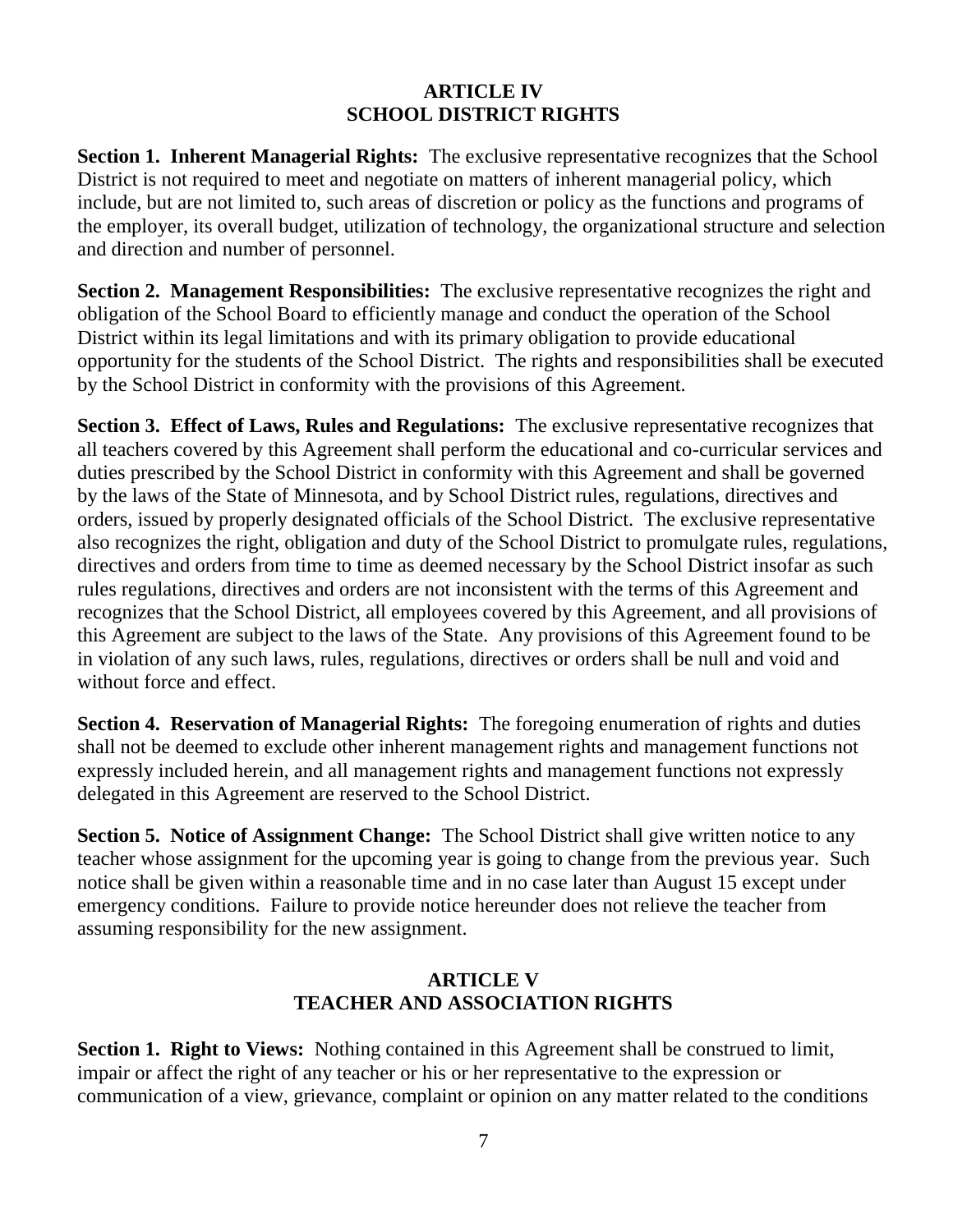## **ARTICLE IV SCHOOL DISTRICT RIGHTS**

**Section 1. Inherent Managerial Rights:** The exclusive representative recognizes that the School District is not required to meet and negotiate on matters of inherent managerial policy, which include, but are not limited to, such areas of discretion or policy as the functions and programs of the employer, its overall budget, utilization of technology, the organizational structure and selection and direction and number of personnel.

**Section 2. Management Responsibilities:** The exclusive representative recognizes the right and obligation of the School Board to efficiently manage and conduct the operation of the School District within its legal limitations and with its primary obligation to provide educational opportunity for the students of the School District. The rights and responsibilities shall be executed by the School District in conformity with the provisions of this Agreement.

**Section 3. Effect of Laws, Rules and Regulations:** The exclusive representative recognizes that all teachers covered by this Agreement shall perform the educational and co-curricular services and duties prescribed by the School District in conformity with this Agreement and shall be governed by the laws of the State of Minnesota, and by School District rules, regulations, directives and orders, issued by properly designated officials of the School District. The exclusive representative also recognizes the right, obligation and duty of the School District to promulgate rules, regulations, directives and orders from time to time as deemed necessary by the School District insofar as such rules regulations, directives and orders are not inconsistent with the terms of this Agreement and recognizes that the School District, all employees covered by this Agreement, and all provisions of this Agreement are subject to the laws of the State. Any provisions of this Agreement found to be in violation of any such laws, rules, regulations, directives or orders shall be null and void and without force and effect.

**Section 4. Reservation of Managerial Rights:** The foregoing enumeration of rights and duties shall not be deemed to exclude other inherent management rights and management functions not expressly included herein, and all management rights and management functions not expressly delegated in this Agreement are reserved to the School District.

**Section 5. Notice of Assignment Change:** The School District shall give written notice to any teacher whose assignment for the upcoming year is going to change from the previous year. Such notice shall be given within a reasonable time and in no case later than August 15 except under emergency conditions. Failure to provide notice hereunder does not relieve the teacher from assuming responsibility for the new assignment.

# **ARTICLE V TEACHER AND ASSOCIATION RIGHTS**

**Section 1. Right to Views:** Nothing contained in this Agreement shall be construed to limit, impair or affect the right of any teacher or his or her representative to the expression or communication of a view, grievance, complaint or opinion on any matter related to the conditions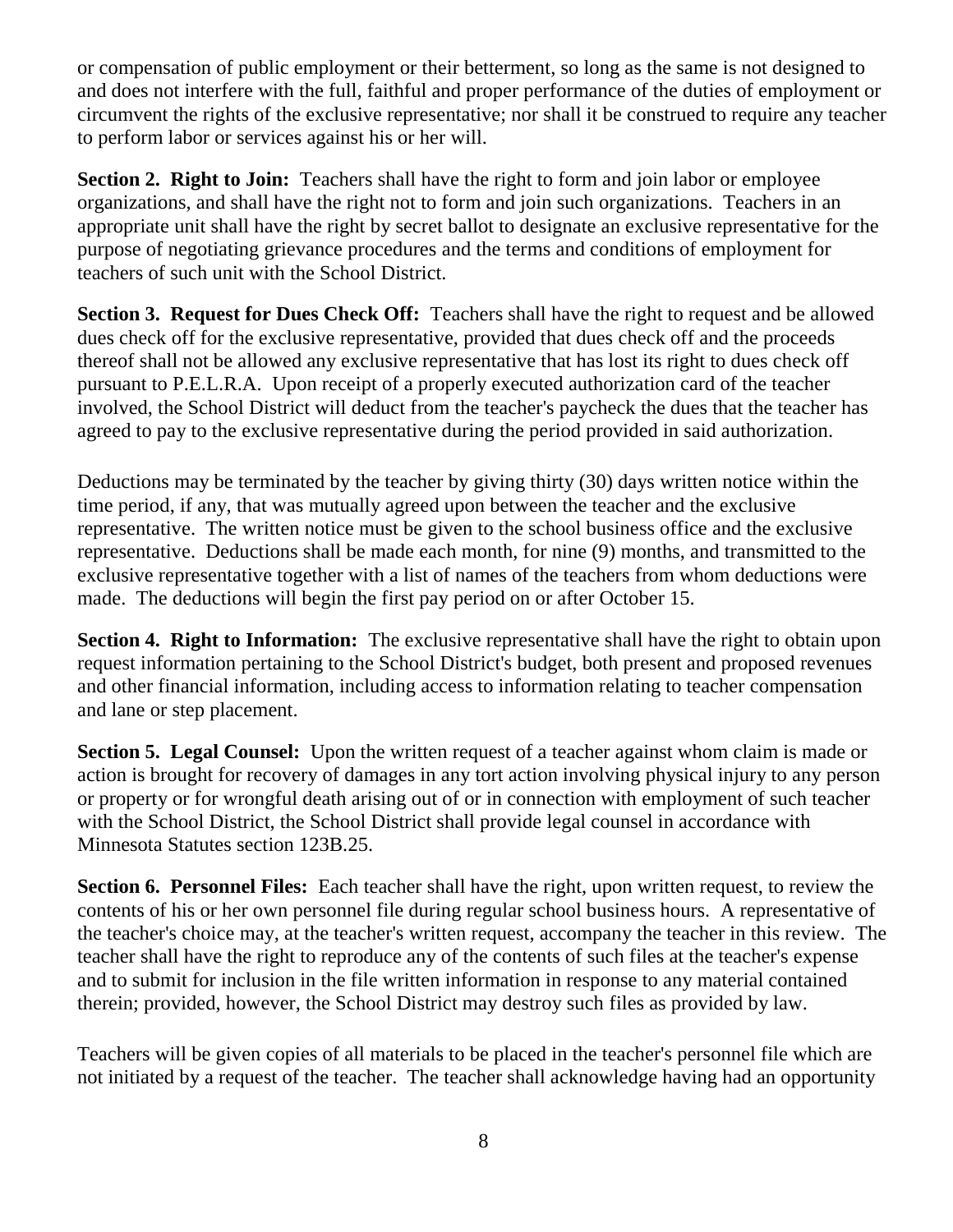or compensation of public employment or their betterment, so long as the same is not designed to and does not interfere with the full, faithful and proper performance of the duties of employment or circumvent the rights of the exclusive representative; nor shall it be construed to require any teacher to perform labor or services against his or her will.

**Section 2. Right to Join:** Teachers shall have the right to form and join labor or employee organizations, and shall have the right not to form and join such organizations. Teachers in an appropriate unit shall have the right by secret ballot to designate an exclusive representative for the purpose of negotiating grievance procedures and the terms and conditions of employment for teachers of such unit with the School District.

**Section 3. Request for Dues Check Off:** Teachers shall have the right to request and be allowed dues check off for the exclusive representative, provided that dues check off and the proceeds thereof shall not be allowed any exclusive representative that has lost its right to dues check off pursuant to P.E.L.R.A. Upon receipt of a properly executed authorization card of the teacher involved, the School District will deduct from the teacher's paycheck the dues that the teacher has agreed to pay to the exclusive representative during the period provided in said authorization.

Deductions may be terminated by the teacher by giving thirty (30) days written notice within the time period, if any, that was mutually agreed upon between the teacher and the exclusive representative. The written notice must be given to the school business office and the exclusive representative. Deductions shall be made each month, for nine (9) months, and transmitted to the exclusive representative together with a list of names of the teachers from whom deductions were made. The deductions will begin the first pay period on or after October 15.

**Section 4. Right to Information:** The exclusive representative shall have the right to obtain upon request information pertaining to the School District's budget, both present and proposed revenues and other financial information, including access to information relating to teacher compensation and lane or step placement.

**Section 5. Legal Counsel:** Upon the written request of a teacher against whom claim is made or action is brought for recovery of damages in any tort action involving physical injury to any person or property or for wrongful death arising out of or in connection with employment of such teacher with the School District, the School District shall provide legal counsel in accordance with Minnesota Statutes section 123B.25.

**Section 6. Personnel Files:** Each teacher shall have the right, upon written request, to review the contents of his or her own personnel file during regular school business hours. A representative of the teacher's choice may, at the teacher's written request, accompany the teacher in this review. The teacher shall have the right to reproduce any of the contents of such files at the teacher's expense and to submit for inclusion in the file written information in response to any material contained therein; provided, however, the School District may destroy such files as provided by law.

Teachers will be given copies of all materials to be placed in the teacher's personnel file which are not initiated by a request of the teacher. The teacher shall acknowledge having had an opportunity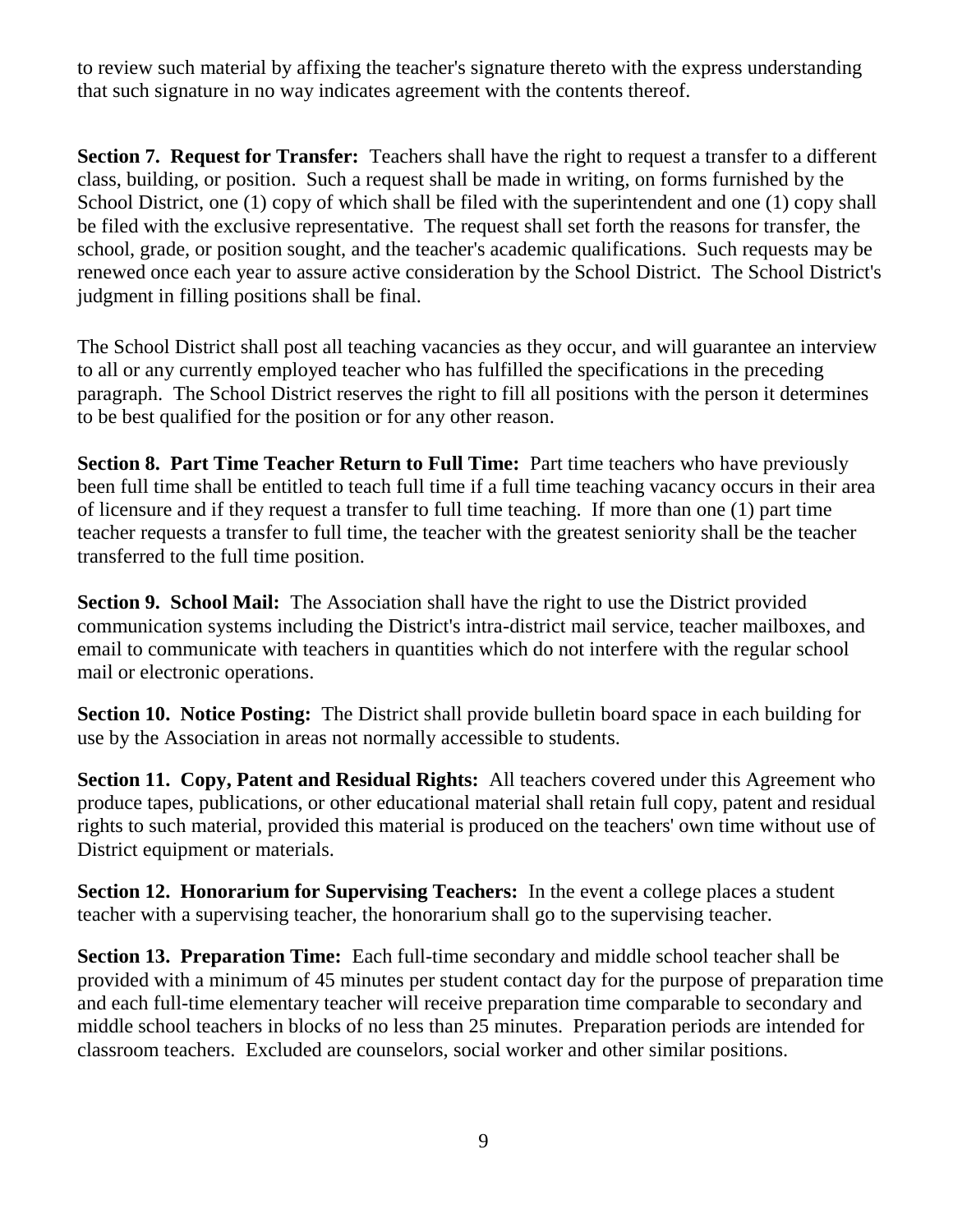to review such material by affixing the teacher's signature thereto with the express understanding that such signature in no way indicates agreement with the contents thereof.

**Section 7. Request for Transfer:** Teachers shall have the right to request a transfer to a different class, building, or position. Such a request shall be made in writing, on forms furnished by the School District, one (1) copy of which shall be filed with the superintendent and one (1) copy shall be filed with the exclusive representative. The request shall set forth the reasons for transfer, the school, grade, or position sought, and the teacher's academic qualifications. Such requests may be renewed once each year to assure active consideration by the School District. The School District's judgment in filling positions shall be final.

The School District shall post all teaching vacancies as they occur, and will guarantee an interview to all or any currently employed teacher who has fulfilled the specifications in the preceding paragraph. The School District reserves the right to fill all positions with the person it determines to be best qualified for the position or for any other reason.

**Section 8. Part Time Teacher Return to Full Time:** Part time teachers who have previously been full time shall be entitled to teach full time if a full time teaching vacancy occurs in their area of licensure and if they request a transfer to full time teaching. If more than one (1) part time teacher requests a transfer to full time, the teacher with the greatest seniority shall be the teacher transferred to the full time position.

**Section 9. School Mail:** The Association shall have the right to use the District provided communication systems including the District's intra-district mail service, teacher mailboxes, and email to communicate with teachers in quantities which do not interfere with the regular school mail or electronic operations.

**Section 10. Notice Posting:** The District shall provide bulletin board space in each building for use by the Association in areas not normally accessible to students.

**Section 11. Copy, Patent and Residual Rights:** All teachers covered under this Agreement who produce tapes, publications, or other educational material shall retain full copy, patent and residual rights to such material, provided this material is produced on the teachers' own time without use of District equipment or materials.

**Section 12. Honorarium for Supervising Teachers:** In the event a college places a student teacher with a supervising teacher, the honorarium shall go to the supervising teacher.

**Section 13. Preparation Time:** Each full-time secondary and middle school teacher shall be provided with a minimum of 45 minutes per student contact day for the purpose of preparation time and each full-time elementary teacher will receive preparation time comparable to secondary and middle school teachers in blocks of no less than 25 minutes. Preparation periods are intended for classroom teachers. Excluded are counselors, social worker and other similar positions.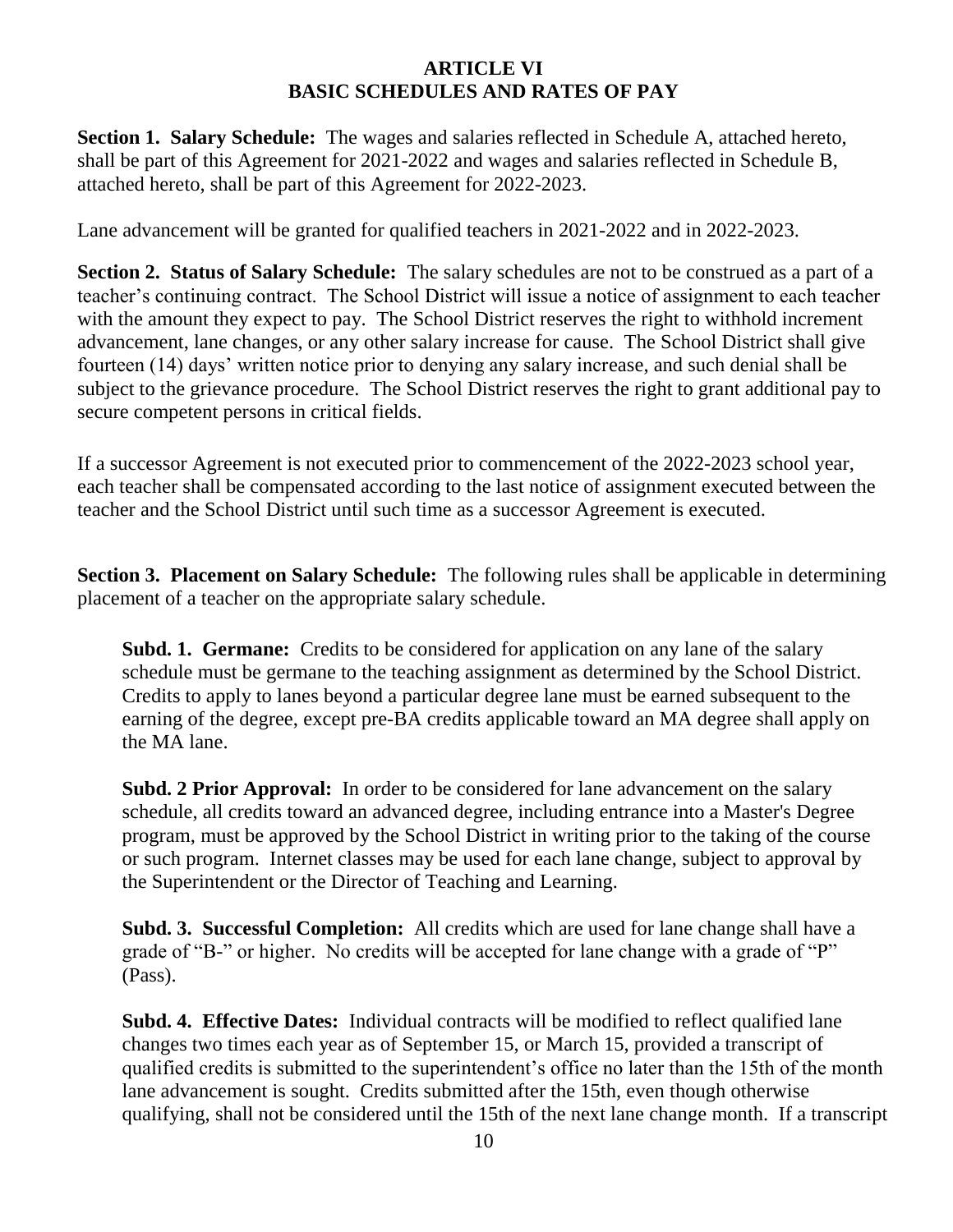#### **ARTICLE VI BASIC SCHEDULES AND RATES OF PAY**

**Section 1. Salary Schedule:** The wages and salaries reflected in Schedule A, attached hereto, shall be part of this Agreement for 2021-2022 and wages and salaries reflected in Schedule B, attached hereto, shall be part of this Agreement for 2022-2023.

Lane advancement will be granted for qualified teachers in 2021-2022 and in 2022-2023.

**Section 2. Status of Salary Schedule:** The salary schedules are not to be construed as a part of a teacher's continuing contract. The School District will issue a notice of assignment to each teacher with the amount they expect to pay. The School District reserves the right to withhold increment advancement, lane changes, or any other salary increase for cause. The School District shall give fourteen (14) days' written notice prior to denying any salary increase, and such denial shall be subject to the grievance procedure. The School District reserves the right to grant additional pay to secure competent persons in critical fields.

If a successor Agreement is not executed prior to commencement of the 2022-2023 school year, each teacher shall be compensated according to the last notice of assignment executed between the teacher and the School District until such time as a successor Agreement is executed.

**Section 3. Placement on Salary Schedule:** The following rules shall be applicable in determining placement of a teacher on the appropriate salary schedule.

**Subd. 1. Germane:** Credits to be considered for application on any lane of the salary schedule must be germane to the teaching assignment as determined by the School District. Credits to apply to lanes beyond a particular degree lane must be earned subsequent to the earning of the degree, except pre-BA credits applicable toward an MA degree shall apply on the MA lane.

**Subd. 2 Prior Approval:** In order to be considered for lane advancement on the salary schedule, all credits toward an advanced degree, including entrance into a Master's Degree program, must be approved by the School District in writing prior to the taking of the course or such program. Internet classes may be used for each lane change, subject to approval by the Superintendent or the Director of Teaching and Learning.

**Subd. 3. Successful Completion:** All credits which are used for lane change shall have a grade of "B-" or higher. No credits will be accepted for lane change with a grade of "P" (Pass).

**Subd. 4. Effective Dates:** Individual contracts will be modified to reflect qualified lane changes two times each year as of September 15, or March 15, provided a transcript of qualified credits is submitted to the superintendent's office no later than the 15th of the month lane advancement is sought. Credits submitted after the 15th, even though otherwise qualifying, shall not be considered until the 15th of the next lane change month. If a transcript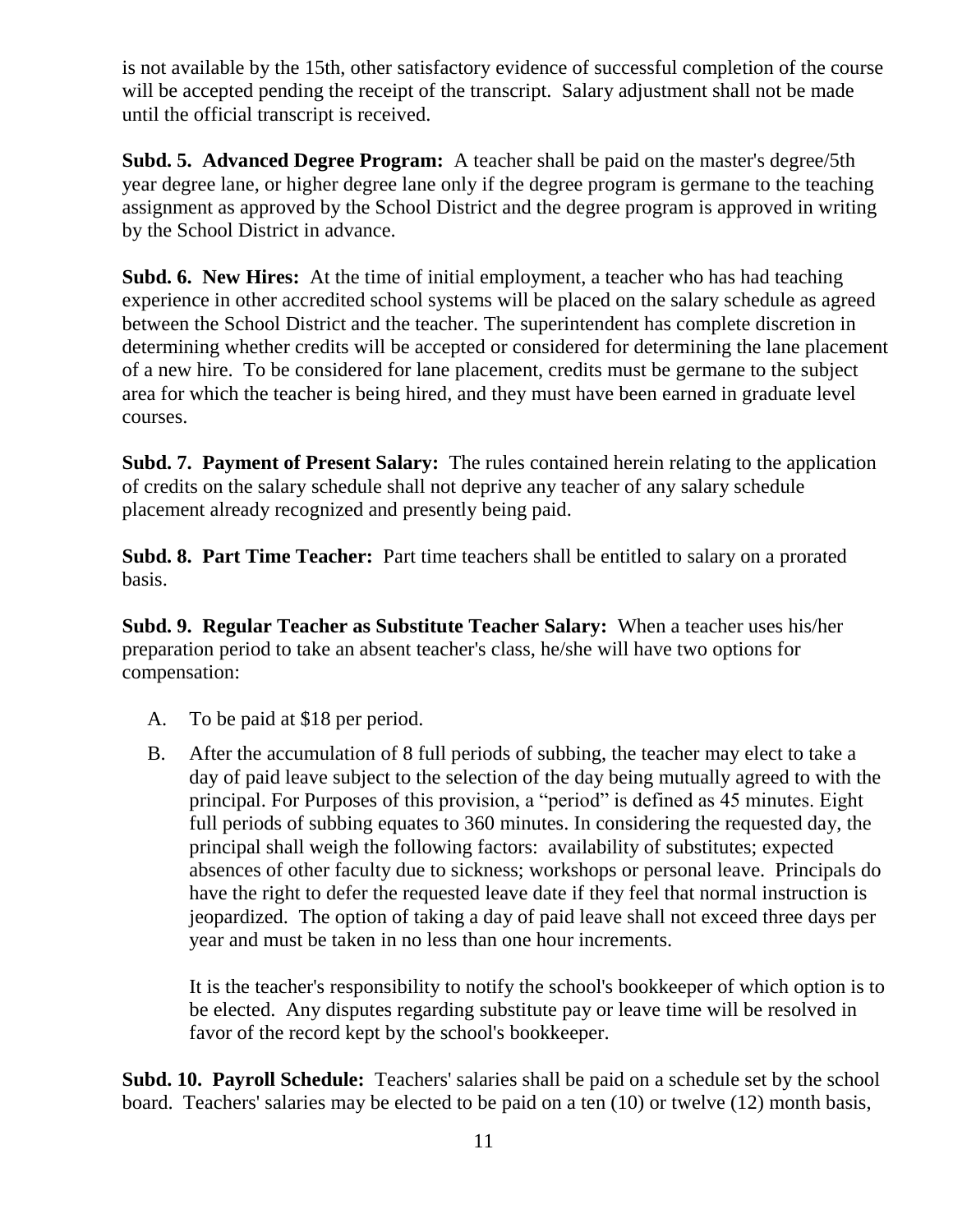is not available by the 15th, other satisfactory evidence of successful completion of the course will be accepted pending the receipt of the transcript. Salary adjustment shall not be made until the official transcript is received.

**Subd. 5. Advanced Degree Program:** A teacher shall be paid on the master's degree/5th year degree lane, or higher degree lane only if the degree program is germane to the teaching assignment as approved by the School District and the degree program is approved in writing by the School District in advance.

**Subd. 6. New Hires:** At the time of initial employment, a teacher who has had teaching experience in other accredited school systems will be placed on the salary schedule as agreed between the School District and the teacher. The superintendent has complete discretion in determining whether credits will be accepted or considered for determining the lane placement of a new hire. To be considered for lane placement, credits must be germane to the subject area for which the teacher is being hired, and they must have been earned in graduate level courses.

**Subd. 7. Payment of Present Salary:** The rules contained herein relating to the application of credits on the salary schedule shall not deprive any teacher of any salary schedule placement already recognized and presently being paid.

**Subd. 8. Part Time Teacher:** Part time teachers shall be entitled to salary on a prorated basis.

**Subd. 9. Regular Teacher as Substitute Teacher Salary:** When a teacher uses his/her preparation period to take an absent teacher's class, he/she will have two options for compensation:

- A. To be paid at \$18 per period.
- B. After the accumulation of 8 full periods of subbing, the teacher may elect to take a day of paid leave subject to the selection of the day being mutually agreed to with the principal. For Purposes of this provision, a "period" is defined as 45 minutes. Eight full periods of subbing equates to 360 minutes. In considering the requested day, the principal shall weigh the following factors: availability of substitutes; expected absences of other faculty due to sickness; workshops or personal leave. Principals do have the right to defer the requested leave date if they feel that normal instruction is jeopardized. The option of taking a day of paid leave shall not exceed three days per year and must be taken in no less than one hour increments.

It is the teacher's responsibility to notify the school's bookkeeper of which option is to be elected. Any disputes regarding substitute pay or leave time will be resolved in favor of the record kept by the school's bookkeeper.

**Subd. 10. Payroll Schedule:** Teachers' salaries shall be paid on a schedule set by the school board. Teachers' salaries may be elected to be paid on a ten (10) or twelve (12) month basis,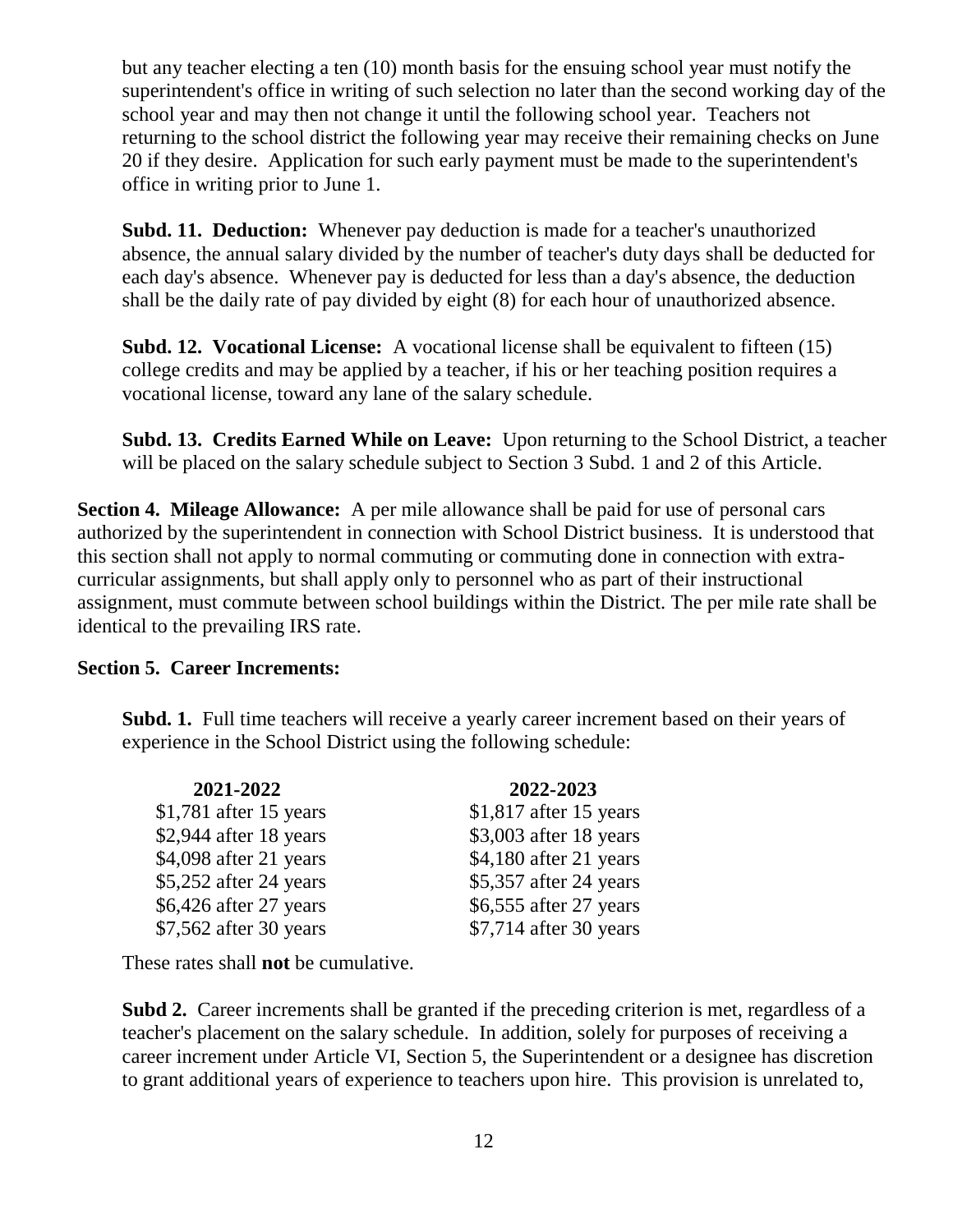but any teacher electing a ten (10) month basis for the ensuing school year must notify the superintendent's office in writing of such selection no later than the second working day of the school year and may then not change it until the following school year. Teachers not returning to the school district the following year may receive their remaining checks on June 20 if they desire. Application for such early payment must be made to the superintendent's office in writing prior to June 1.

**Subd. 11. Deduction:** Whenever pay deduction is made for a teacher's unauthorized absence, the annual salary divided by the number of teacher's duty days shall be deducted for each day's absence. Whenever pay is deducted for less than a day's absence, the deduction shall be the daily rate of pay divided by eight (8) for each hour of unauthorized absence.

**Subd. 12. Vocational License:** A vocational license shall be equivalent to fifteen (15) college credits and may be applied by a teacher, if his or her teaching position requires a vocational license, toward any lane of the salary schedule.

**Subd. 13. Credits Earned While on Leave:** Upon returning to the School District, a teacher will be placed on the salary schedule subject to Section 3 Subd. 1 and 2 of this Article.

**Section 4. Mileage Allowance:** A per mile allowance shall be paid for use of personal cars authorized by the superintendent in connection with School District business. It is understood that this section shall not apply to normal commuting or commuting done in connection with extracurricular assignments, but shall apply only to personnel who as part of their instructional assignment, must commute between school buildings within the District. The per mile rate shall be identical to the prevailing IRS rate.

#### **Section 5. Career Increments:**

**Subd. 1.** Full time teachers will receive a yearly career increment based on their years of experience in the School District using the following schedule:

| 2021-2022               | 2022-2023               |
|-------------------------|-------------------------|
| $$1,781$ after 15 years | $$1,817$ after 15 years |
| $$2,944$ after 18 years | \$3,003 after 18 years  |
| \$4,098 after 21 years  | \$4,180 after 21 years  |
| \$5,252 after 24 years  | \$5,357 after 24 years  |
| \$6,426 after 27 years  | \$6,555 after 27 years  |
| \$7,562 after 30 years  | \$7,714 after 30 years  |

These rates shall **not** be cumulative.

**Subd 2.** Career increments shall be granted if the preceding criterion is met, regardless of a teacher's placement on the salary schedule. In addition, solely for purposes of receiving a career increment under Article VI, Section 5, the Superintendent or a designee has discretion to grant additional years of experience to teachers upon hire. This provision is unrelated to,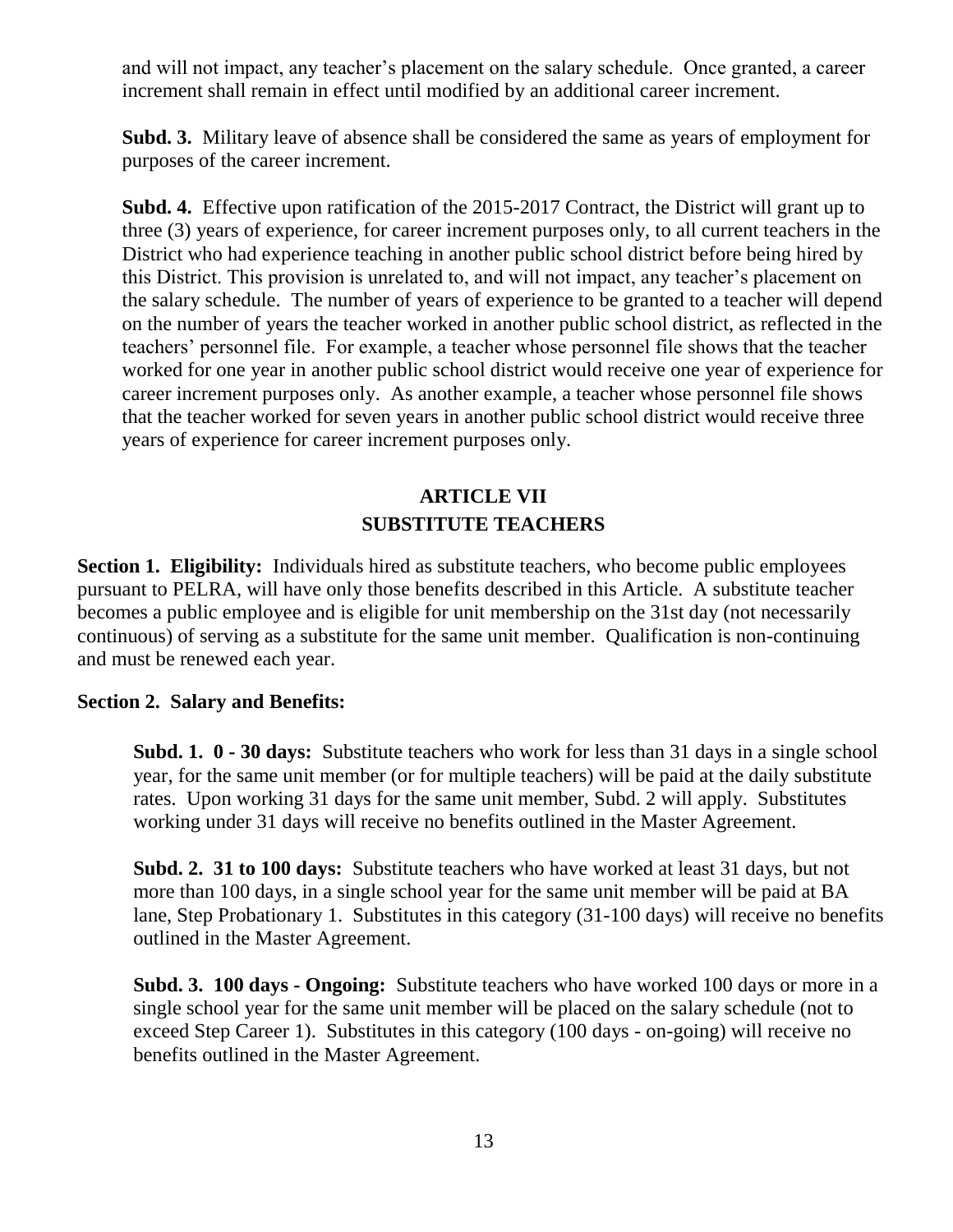and will not impact, any teacher's placement on the salary schedule. Once granted, a career increment shall remain in effect until modified by an additional career increment.

**Subd. 3.** Military leave of absence shall be considered the same as years of employment for purposes of the career increment.

**Subd. 4.** Effective upon ratification of the 2015-2017 Contract, the District will grant up to three (3) years of experience, for career increment purposes only, to all current teachers in the District who had experience teaching in another public school district before being hired by this District. This provision is unrelated to, and will not impact, any teacher's placement on the salary schedule. The number of years of experience to be granted to a teacher will depend on the number of years the teacher worked in another public school district, as reflected in the teachers' personnel file. For example, a teacher whose personnel file shows that the teacher worked for one year in another public school district would receive one year of experience for career increment purposes only. As another example, a teacher whose personnel file shows that the teacher worked for seven years in another public school district would receive three years of experience for career increment purposes only.

# **ARTICLE VII SUBSTITUTE TEACHERS**

**Section 1. Eligibility:** Individuals hired as substitute teachers, who become public employees pursuant to PELRA, will have only those benefits described in this Article. A substitute teacher becomes a public employee and is eligible for unit membership on the 31st day (not necessarily continuous) of serving as a substitute for the same unit member. Qualification is non-continuing and must be renewed each year.

#### **Section 2. Salary and Benefits:**

**Subd. 1. 0 - 30 days:** Substitute teachers who work for less than 31 days in a single school year, for the same unit member (or for multiple teachers) will be paid at the daily substitute rates. Upon working 31 days for the same unit member, Subd. 2 will apply. Substitutes working under 31 days will receive no benefits outlined in the Master Agreement.

**Subd. 2. 31 to 100 days:** Substitute teachers who have worked at least 31 days, but not more than 100 days, in a single school year for the same unit member will be paid at BA lane, Step Probationary 1. Substitutes in this category (31-100 days) will receive no benefits outlined in the Master Agreement.

**Subd. 3. 100 days - Ongoing:** Substitute teachers who have worked 100 days or more in a single school year for the same unit member will be placed on the salary schedule (not to exceed Step Career 1). Substitutes in this category (100 days - on-going) will receive no benefits outlined in the Master Agreement.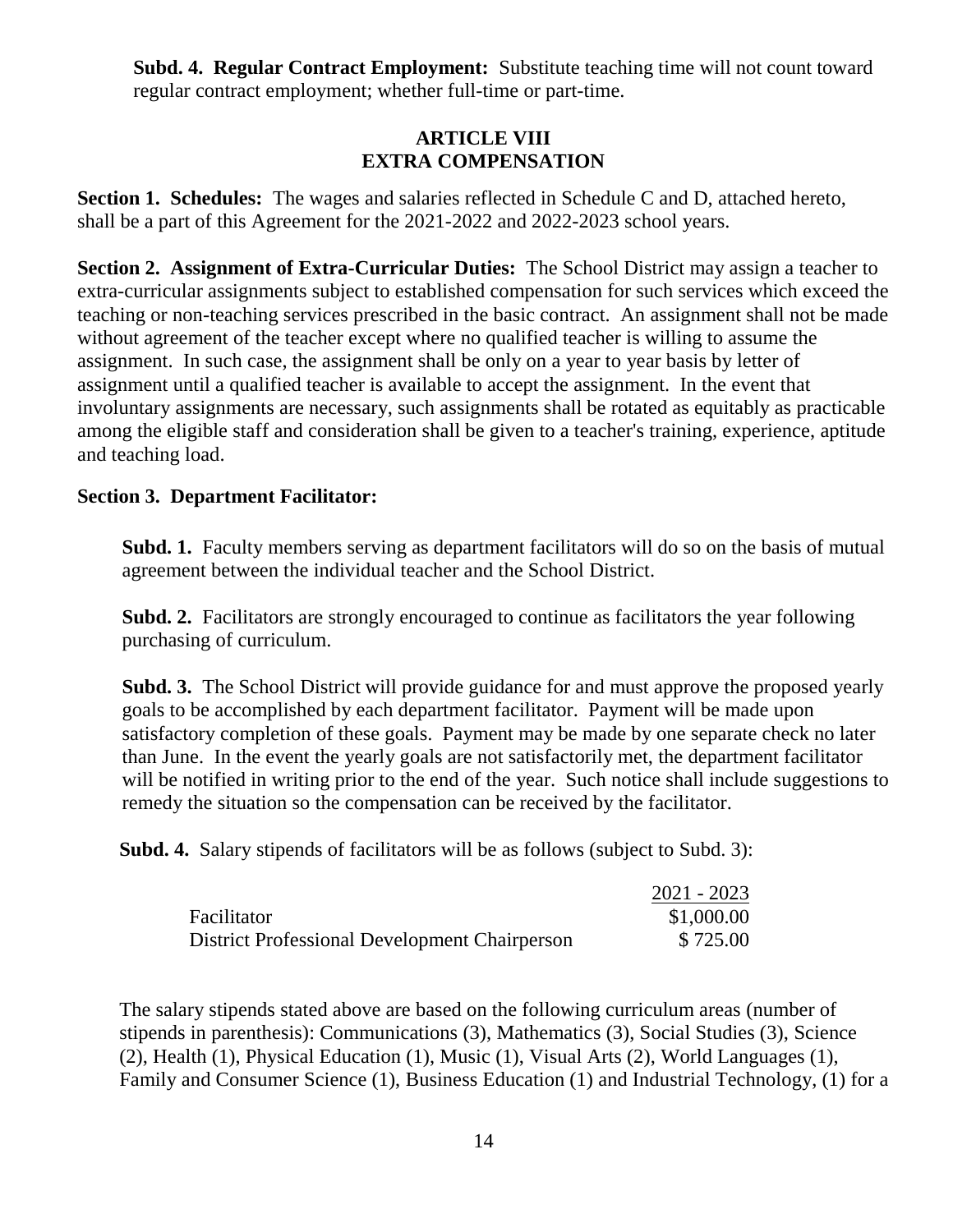**Subd. 4. Regular Contract Employment:** Substitute teaching time will not count toward regular contract employment; whether full-time or part-time.

## **ARTICLE VIII EXTRA COMPENSATION**

**Section 1. Schedules:** The wages and salaries reflected in Schedule C and D, attached hereto, shall be a part of this Agreement for the 2021-2022 and 2022-2023 school years.

**Section 2. Assignment of Extra-Curricular Duties:** The School District may assign a teacher to extra-curricular assignments subject to established compensation for such services which exceed the teaching or non-teaching services prescribed in the basic contract. An assignment shall not be made without agreement of the teacher except where no qualified teacher is willing to assume the assignment. In such case, the assignment shall be only on a year to year basis by letter of assignment until a qualified teacher is available to accept the assignment. In the event that involuntary assignments are necessary, such assignments shall be rotated as equitably as practicable among the eligible staff and consideration shall be given to a teacher's training, experience, aptitude and teaching load.

#### **Section 3. Department Facilitator:**

**Subd. 1.** Faculty members serving as department facilitators will do so on the basis of mutual agreement between the individual teacher and the School District.

**Subd. 2.** Facilitators are strongly encouraged to continue as facilitators the year following purchasing of curriculum.

**Subd. 3.** The School District will provide guidance for and must approve the proposed yearly goals to be accomplished by each department facilitator. Payment will be made upon satisfactory completion of these goals. Payment may be made by one separate check no later than June. In the event the yearly goals are not satisfactorily met, the department facilitator will be notified in writing prior to the end of the year. Such notice shall include suggestions to remedy the situation so the compensation can be received by the facilitator.

**Subd. 4.** Salary stipends of facilitators will be as follows (subject to Subd. 3):

|                                               | $2021 - 2023$ |
|-----------------------------------------------|---------------|
| Facilitator                                   | \$1,000.00    |
| District Professional Development Chairperson | \$725.00      |

The salary stipends stated above are based on the following curriculum areas (number of stipends in parenthesis): Communications (3), Mathematics (3), Social Studies (3), Science (2), Health (1), Physical Education (1), Music (1), Visual Arts (2), World Languages (1), Family and Consumer Science (1), Business Education (1) and Industrial Technology, (1) for a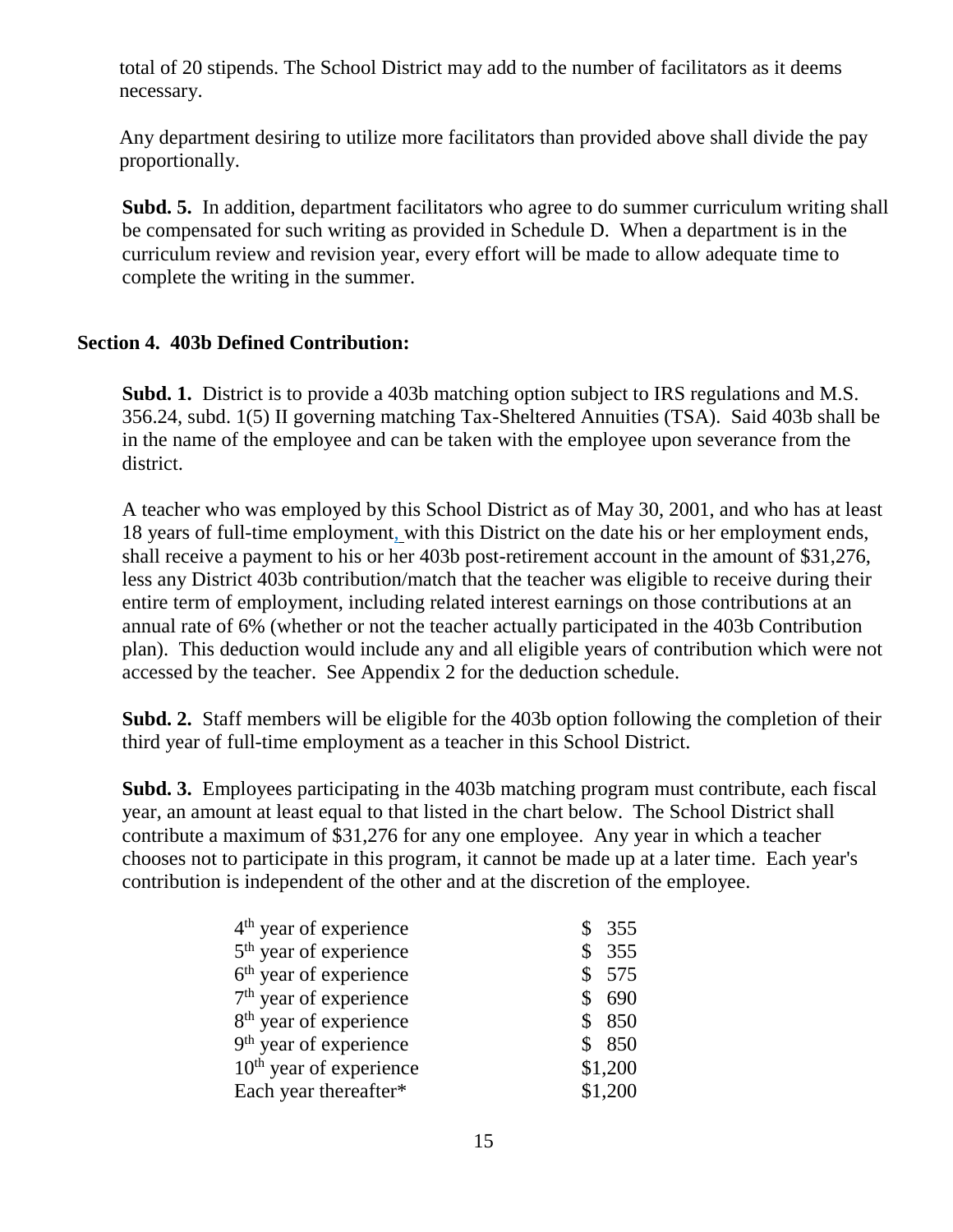total of 20 stipends. The School District may add to the number of facilitators as it deems necessary.

Any department desiring to utilize more facilitators than provided above shall divide the pay proportionally.

**Subd. 5.** In addition, department facilitators who agree to do summer curriculum writing shall be compensated for such writing as provided in Schedule D. When a department is in the curriculum review and revision year, every effort will be made to allow adequate time to complete the writing in the summer.

#### **Section 4. 403b Defined Contribution:**

**Subd. 1.** District is to provide a 403b matching option subject to IRS regulations and M.S. 356.24, subd. 1(5) II governing matching Tax-Sheltered Annuities (TSA). Said 403b shall be in the name of the employee and can be taken with the employee upon severance from the district.

A teacher who was employed by this School District as of May 30, 2001, and who has at least 18 years of full-time employment, with this District on the date his or her employment ends, shall receive a payment to his or her 403b post-retirement account in the amount of \$31,276, less any District 403b contribution/match that the teacher was eligible to receive during their entire term of employment, including related interest earnings on those contributions at an annual rate of 6% (whether or not the teacher actually participated in the 403b Contribution plan). This deduction would include any and all eligible years of contribution which were not accessed by the teacher. See Appendix 2 for the deduction schedule.

**Subd. 2.** Staff members will be eligible for the 403b option following the completion of their third year of full-time employment as a teacher in this School District.

**Subd. 3.** Employees participating in the 403b matching program must contribute, each fiscal year, an amount at least equal to that listed in the chart below. The School District shall contribute a maximum of \$31,276 for any one employee. Any year in which a teacher chooses not to participate in this program, it cannot be made up at a later time. Each year's contribution is independent of the other and at the discretion of the employee.

| $4th$ year of experience           | 355       |
|------------------------------------|-----------|
| 5 <sup>th</sup> year of experience | 355       |
| 6 <sup>th</sup> year of experience | \$<br>575 |
| $7th$ year of experience           | 690       |
| 8 <sup>th</sup> year of experience | 850       |
| $9th$ year of experience           | 850       |
| $10th$ year of experience          | \$1,200   |
| Each year thereafter*              | \$1,200   |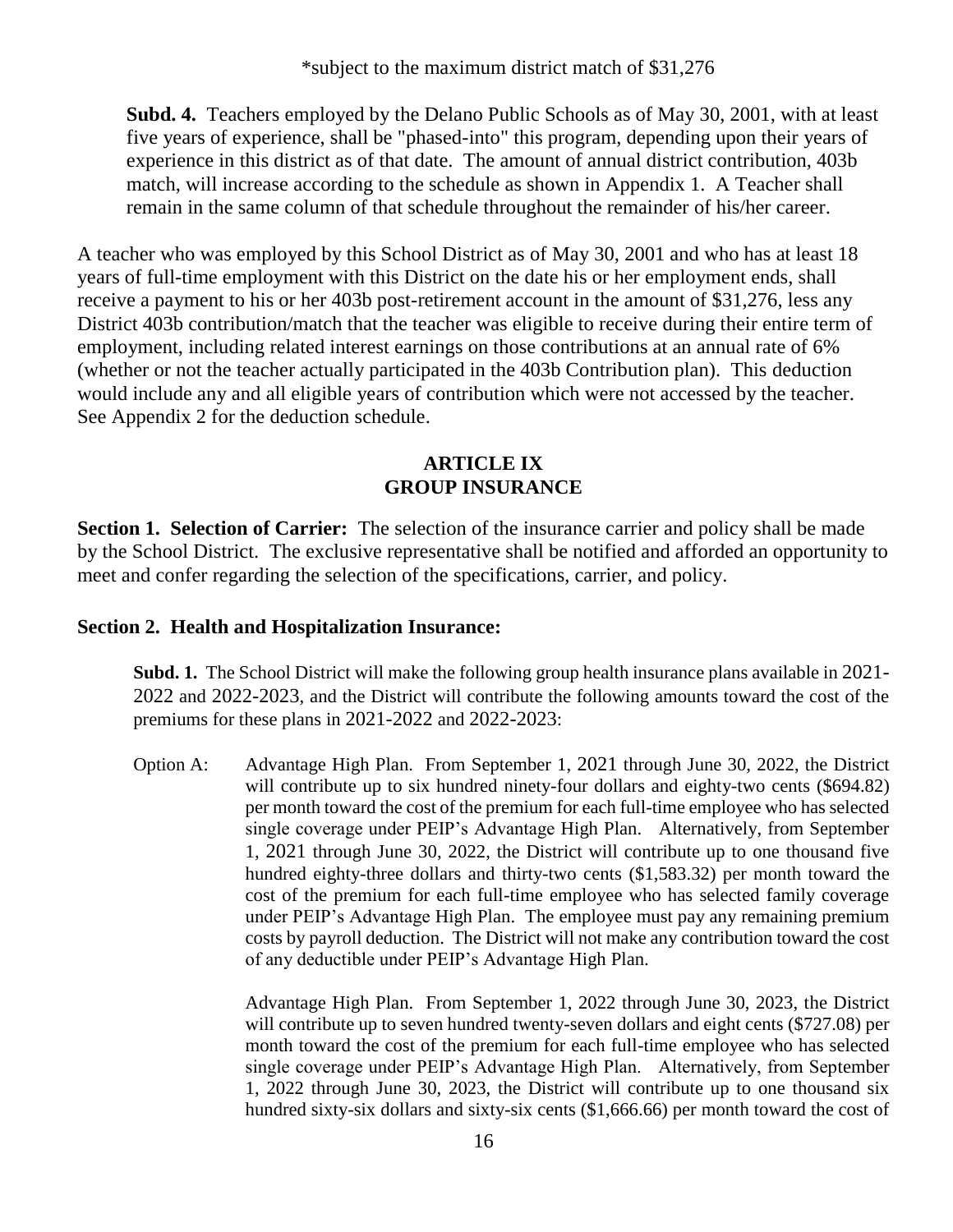**Subd. 4.** Teachers employed by the Delano Public Schools as of May 30, 2001, with at least five years of experience, shall be "phased-into" this program, depending upon their years of experience in this district as of that date. The amount of annual district contribution, 403b match, will increase according to the schedule as shown in Appendix 1. A Teacher shall remain in the same column of that schedule throughout the remainder of his/her career.

A teacher who was employed by this School District as of May 30, 2001 and who has at least 18 years of full-time employment with this District on the date his or her employment ends, shall receive a payment to his or her 403b post-retirement account in the amount of \$31,276, less any District 403b contribution/match that the teacher was eligible to receive during their entire term of employment, including related interest earnings on those contributions at an annual rate of 6% (whether or not the teacher actually participated in the 403b Contribution plan). This deduction would include any and all eligible years of contribution which were not accessed by the teacher. See Appendix 2 for the deduction schedule.

#### **ARTICLE IX GROUP INSURANCE**

**Section 1. Selection of Carrier:** The selection of the insurance carrier and policy shall be made by the School District. The exclusive representative shall be notified and afforded an opportunity to meet and confer regarding the selection of the specifications, carrier, and policy.

# **Section 2. Health and Hospitalization Insurance:**

**Subd. 1.** The School District will make the following group health insurance plans available in 2021- 2022 and 2022-2023, and the District will contribute the following amounts toward the cost of the premiums for these plans in 2021-2022 and 2022-2023:

Option A: Advantage High Plan. From September 1, 2021 through June 30, 2022, the District will contribute up to six hundred ninety-four dollars and eighty-two cents (\$694.82) per month toward the cost of the premium for each full-time employee who has selected single coverage under PEIP's Advantage High Plan. Alternatively, from September 1, 2021 through June 30, 2022, the District will contribute up to one thousand five hundred eighty-three dollars and thirty-two cents (\$1,583.32) per month toward the cost of the premium for each full-time employee who has selected family coverage under PEIP's Advantage High Plan. The employee must pay any remaining premium costs by payroll deduction. The District will not make any contribution toward the cost of any deductible under PEIP's Advantage High Plan.

> Advantage High Plan. From September 1, 2022 through June 30, 2023, the District will contribute up to seven hundred twenty-seven dollars and eight cents (\$727.08) per month toward the cost of the premium for each full-time employee who has selected single coverage under PEIP's Advantage High Plan. Alternatively, from September 1, 2022 through June 30, 2023, the District will contribute up to one thousand six hundred sixty-six dollars and sixty-six cents (\$1,666.66) per month toward the cost of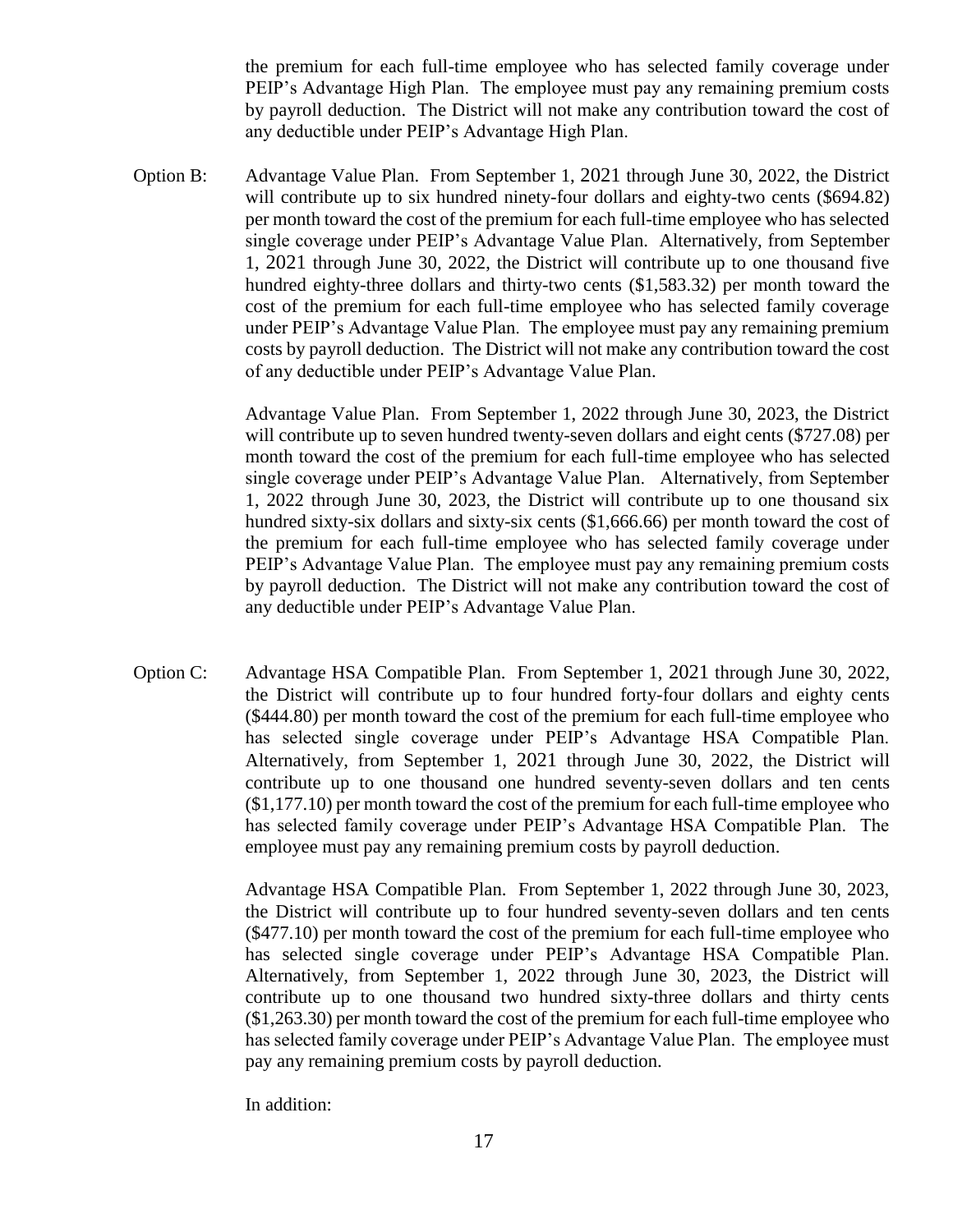the premium for each full-time employee who has selected family coverage under PEIP's Advantage High Plan. The employee must pay any remaining premium costs by payroll deduction. The District will not make any contribution toward the cost of any deductible under PEIP's Advantage High Plan.

Option B: Advantage Value Plan. From September 1, 2021 through June 30, 2022, the District will contribute up to six hundred ninety-four dollars and eighty-two cents (\$694.82) per month toward the cost of the premium for each full-time employee who has selected single coverage under PEIP's Advantage Value Plan. Alternatively, from September 1, 2021 through June 30, 2022, the District will contribute up to one thousand five hundred eighty-three dollars and thirty-two cents (\$1,583.32) per month toward the cost of the premium for each full-time employee who has selected family coverage under PEIP's Advantage Value Plan. The employee must pay any remaining premium costs by payroll deduction. The District will not make any contribution toward the cost of any deductible under PEIP's Advantage Value Plan.

> Advantage Value Plan. From September 1, 2022 through June 30, 2023, the District will contribute up to seven hundred twenty-seven dollars and eight cents (\$727.08) per month toward the cost of the premium for each full-time employee who has selected single coverage under PEIP's Advantage Value Plan. Alternatively, from September 1, 2022 through June 30, 2023, the District will contribute up to one thousand six hundred sixty-six dollars and sixty-six cents (\$1,666.66) per month toward the cost of the premium for each full-time employee who has selected family coverage under PEIP's Advantage Value Plan. The employee must pay any remaining premium costs by payroll deduction. The District will not make any contribution toward the cost of any deductible under PEIP's Advantage Value Plan.

Option C: Advantage HSA Compatible Plan. From September 1, 2021 through June 30, 2022, the District will contribute up to four hundred forty-four dollars and eighty cents (\$444.80) per month toward the cost of the premium for each full-time employee who has selected single coverage under PEIP's Advantage HSA Compatible Plan. Alternatively, from September 1, 2021 through June 30, 2022, the District will contribute up to one thousand one hundred seventy-seven dollars and ten cents (\$1,177.10) per month toward the cost of the premium for each full-time employee who has selected family coverage under PEIP's Advantage HSA Compatible Plan. The employee must pay any remaining premium costs by payroll deduction.

> Advantage HSA Compatible Plan. From September 1, 2022 through June 30, 2023, the District will contribute up to four hundred seventy-seven dollars and ten cents (\$477.10) per month toward the cost of the premium for each full-time employee who has selected single coverage under PEIP's Advantage HSA Compatible Plan. Alternatively, from September 1, 2022 through June 30, 2023, the District will contribute up to one thousand two hundred sixty-three dollars and thirty cents (\$1,263.30) per month toward the cost of the premium for each full-time employee who has selected family coverage under PEIP's Advantage Value Plan. The employee must pay any remaining premium costs by payroll deduction.

In addition: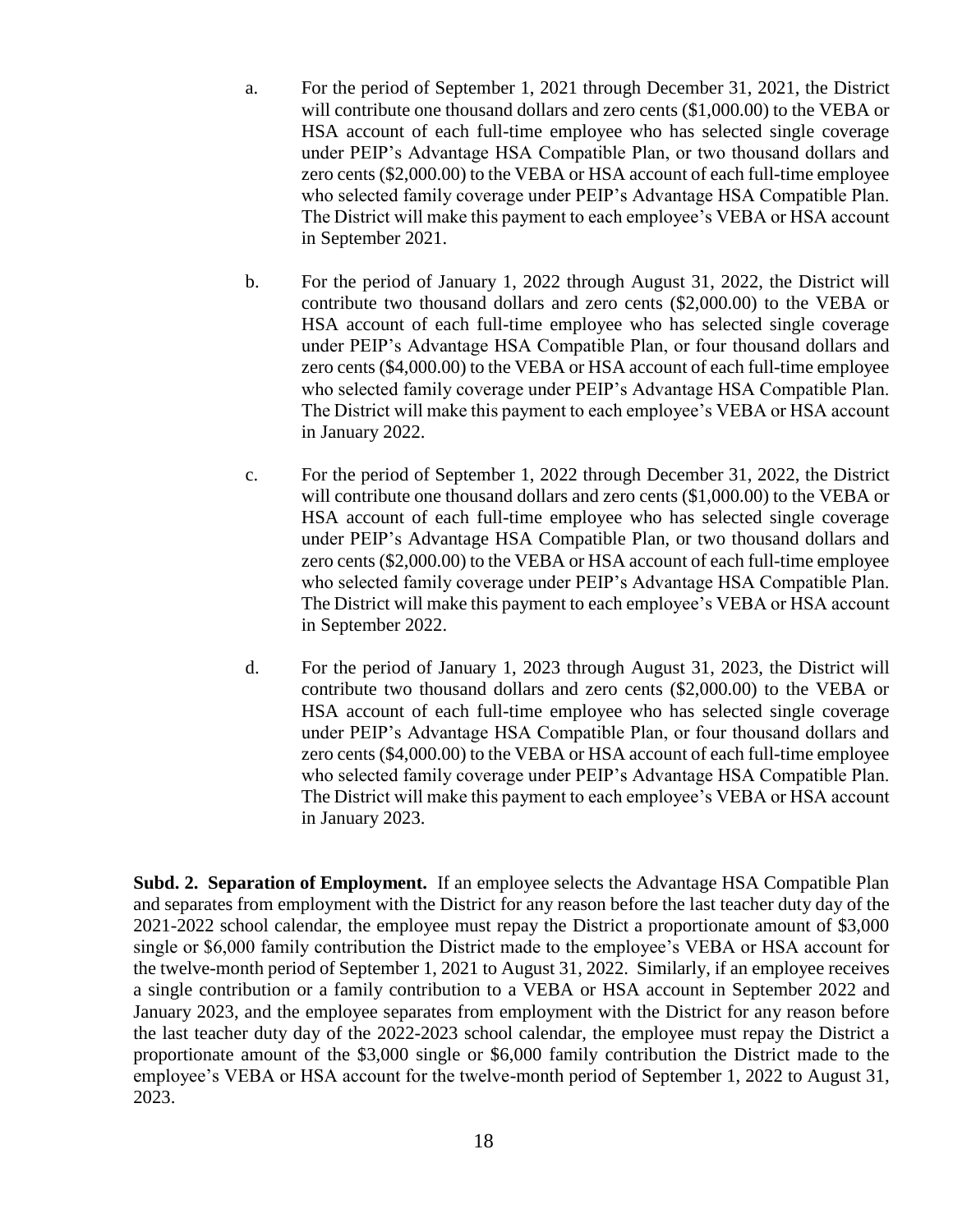- a. For the period of September 1, 2021 through December 31, 2021, the District will contribute one thousand dollars and zero cents (\$1,000.00) to the VEBA or HSA account of each full-time employee who has selected single coverage under PEIP's Advantage HSA Compatible Plan, or two thousand dollars and zero cents (\$2,000.00) to the VEBA or HSA account of each full-time employee who selected family coverage under PEIP's Advantage HSA Compatible Plan. The District will make this payment to each employee's VEBA or HSA account in September 2021.
- b. For the period of January 1, 2022 through August 31, 2022, the District will contribute two thousand dollars and zero cents (\$2,000.00) to the VEBA or HSA account of each full-time employee who has selected single coverage under PEIP's Advantage HSA Compatible Plan, or four thousand dollars and zero cents (\$4,000.00) to the VEBA or HSA account of each full-time employee who selected family coverage under PEIP's Advantage HSA Compatible Plan. The District will make this payment to each employee's VEBA or HSA account in January 2022.
- c. For the period of September 1, 2022 through December 31, 2022, the District will contribute one thousand dollars and zero cents (\$1,000.00) to the VEBA or HSA account of each full-time employee who has selected single coverage under PEIP's Advantage HSA Compatible Plan, or two thousand dollars and zero cents (\$2,000.00) to the VEBA or HSA account of each full-time employee who selected family coverage under PEIP's Advantage HSA Compatible Plan. The District will make this payment to each employee's VEBA or HSA account in September 2022.
- d. For the period of January 1, 2023 through August 31, 2023, the District will contribute two thousand dollars and zero cents (\$2,000.00) to the VEBA or HSA account of each full-time employee who has selected single coverage under PEIP's Advantage HSA Compatible Plan, or four thousand dollars and zero cents (\$4,000.00) to the VEBA or HSA account of each full-time employee who selected family coverage under PEIP's Advantage HSA Compatible Plan. The District will make this payment to each employee's VEBA or HSA account in January 2023.

**Subd. 2. Separation of Employment.** If an employee selects the Advantage HSA Compatible Plan and separates from employment with the District for any reason before the last teacher duty day of the 2021-2022 school calendar, the employee must repay the District a proportionate amount of \$3,000 single or \$6,000 family contribution the District made to the employee's VEBA or HSA account for the twelve-month period of September 1, 2021 to August 31, 2022. Similarly, if an employee receives a single contribution or a family contribution to a VEBA or HSA account in September 2022 and January 2023, and the employee separates from employment with the District for any reason before the last teacher duty day of the 2022-2023 school calendar, the employee must repay the District a proportionate amount of the \$3,000 single or \$6,000 family contribution the District made to the employee's VEBA or HSA account for the twelve-month period of September 1, 2022 to August 31, 2023.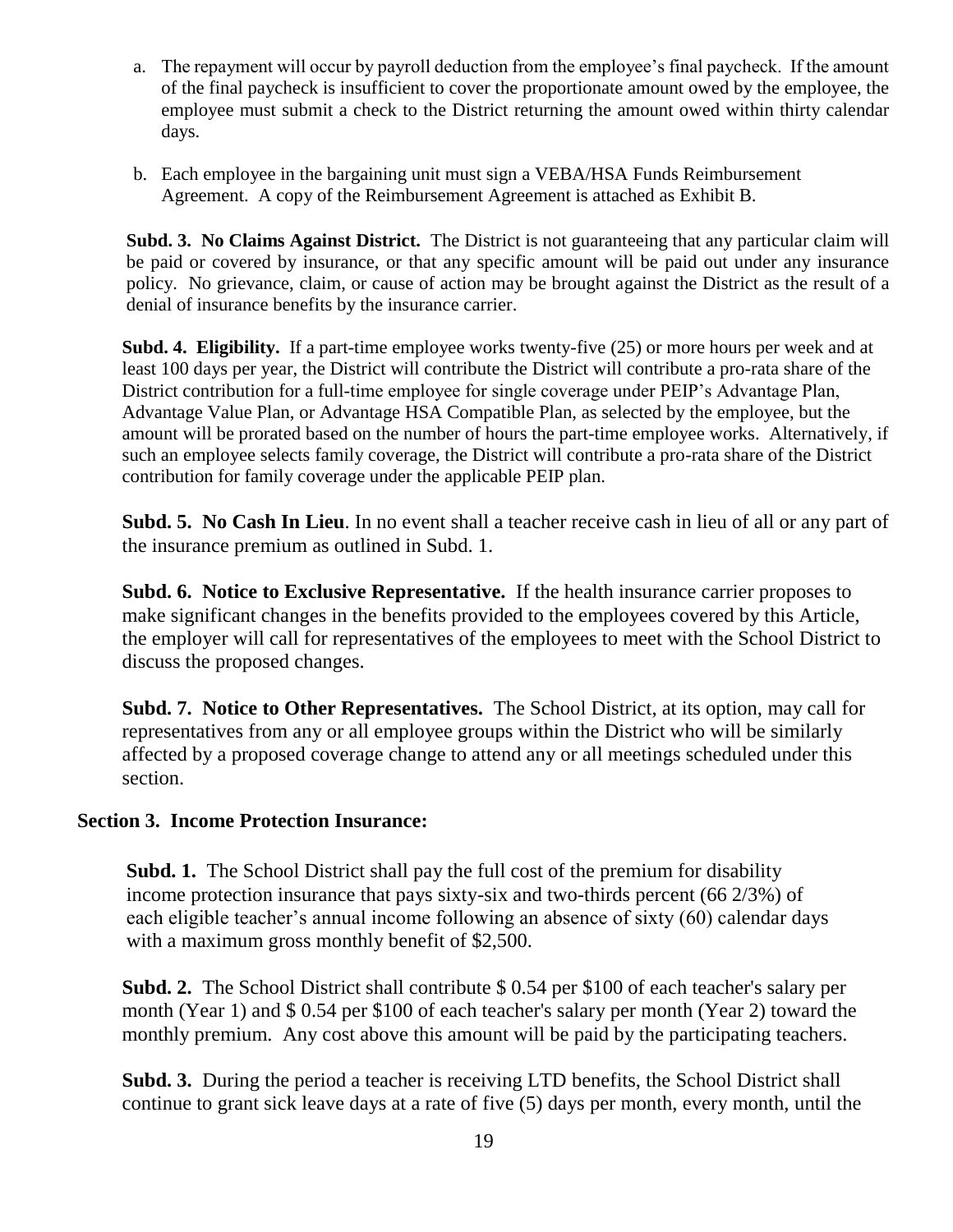- a. The repayment will occur by payroll deduction from the employee's final paycheck. If the amount of the final paycheck is insufficient to cover the proportionate amount owed by the employee, the employee must submit a check to the District returning the amount owed within thirty calendar days.
- b. Each employee in the bargaining unit must sign a VEBA/HSA Funds Reimbursement Agreement. A copy of the Reimbursement Agreement is attached as Exhibit B.

**Subd. 3. No Claims Against District.** The District is not guaranteeing that any particular claim will be paid or covered by insurance, or that any specific amount will be paid out under any insurance policy. No grievance, claim, or cause of action may be brought against the District as the result of a denial of insurance benefits by the insurance carrier.

**Subd. 4. Eligibility.** If a part-time employee works twenty-five (25) or more hours per week and at least 100 days per year, the District will contribute the District will contribute a pro-rata share of the District contribution for a full-time employee for single coverage under PEIP's Advantage Plan, Advantage Value Plan, or Advantage HSA Compatible Plan, as selected by the employee, but the amount will be prorated based on the number of hours the part-time employee works. Alternatively, if such an employee selects family coverage, the District will contribute a pro-rata share of the District contribution for family coverage under the applicable PEIP plan.

**Subd. 5. No Cash In Lieu**. In no event shall a teacher receive cash in lieu of all or any part of the insurance premium as outlined in Subd. 1.

**Subd. 6. Notice to Exclusive Representative.** If the health insurance carrier proposes to make significant changes in the benefits provided to the employees covered by this Article, the employer will call for representatives of the employees to meet with the School District to discuss the proposed changes.

**Subd. 7. Notice to Other Representatives.** The School District, at its option, may call for representatives from any or all employee groups within the District who will be similarly affected by a proposed coverage change to attend any or all meetings scheduled under this section.

#### **Section 3. Income Protection Insurance:**

**Subd. 1.** The School District shall pay the full cost of the premium for disability income protection insurance that pays sixty-six and two-thirds percent (66 2/3%) of each eligible teacher's annual income following an absence of sixty (60) calendar days with a maximum gross monthly benefit of \$2,500.

**Subd. 2.** The School District shall contribute \$ 0.54 per \$100 of each teacher's salary per month (Year 1) and \$ 0.54 per \$100 of each teacher's salary per month (Year 2) toward the monthly premium. Any cost above this amount will be paid by the participating teachers.

**Subd. 3.** During the period a teacher is receiving LTD benefits, the School District shall continue to grant sick leave days at a rate of five (5) days per month, every month, until the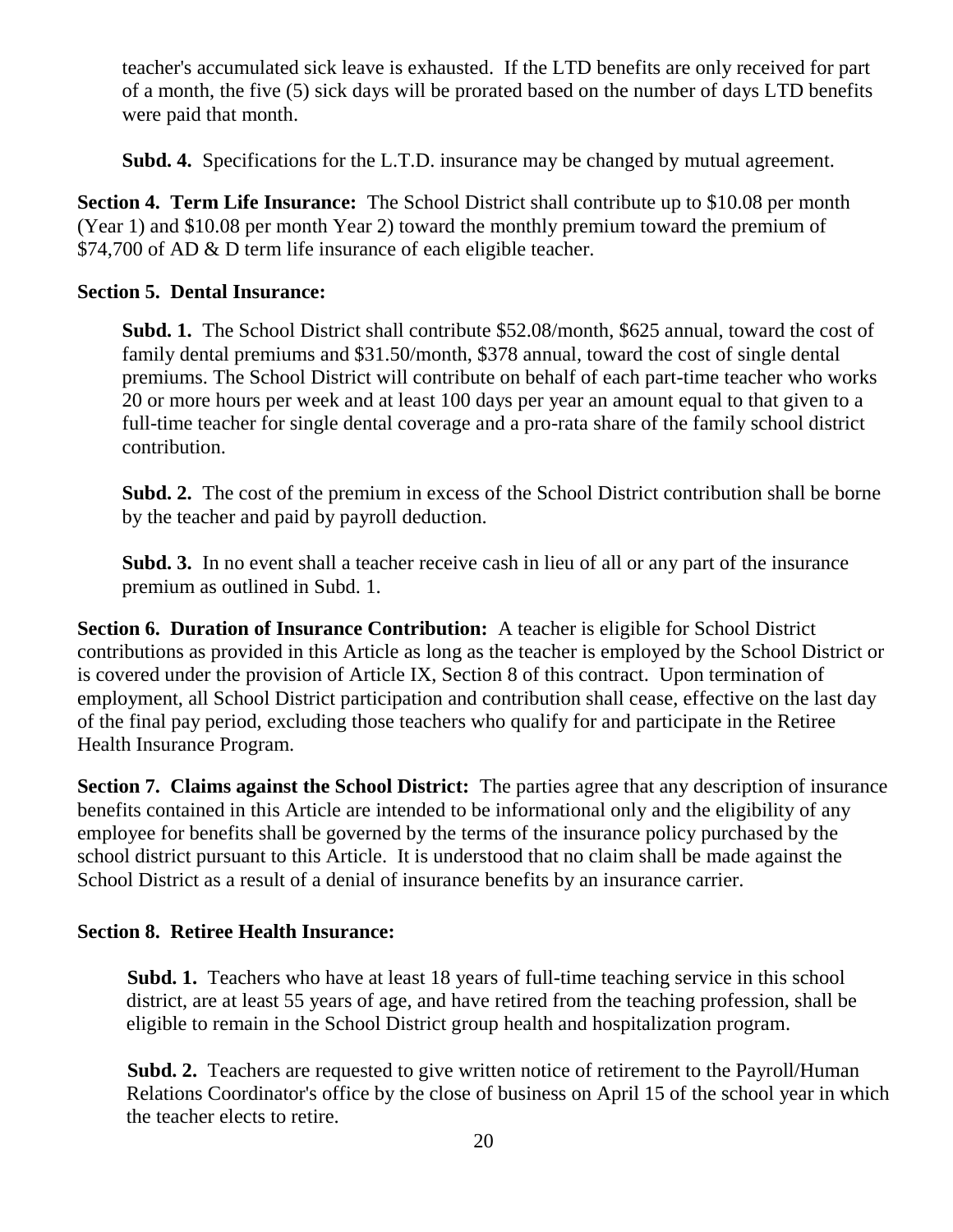teacher's accumulated sick leave is exhausted. If the LTD benefits are only received for part of a month, the five (5) sick days will be prorated based on the number of days LTD benefits were paid that month.

**Subd. 4.** Specifications for the L.T.D. insurance may be changed by mutual agreement.

**Section 4. Term Life Insurance:** The School District shall contribute up to \$10.08 per month (Year 1) and \$10.08 per month Year 2) toward the monthly premium toward the premium of \$74,700 of AD & D term life insurance of each eligible teacher.

# **Section 5. Dental Insurance:**

**Subd. 1.** The School District shall contribute \$52.08/month, \$625 annual, toward the cost of family dental premiums and \$31.50/month, \$378 annual, toward the cost of single dental premiums. The School District will contribute on behalf of each part-time teacher who works 20 or more hours per week and at least 100 days per year an amount equal to that given to a full-time teacher for single dental coverage and a pro-rata share of the family school district contribution.

**Subd. 2.** The cost of the premium in excess of the School District contribution shall be borne by the teacher and paid by payroll deduction.

**Subd. 3.** In no event shall a teacher receive cash in lieu of all or any part of the insurance premium as outlined in Subd. 1.

**Section 6. Duration of Insurance Contribution:** A teacher is eligible for School District contributions as provided in this Article as long as the teacher is employed by the School District or is covered under the provision of Article IX, Section 8 of this contract. Upon termination of employment, all School District participation and contribution shall cease, effective on the last day of the final pay period, excluding those teachers who qualify for and participate in the Retiree Health Insurance Program.

**Section 7. Claims against the School District:** The parties agree that any description of insurance benefits contained in this Article are intended to be informational only and the eligibility of any employee for benefits shall be governed by the terms of the insurance policy purchased by the school district pursuant to this Article. It is understood that no claim shall be made against the School District as a result of a denial of insurance benefits by an insurance carrier.

# **Section 8. Retiree Health Insurance:**

**Subd. 1.** Teachers who have at least 18 years of full-time teaching service in this school district, are at least 55 years of age, and have retired from the teaching profession, shall be eligible to remain in the School District group health and hospitalization program.

**Subd. 2.** Teachers are requested to give written notice of retirement to the Payroll/Human Relations Coordinator's office by the close of business on April 15 of the school year in which the teacher elects to retire.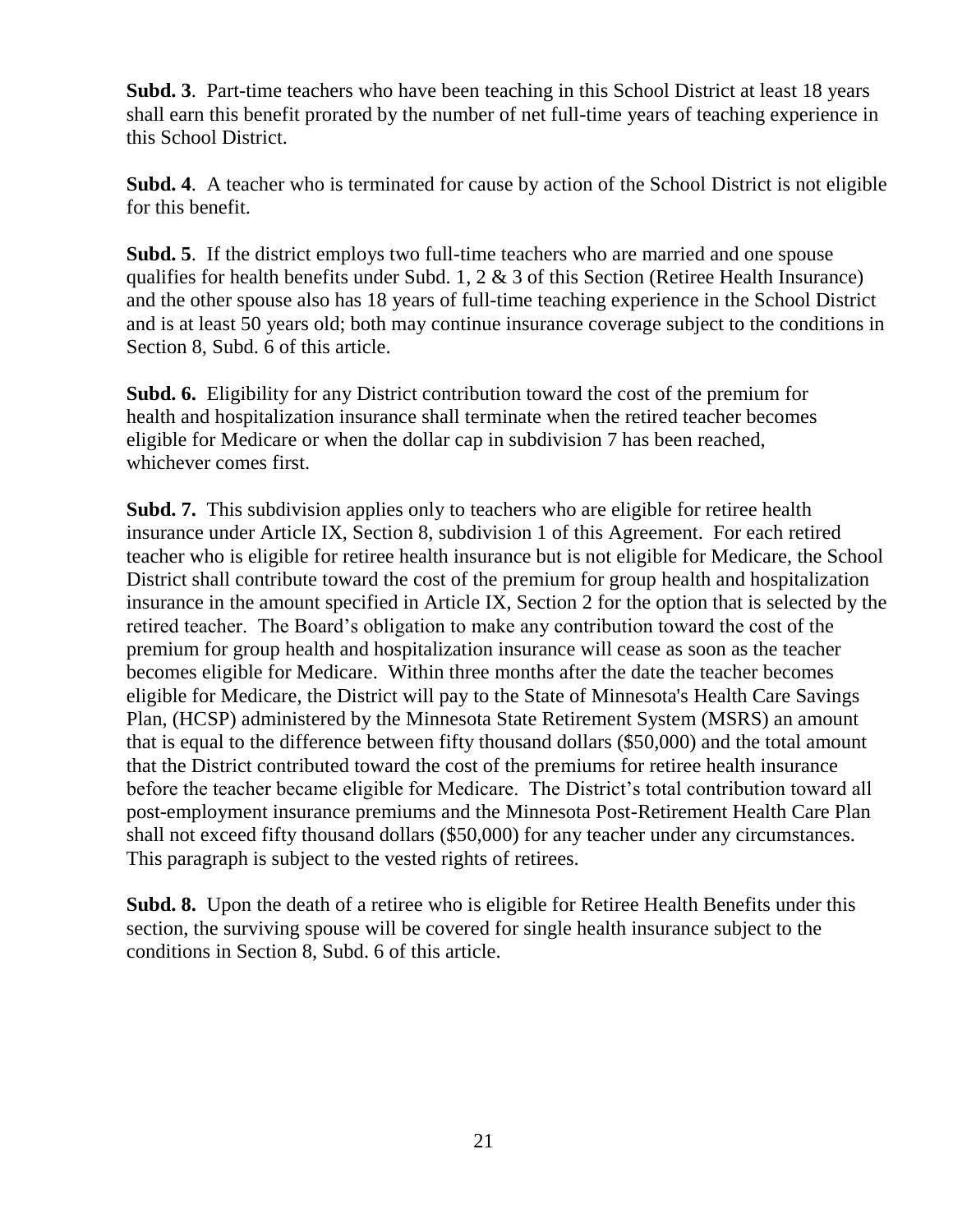**Subd. 3**. Part-time teachers who have been teaching in this School District at least 18 years shall earn this benefit prorated by the number of net full-time years of teaching experience in this School District.

**Subd. 4**. A teacher who is terminated for cause by action of the School District is not eligible for this benefit.

**Subd. 5**. If the district employs two full-time teachers who are married and one spouse qualifies for health benefits under Subd. 1, 2 & 3 of this Section (Retiree Health Insurance) and the other spouse also has 18 years of full-time teaching experience in the School District and is at least 50 years old; both may continue insurance coverage subject to the conditions in Section 8, Subd. 6 of this article.

**Subd. 6.** Eligibility for any District contribution toward the cost of the premium for health and hospitalization insurance shall terminate when the retired teacher becomes eligible for Medicare or when the dollar cap in subdivision 7 has been reached, whichever comes first.

**Subd. 7.** This subdivision applies only to teachers who are eligible for retiree health insurance under Article IX, Section 8, subdivision 1 of this Agreement. For each retired teacher who is eligible for retiree health insurance but is not eligible for Medicare, the School District shall contribute toward the cost of the premium for group health and hospitalization insurance in the amount specified in Article IX, Section 2 for the option that is selected by the retired teacher. The Board's obligation to make any contribution toward the cost of the premium for group health and hospitalization insurance will cease as soon as the teacher becomes eligible for Medicare. Within three months after the date the teacher becomes eligible for Medicare, the District will pay to the State of Minnesota's Health Care Savings Plan, (HCSP) administered by the Minnesota State Retirement System (MSRS) an amount that is equal to the difference between fifty thousand dollars (\$50,000) and the total amount that the District contributed toward the cost of the premiums for retiree health insurance before the teacher became eligible for Medicare. The District's total contribution toward all post-employment insurance premiums and the Minnesota Post-Retirement Health Care Plan shall not exceed fifty thousand dollars (\$50,000) for any teacher under any circumstances. This paragraph is subject to the vested rights of retirees.

**Subd. 8.** Upon the death of a retiree who is eligible for Retiree Health Benefits under this section, the surviving spouse will be covered for single health insurance subject to the conditions in Section 8, Subd. 6 of this article.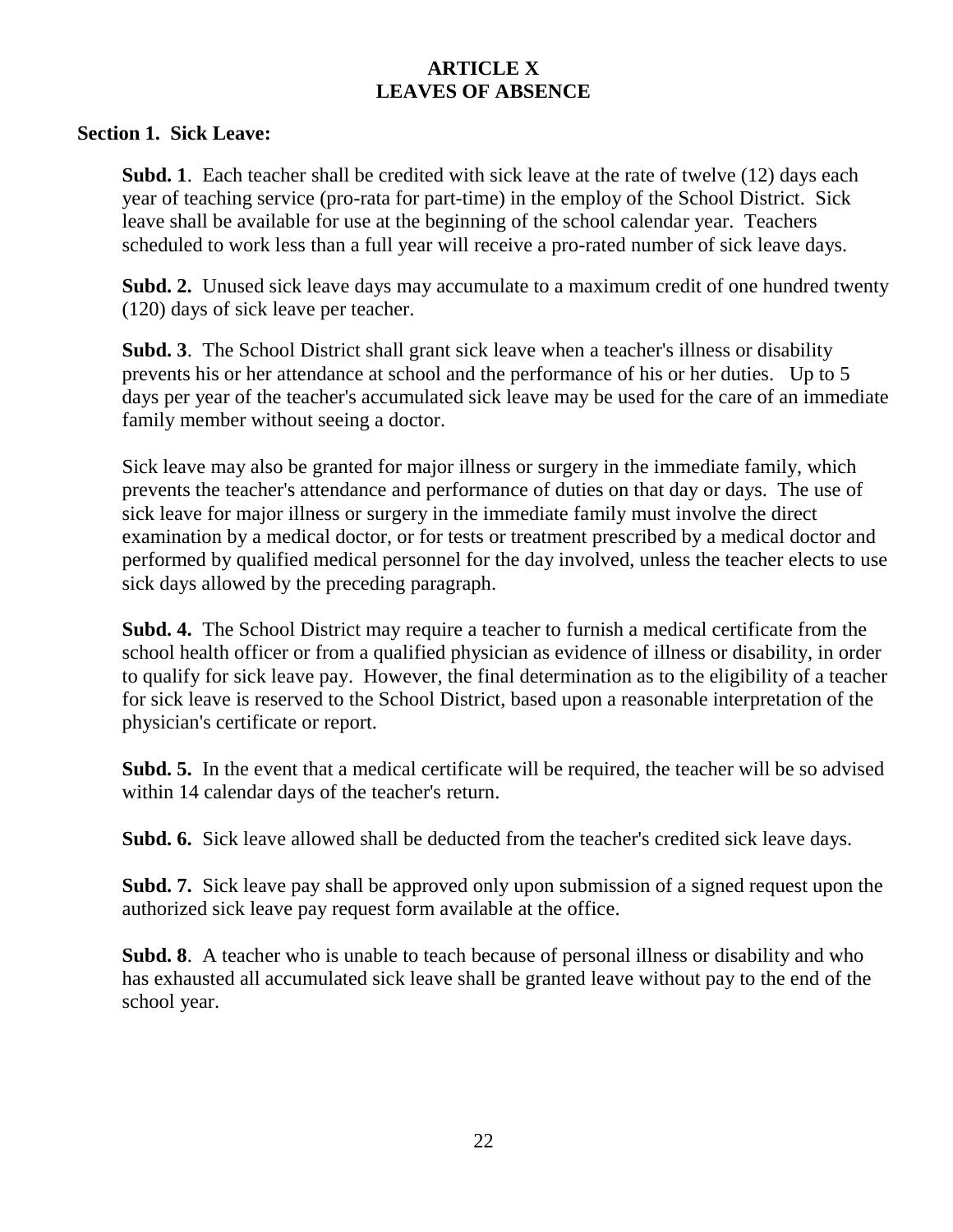# **ARTICLE X LEAVES OF ABSENCE**

#### **Section 1. Sick Leave:**

**Subd. 1**. Each teacher shall be credited with sick leave at the rate of twelve (12) days each year of teaching service (pro-rata for part-time) in the employ of the School District. Sick leave shall be available for use at the beginning of the school calendar year. Teachers scheduled to work less than a full year will receive a pro-rated number of sick leave days.

**Subd. 2.** Unused sick leave days may accumulate to a maximum credit of one hundred twenty (120) days of sick leave per teacher.

**Subd. 3**. The School District shall grant sick leave when a teacher's illness or disability prevents his or her attendance at school and the performance of his or her duties. Up to 5 days per year of the teacher's accumulated sick leave may be used for the care of an immediate family member without seeing a doctor.

Sick leave may also be granted for major illness or surgery in the immediate family, which prevents the teacher's attendance and performance of duties on that day or days. The use of sick leave for major illness or surgery in the immediate family must involve the direct examination by a medical doctor, or for tests or treatment prescribed by a medical doctor and performed by qualified medical personnel for the day involved, unless the teacher elects to use sick days allowed by the preceding paragraph.

**Subd. 4.** The School District may require a teacher to furnish a medical certificate from the school health officer or from a qualified physician as evidence of illness or disability, in order to qualify for sick leave pay. However, the final determination as to the eligibility of a teacher for sick leave is reserved to the School District, based upon a reasonable interpretation of the physician's certificate or report.

**Subd. 5.** In the event that a medical certificate will be required, the teacher will be so advised within 14 calendar days of the teacher's return.

**Subd. 6.** Sick leave allowed shall be deducted from the teacher's credited sick leave days.

**Subd. 7.** Sick leave pay shall be approved only upon submission of a signed request upon the authorized sick leave pay request form available at the office.

**Subd. 8**. A teacher who is unable to teach because of personal illness or disability and who has exhausted all accumulated sick leave shall be granted leave without pay to the end of the school year.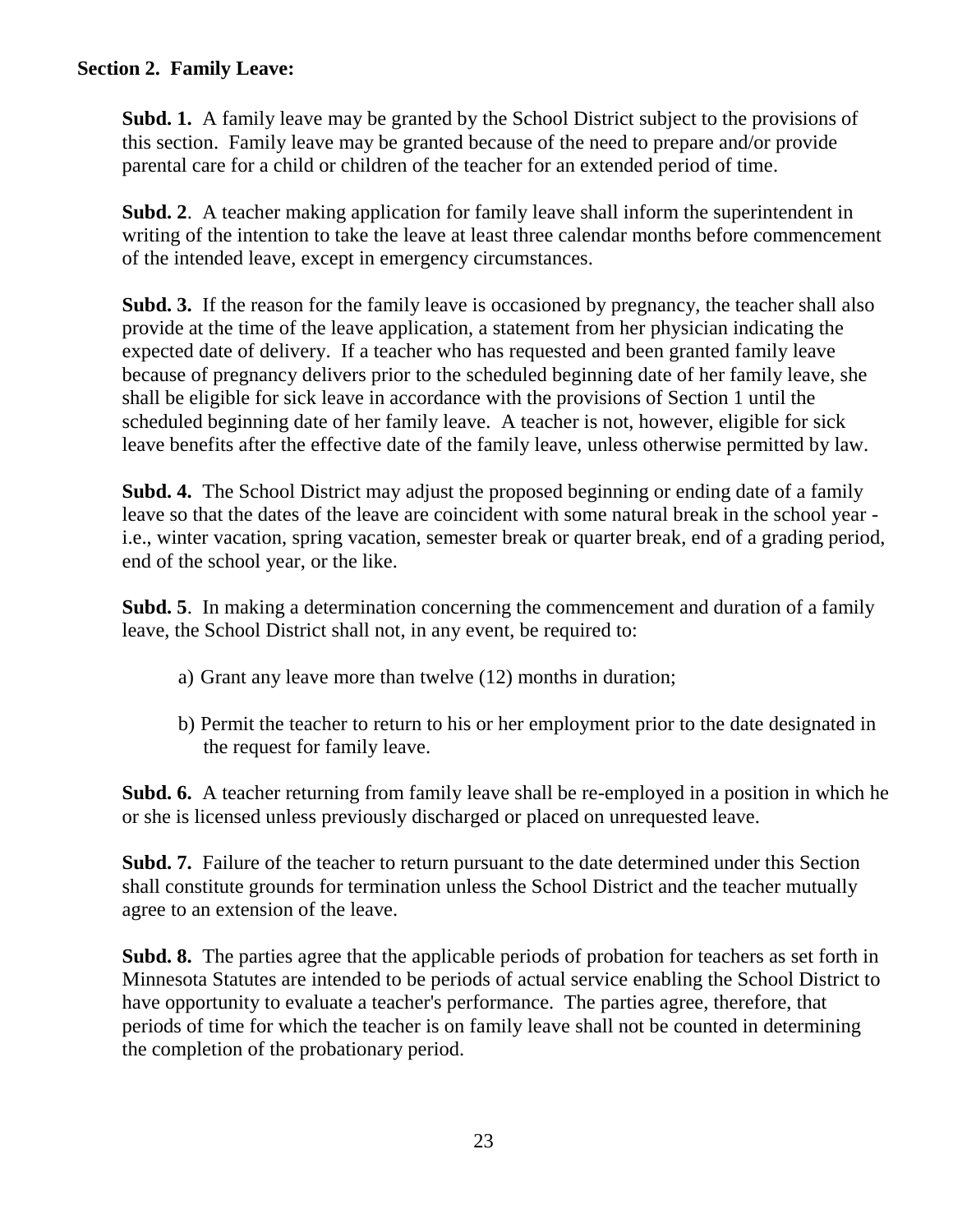#### **Section 2. Family Leave:**

**Subd. 1.** A family leave may be granted by the School District subject to the provisions of this section. Family leave may be granted because of the need to prepare and/or provide parental care for a child or children of the teacher for an extended period of time.

**Subd. 2**. A teacher making application for family leave shall inform the superintendent in writing of the intention to take the leave at least three calendar months before commencement of the intended leave, except in emergency circumstances.

**Subd. 3.** If the reason for the family leave is occasioned by pregnancy, the teacher shall also provide at the time of the leave application, a statement from her physician indicating the expected date of delivery. If a teacher who has requested and been granted family leave because of pregnancy delivers prior to the scheduled beginning date of her family leave, she shall be eligible for sick leave in accordance with the provisions of Section 1 until the scheduled beginning date of her family leave. A teacher is not, however, eligible for sick leave benefits after the effective date of the family leave, unless otherwise permitted by law.

**Subd. 4.** The School District may adjust the proposed beginning or ending date of a family leave so that the dates of the leave are coincident with some natural break in the school year i.e., winter vacation, spring vacation, semester break or quarter break, end of a grading period, end of the school year, or the like.

**Subd. 5**. In making a determination concerning the commencement and duration of a family leave, the School District shall not, in any event, be required to:

- a) Grant any leave more than twelve (12) months in duration;
- b) Permit the teacher to return to his or her employment prior to the date designated in the request for family leave.

**Subd. 6.** A teacher returning from family leave shall be re-employed in a position in which he or she is licensed unless previously discharged or placed on unrequested leave.

**Subd. 7.** Failure of the teacher to return pursuant to the date determined under this Section shall constitute grounds for termination unless the School District and the teacher mutually agree to an extension of the leave.

**Subd. 8.** The parties agree that the applicable periods of probation for teachers as set forth in Minnesota Statutes are intended to be periods of actual service enabling the School District to have opportunity to evaluate a teacher's performance. The parties agree, therefore, that periods of time for which the teacher is on family leave shall not be counted in determining the completion of the probationary period.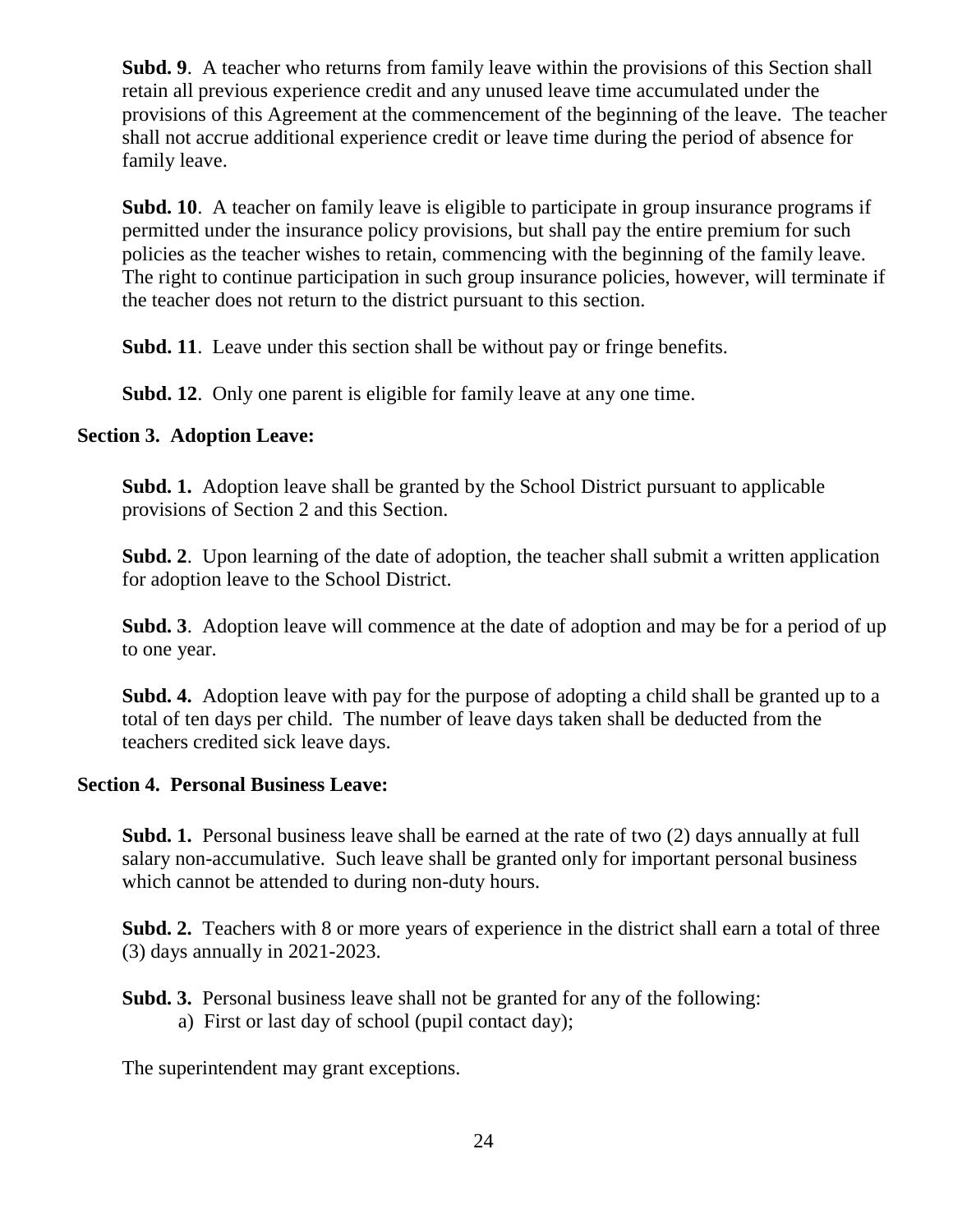**Subd. 9**. A teacher who returns from family leave within the provisions of this Section shall retain all previous experience credit and any unused leave time accumulated under the provisions of this Agreement at the commencement of the beginning of the leave. The teacher shall not accrue additional experience credit or leave time during the period of absence for family leave.

**Subd. 10**. A teacher on family leave is eligible to participate in group insurance programs if permitted under the insurance policy provisions, but shall pay the entire premium for such policies as the teacher wishes to retain, commencing with the beginning of the family leave. The right to continue participation in such group insurance policies, however, will terminate if the teacher does not return to the district pursuant to this section.

**Subd. 11**. Leave under this section shall be without pay or fringe benefits.

**Subd. 12**. Only one parent is eligible for family leave at any one time.

#### **Section 3. Adoption Leave:**

**Subd. 1.** Adoption leave shall be granted by the School District pursuant to applicable provisions of Section 2 and this Section.

**Subd. 2**. Upon learning of the date of adoption, the teacher shall submit a written application for adoption leave to the School District.

**Subd. 3**. Adoption leave will commence at the date of adoption and may be for a period of up to one year.

**Subd. 4.** Adoption leave with pay for the purpose of adopting a child shall be granted up to a total of ten days per child. The number of leave days taken shall be deducted from the teachers credited sick leave days.

#### **Section 4. Personal Business Leave:**

**Subd. 1.** Personal business leave shall be earned at the rate of two (2) days annually at full salary non-accumulative. Such leave shall be granted only for important personal business which cannot be attended to during non-duty hours.

**Subd. 2.** Teachers with 8 or more years of experience in the district shall earn a total of three (3) days annually in 2021-2023.

#### **Subd. 3.** Personal business leave shall not be granted for any of the following: a) First or last day of school (pupil contact day);

The superintendent may grant exceptions.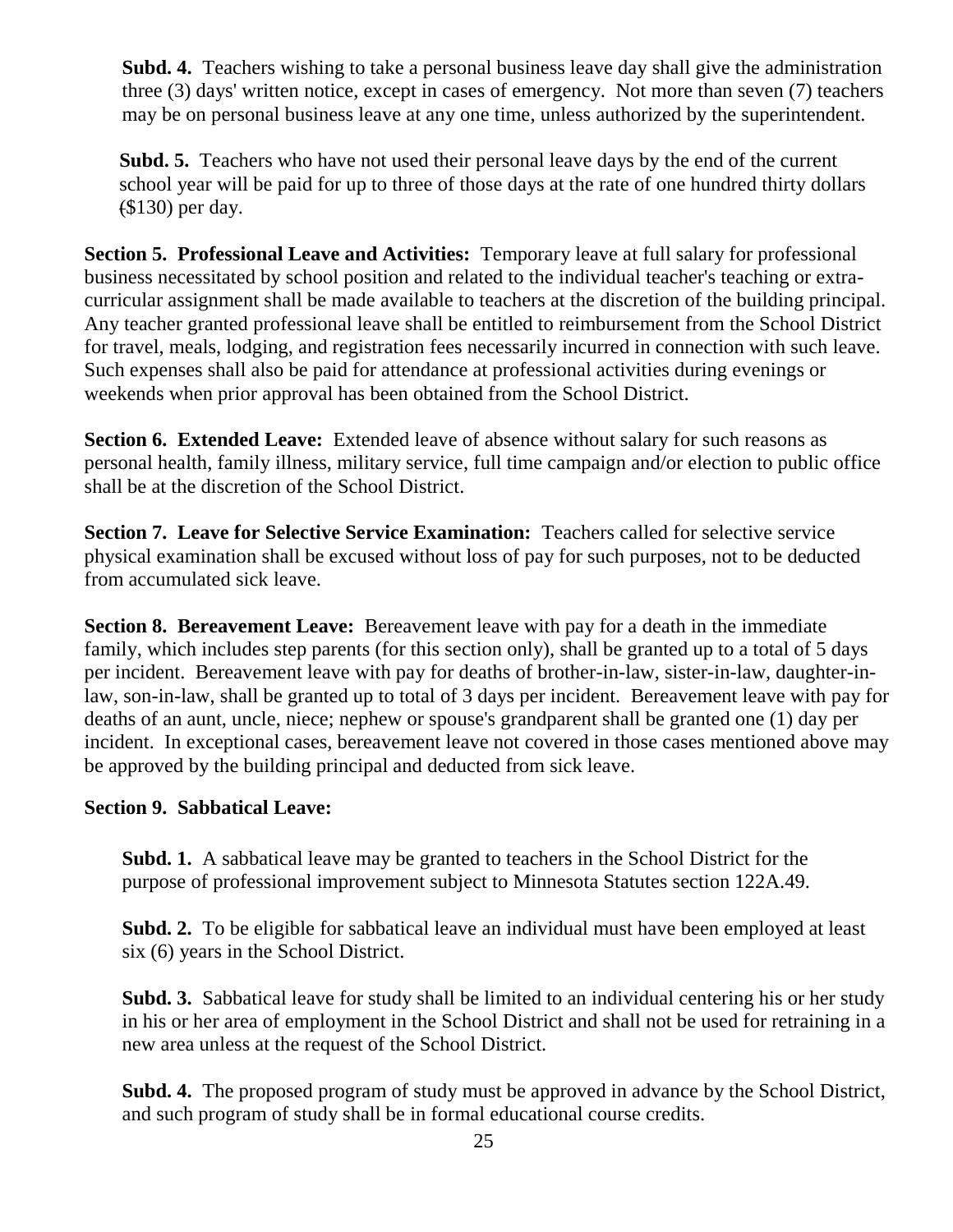**Subd. 4.** Teachers wishing to take a personal business leave day shall give the administration three (3) days' written notice, except in cases of emergency. Not more than seven (7) teachers may be on personal business leave at any one time, unless authorized by the superintendent.

**Subd. 5.** Teachers who have not used their personal leave days by the end of the current school year will be paid for up to three of those days at the rate of one hundred thirty dollars (\$130) per day.

**Section 5. Professional Leave and Activities:** Temporary leave at full salary for professional business necessitated by school position and related to the individual teacher's teaching or extracurricular assignment shall be made available to teachers at the discretion of the building principal. Any teacher granted professional leave shall be entitled to reimbursement from the School District for travel, meals, lodging, and registration fees necessarily incurred in connection with such leave. Such expenses shall also be paid for attendance at professional activities during evenings or weekends when prior approval has been obtained from the School District.

**Section 6. Extended Leave:** Extended leave of absence without salary for such reasons as personal health, family illness, military service, full time campaign and/or election to public office shall be at the discretion of the School District.

**Section 7. Leave for Selective Service Examination:** Teachers called for selective service physical examination shall be excused without loss of pay for such purposes, not to be deducted from accumulated sick leave.

**Section 8. Bereavement Leave:** Bereavement leave with pay for a death in the immediate family, which includes step parents (for this section only), shall be granted up to a total of 5 days per incident. Bereavement leave with pay for deaths of brother-in-law, sister-in-law, daughter-inlaw, son-in-law, shall be granted up to total of 3 days per incident. Bereavement leave with pay for deaths of an aunt, uncle, niece; nephew or spouse's grandparent shall be granted one (1) day per incident. In exceptional cases, bereavement leave not covered in those cases mentioned above may be approved by the building principal and deducted from sick leave.

#### **Section 9. Sabbatical Leave:**

**Subd. 1.** A sabbatical leave may be granted to teachers in the School District for the purpose of professional improvement subject to Minnesota Statutes section 122A.49.

**Subd. 2.** To be eligible for sabbatical leave an individual must have been employed at least six (6) years in the School District.

**Subd. 3.** Sabbatical leave for study shall be limited to an individual centering his or her study in his or her area of employment in the School District and shall not be used for retraining in a new area unless at the request of the School District.

**Subd. 4.** The proposed program of study must be approved in advance by the School District, and such program of study shall be in formal educational course credits.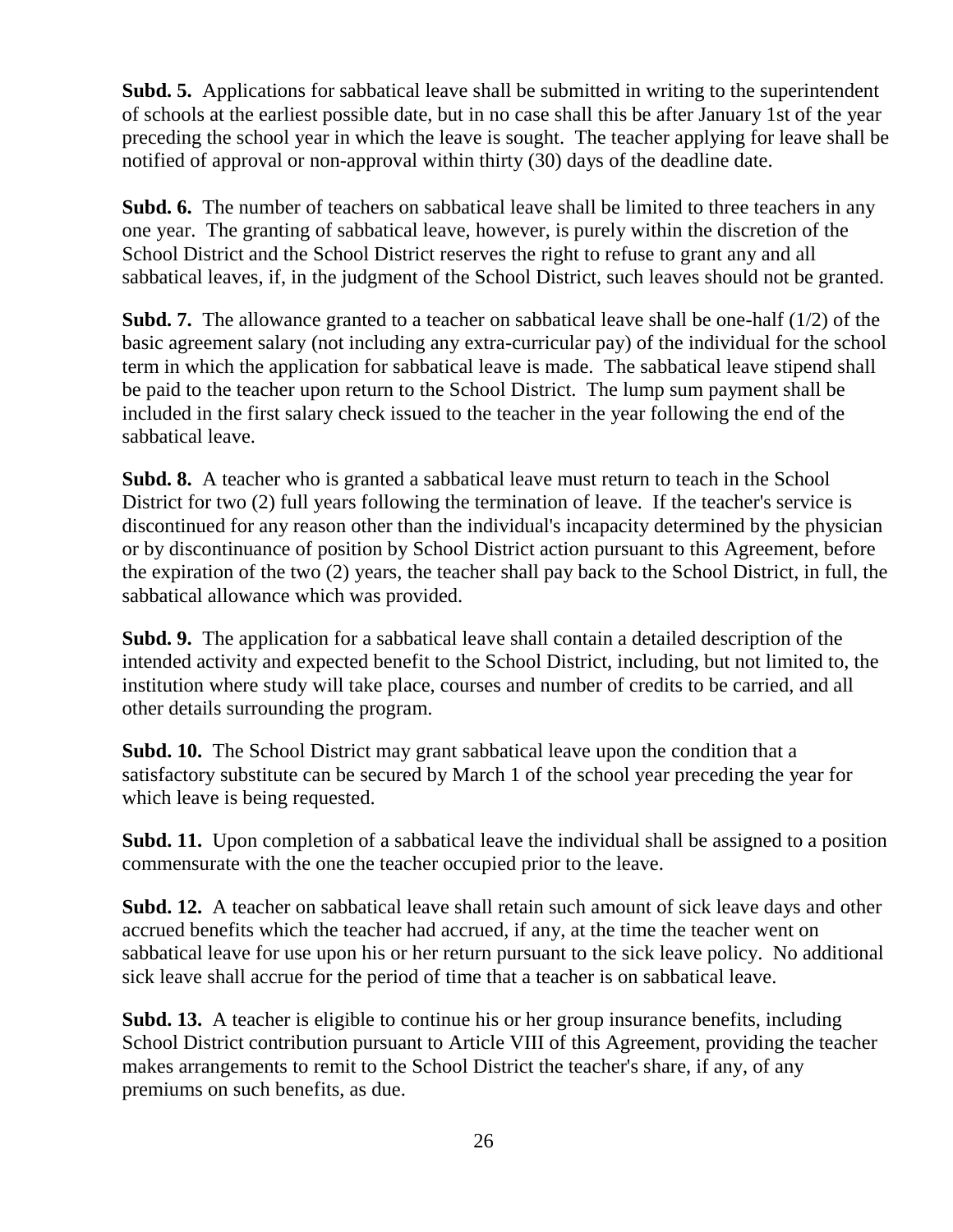**Subd. 5.** Applications for sabbatical leave shall be submitted in writing to the superintendent of schools at the earliest possible date, but in no case shall this be after January 1st of the year preceding the school year in which the leave is sought. The teacher applying for leave shall be notified of approval or non-approval within thirty (30) days of the deadline date.

**Subd. 6.** The number of teachers on sabbatical leave shall be limited to three teachers in any one year. The granting of sabbatical leave, however, is purely within the discretion of the School District and the School District reserves the right to refuse to grant any and all sabbatical leaves, if, in the judgment of the School District, such leaves should not be granted.

**Subd. 7.** The allowance granted to a teacher on sabbatical leave shall be one-half (1/2) of the basic agreement salary (not including any extra-curricular pay) of the individual for the school term in which the application for sabbatical leave is made. The sabbatical leave stipend shall be paid to the teacher upon return to the School District. The lump sum payment shall be included in the first salary check issued to the teacher in the year following the end of the sabbatical leave.

**Subd. 8.** A teacher who is granted a sabbatical leave must return to teach in the School District for two (2) full years following the termination of leave. If the teacher's service is discontinued for any reason other than the individual's incapacity determined by the physician or by discontinuance of position by School District action pursuant to this Agreement, before the expiration of the two (2) years, the teacher shall pay back to the School District, in full, the sabbatical allowance which was provided.

**Subd. 9.** The application for a sabbatical leave shall contain a detailed description of the intended activity and expected benefit to the School District, including, but not limited to, the institution where study will take place, courses and number of credits to be carried, and all other details surrounding the program.

**Subd. 10.** The School District may grant sabbatical leave upon the condition that a satisfactory substitute can be secured by March 1 of the school year preceding the year for which leave is being requested.

**Subd. 11.** Upon completion of a sabbatical leave the individual shall be assigned to a position commensurate with the one the teacher occupied prior to the leave.

**Subd. 12.** A teacher on sabbatical leave shall retain such amount of sick leave days and other accrued benefits which the teacher had accrued, if any, at the time the teacher went on sabbatical leave for use upon his or her return pursuant to the sick leave policy. No additional sick leave shall accrue for the period of time that a teacher is on sabbatical leave.

**Subd. 13.** A teacher is eligible to continue his or her group insurance benefits, including School District contribution pursuant to Article VIII of this Agreement, providing the teacher makes arrangements to remit to the School District the teacher's share, if any, of any premiums on such benefits, as due.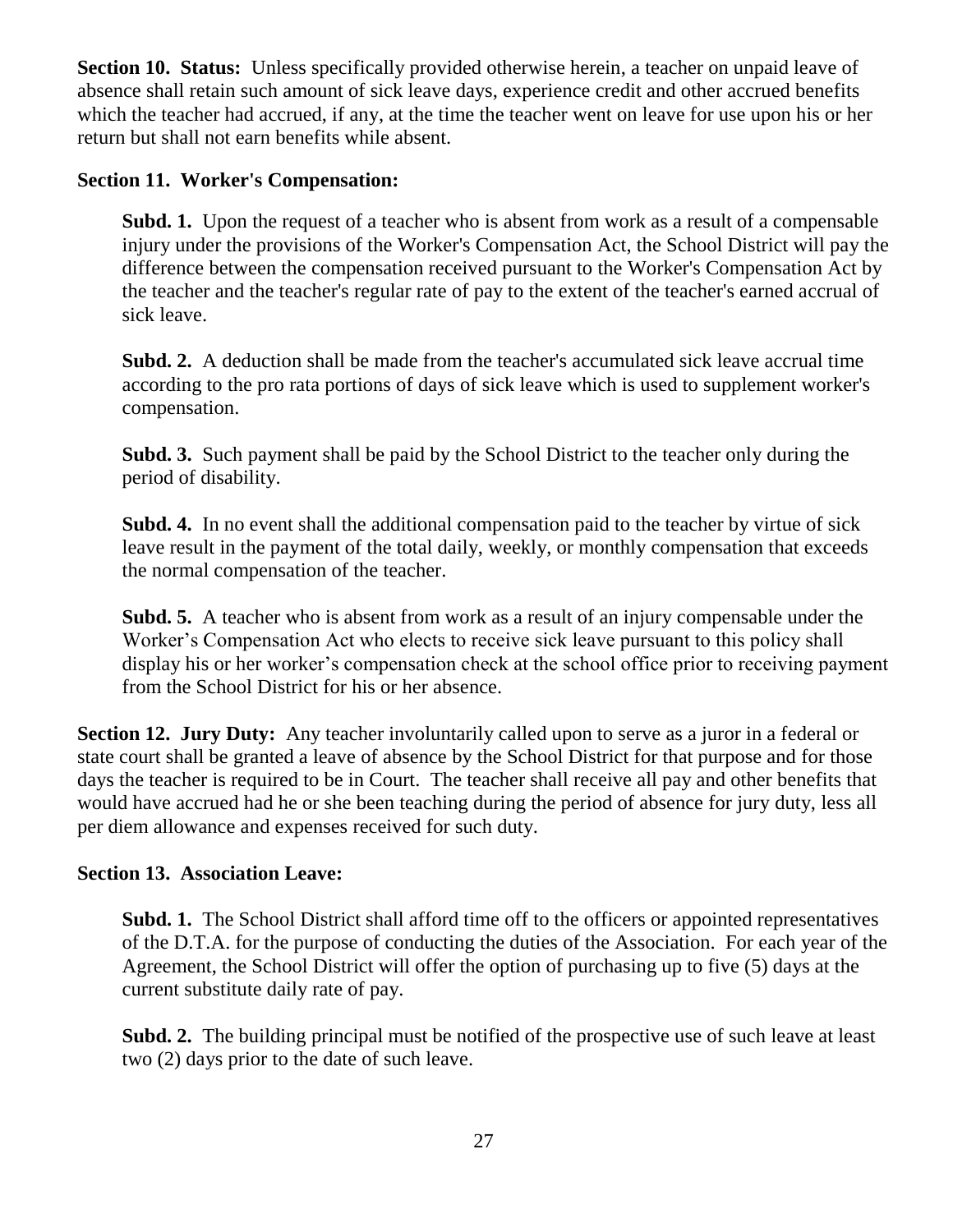**Section 10. Status:** Unless specifically provided otherwise herein, a teacher on unpaid leave of absence shall retain such amount of sick leave days, experience credit and other accrued benefits which the teacher had accrued, if any, at the time the teacher went on leave for use upon his or her return but shall not earn benefits while absent.

#### **Section 11. Worker's Compensation:**

**Subd. 1.** Upon the request of a teacher who is absent from work as a result of a compensable injury under the provisions of the Worker's Compensation Act, the School District will pay the difference between the compensation received pursuant to the Worker's Compensation Act by the teacher and the teacher's regular rate of pay to the extent of the teacher's earned accrual of sick leave.

**Subd. 2.** A deduction shall be made from the teacher's accumulated sick leave accrual time according to the pro rata portions of days of sick leave which is used to supplement worker's compensation.

**Subd. 3.** Such payment shall be paid by the School District to the teacher only during the period of disability.

**Subd. 4.** In no event shall the additional compensation paid to the teacher by virtue of sick leave result in the payment of the total daily, weekly, or monthly compensation that exceeds the normal compensation of the teacher.

**Subd. 5.** A teacher who is absent from work as a result of an injury compensable under the Worker's Compensation Act who elects to receive sick leave pursuant to this policy shall display his or her worker's compensation check at the school office prior to receiving payment from the School District for his or her absence.

**Section 12. Jury Duty:** Any teacher involuntarily called upon to serve as a juror in a federal or state court shall be granted a leave of absence by the School District for that purpose and for those days the teacher is required to be in Court. The teacher shall receive all pay and other benefits that would have accrued had he or she been teaching during the period of absence for jury duty, less all per diem allowance and expenses received for such duty.

#### **Section 13. Association Leave:**

**Subd. 1.** The School District shall afford time off to the officers or appointed representatives of the D.T.A. for the purpose of conducting the duties of the Association. For each year of the Agreement, the School District will offer the option of purchasing up to five (5) days at the current substitute daily rate of pay.

**Subd. 2.** The building principal must be notified of the prospective use of such leave at least two (2) days prior to the date of such leave.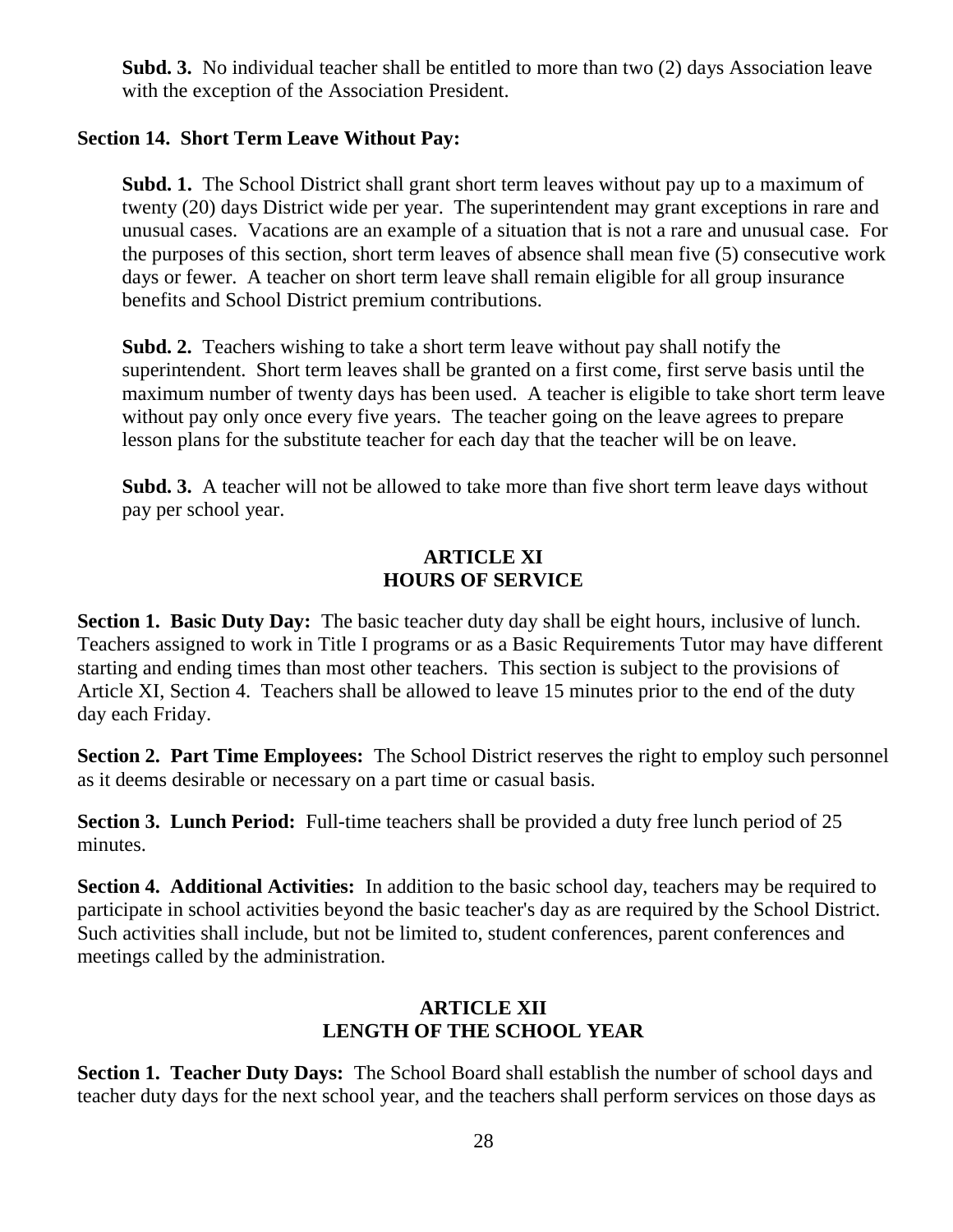**Subd. 3.** No individual teacher shall be entitled to more than two (2) days Association leave with the exception of the Association President.

#### **Section 14. Short Term Leave Without Pay:**

**Subd. 1.** The School District shall grant short term leaves without pay up to a maximum of twenty (20) days District wide per year. The superintendent may grant exceptions in rare and unusual cases. Vacations are an example of a situation that is not a rare and unusual case. For the purposes of this section, short term leaves of absence shall mean five (5) consecutive work days or fewer. A teacher on short term leave shall remain eligible for all group insurance benefits and School District premium contributions.

**Subd. 2.** Teachers wishing to take a short term leave without pay shall notify the superintendent. Short term leaves shall be granted on a first come, first serve basis until the maximum number of twenty days has been used. A teacher is eligible to take short term leave without pay only once every five years. The teacher going on the leave agrees to prepare lesson plans for the substitute teacher for each day that the teacher will be on leave.

**Subd. 3.** A teacher will not be allowed to take more than five short term leave days without pay per school year.

#### **ARTICLE XI HOURS OF SERVICE**

**Section 1. Basic Duty Day:** The basic teacher duty day shall be eight hours, inclusive of lunch. Teachers assigned to work in Title I programs or as a Basic Requirements Tutor may have different starting and ending times than most other teachers. This section is subject to the provisions of Article XI, Section 4. Teachers shall be allowed to leave 15 minutes prior to the end of the duty day each Friday.

**Section 2. Part Time Employees:** The School District reserves the right to employ such personnel as it deems desirable or necessary on a part time or casual basis.

**Section 3. Lunch Period:** Full-time teachers shall be provided a duty free lunch period of 25 minutes.

**Section 4. Additional Activities:** In addition to the basic school day, teachers may be required to participate in school activities beyond the basic teacher's day as are required by the School District. Such activities shall include, but not be limited to, student conferences, parent conferences and meetings called by the administration.

#### **ARTICLE XII LENGTH OF THE SCHOOL YEAR**

**Section 1. Teacher Duty Days:** The School Board shall establish the number of school days and teacher duty days for the next school year, and the teachers shall perform services on those days as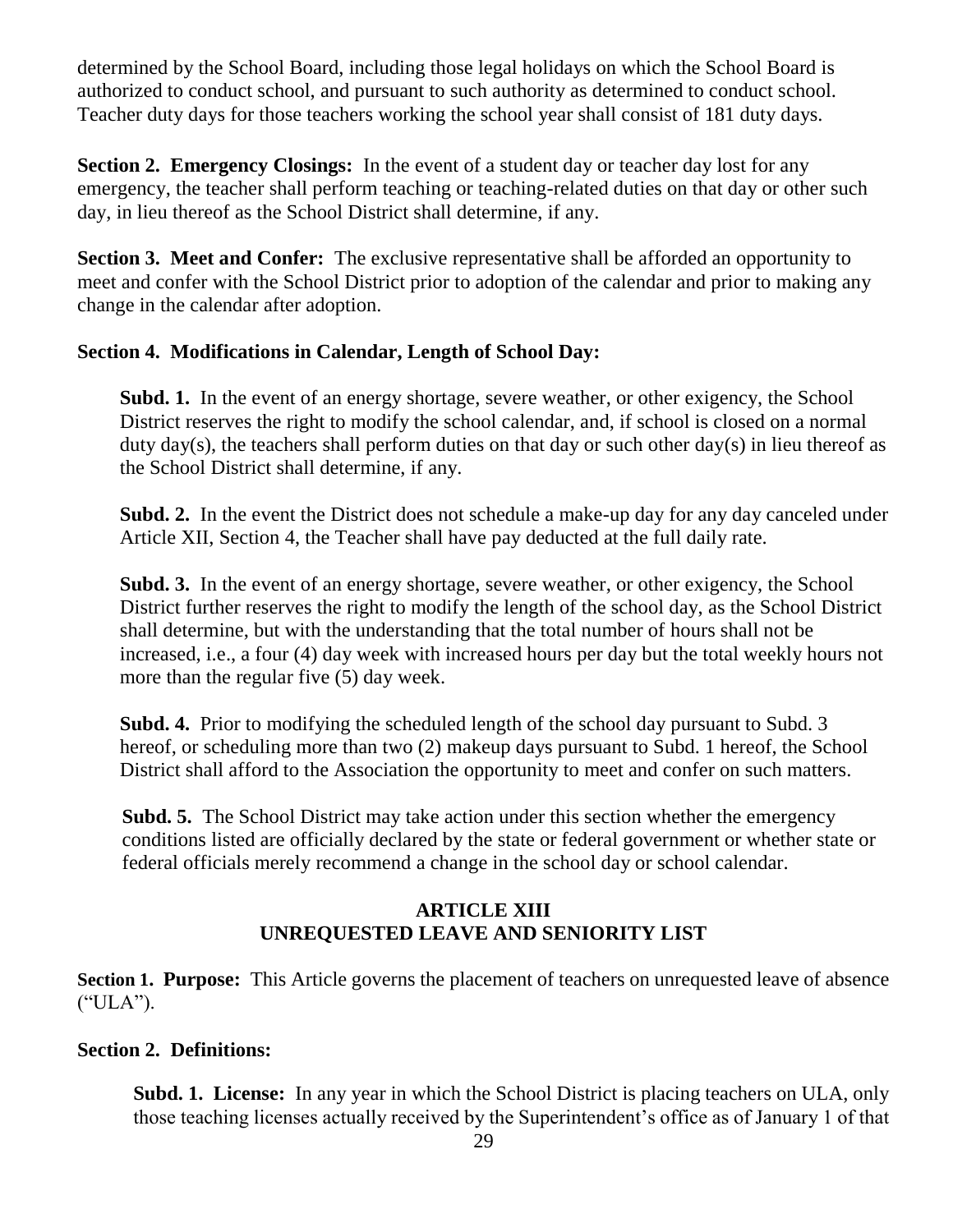determined by the School Board, including those legal holidays on which the School Board is authorized to conduct school, and pursuant to such authority as determined to conduct school. Teacher duty days for those teachers working the school year shall consist of 181 duty days.

**Section 2. Emergency Closings:** In the event of a student day or teacher day lost for any emergency, the teacher shall perform teaching or teaching-related duties on that day or other such day, in lieu thereof as the School District shall determine, if any.

**Section 3. Meet and Confer:** The exclusive representative shall be afforded an opportunity to meet and confer with the School District prior to adoption of the calendar and prior to making any change in the calendar after adoption.

#### **Section 4. Modifications in Calendar, Length of School Day:**

**Subd. 1.** In the event of an energy shortage, severe weather, or other exigency, the School District reserves the right to modify the school calendar, and, if school is closed on a normal duty day(s), the teachers shall perform duties on that day or such other day(s) in lieu thereof as the School District shall determine, if any.

**Subd. 2.** In the event the District does not schedule a make-up day for any day canceled under Article XII, Section 4, the Teacher shall have pay deducted at the full daily rate.

**Subd. 3.** In the event of an energy shortage, severe weather, or other exigency, the School District further reserves the right to modify the length of the school day, as the School District shall determine, but with the understanding that the total number of hours shall not be increased, i.e., a four (4) day week with increased hours per day but the total weekly hours not more than the regular five (5) day week.

**Subd. 4.** Prior to modifying the scheduled length of the school day pursuant to Subd. 3 hereof, or scheduling more than two (2) makeup days pursuant to Subd. 1 hereof, the School District shall afford to the Association the opportunity to meet and confer on such matters.

**Subd. 5.** The School District may take action under this section whether the emergency conditions listed are officially declared by the state or federal government or whether state or federal officials merely recommend a change in the school day or school calendar.

# **ARTICLE XIII UNREQUESTED LEAVE AND SENIORITY LIST**

**Section 1. Purpose:** This Article governs the placement of teachers on unrequested leave of absence ("ULA").

# **Section 2. Definitions:**

**Subd. 1. License:** In any year in which the School District is placing teachers on ULA, only those teaching licenses actually received by the Superintendent's office as of January 1 of that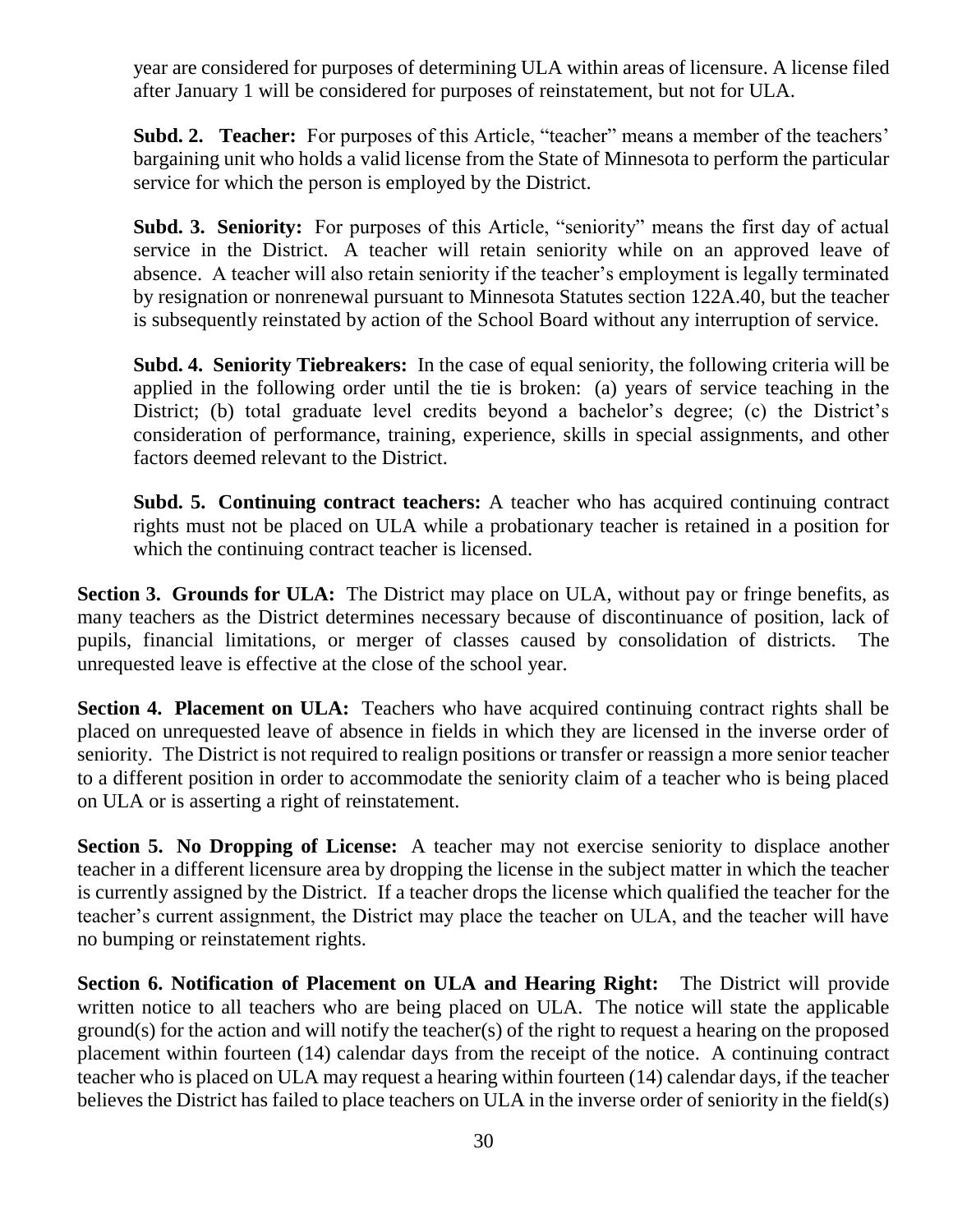year are considered for purposes of determining ULA within areas of licensure. A license filed after January 1 will be considered for purposes of reinstatement, but not for ULA.

**Subd. 2. Teacher:** For purposes of this Article, "teacher" means a member of the teachers' bargaining unit who holds a valid license from the State of Minnesota to perform the particular service for which the person is employed by the District.

**Subd. 3. Seniority:** For purposes of this Article, "seniority" means the first day of actual service in the District. A teacher will retain seniority while on an approved leave of absence. A teacher will also retain seniority if the teacher's employment is legally terminated by resignation or nonrenewal pursuant to Minnesota Statutes section 122A.40, but the teacher is subsequently reinstated by action of the School Board without any interruption of service.

**Subd. 4. Seniority Tiebreakers:** In the case of equal seniority, the following criteria will be applied in the following order until the tie is broken: (a) years of service teaching in the District; (b) total graduate level credits beyond a bachelor's degree; (c) the District's consideration of performance, training, experience, skills in special assignments, and other factors deemed relevant to the District.

**Subd. 5. Continuing contract teachers:** A teacher who has acquired continuing contract rights must not be placed on ULA while a probationary teacher is retained in a position for which the continuing contract teacher is licensed.

**Section 3. Grounds for ULA:** The District may place on ULA, without pay or fringe benefits, as many teachers as the District determines necessary because of discontinuance of position, lack of pupils, financial limitations, or merger of classes caused by consolidation of districts. The unrequested leave is effective at the close of the school year.

**Section 4. Placement on ULA:** Teachers who have acquired continuing contract rights shall be placed on unrequested leave of absence in fields in which they are licensed in the inverse order of seniority. The District is not required to realign positions or transfer or reassign a more senior teacher to a different position in order to accommodate the seniority claim of a teacher who is being placed on ULA or is asserting a right of reinstatement.

**Section 5. No Dropping of License:** A teacher may not exercise seniority to displace another teacher in a different licensure area by dropping the license in the subject matter in which the teacher is currently assigned by the District. If a teacher drops the license which qualified the teacher for the teacher's current assignment, the District may place the teacher on ULA, and the teacher will have no bumping or reinstatement rights.

**Section 6. Notification of Placement on ULA and Hearing Right:** The District will provide written notice to all teachers who are being placed on ULA. The notice will state the applicable ground(s) for the action and will notify the teacher(s) of the right to request a hearing on the proposed placement within fourteen (14) calendar days from the receipt of the notice. A continuing contract teacher who is placed on ULA may request a hearing within fourteen (14) calendar days, if the teacher believes the District has failed to place teachers on ULA in the inverse order of seniority in the field(s)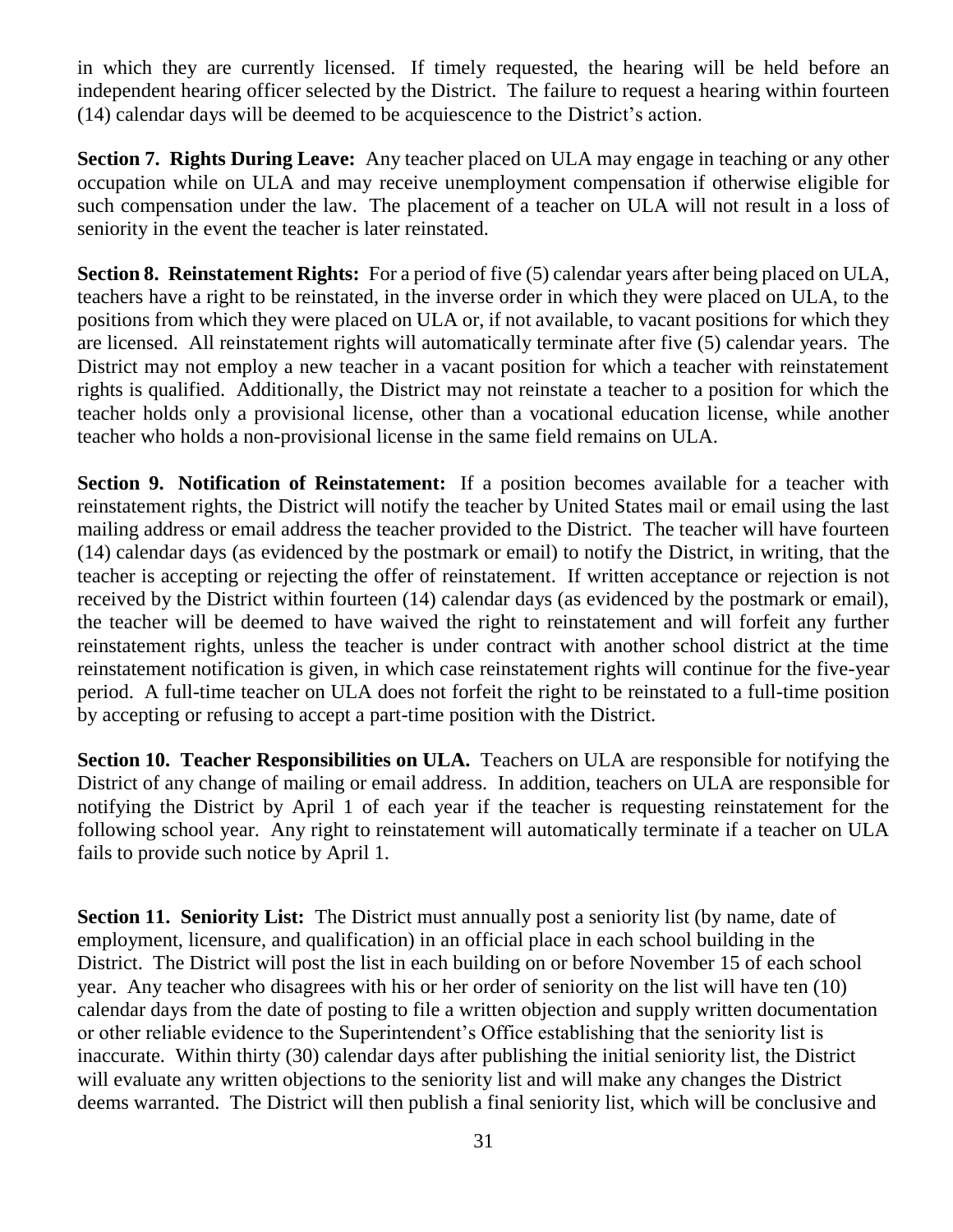in which they are currently licensed. If timely requested, the hearing will be held before an independent hearing officer selected by the District. The failure to request a hearing within fourteen (14) calendar days will be deemed to be acquiescence to the District's action.

**Section 7. Rights During Leave:** Any teacher placed on ULA may engage in teaching or any other occupation while on ULA and may receive unemployment compensation if otherwise eligible for such compensation under the law. The placement of a teacher on ULA will not result in a loss of seniority in the event the teacher is later reinstated.

**Section 8. Reinstatement Rights:** For a period of five (5) calendar years after being placed on ULA, teachers have a right to be reinstated, in the inverse order in which they were placed on ULA, to the positions from which they were placed on ULA or, if not available, to vacant positions for which they are licensed. All reinstatement rights will automatically terminate after five (5) calendar years. The District may not employ a new teacher in a vacant position for which a teacher with reinstatement rights is qualified. Additionally, the District may not reinstate a teacher to a position for which the teacher holds only a provisional license, other than a vocational education license, while another teacher who holds a non-provisional license in the same field remains on ULA.

**Section 9. Notification of Reinstatement:** If a position becomes available for a teacher with reinstatement rights, the District will notify the teacher by United States mail or email using the last mailing address or email address the teacher provided to the District. The teacher will have fourteen (14) calendar days (as evidenced by the postmark or email) to notify the District, in writing, that the teacher is accepting or rejecting the offer of reinstatement. If written acceptance or rejection is not received by the District within fourteen (14) calendar days (as evidenced by the postmark or email), the teacher will be deemed to have waived the right to reinstatement and will forfeit any further reinstatement rights, unless the teacher is under contract with another school district at the time reinstatement notification is given, in which case reinstatement rights will continue for the five-year period. A full-time teacher on ULA does not forfeit the right to be reinstated to a full-time position by accepting or refusing to accept a part-time position with the District.

**Section 10. Teacher Responsibilities on ULA.** Teachers on ULA are responsible for notifying the District of any change of mailing or email address. In addition, teachers on ULA are responsible for notifying the District by April 1 of each year if the teacher is requesting reinstatement for the following school year. Any right to reinstatement will automatically terminate if a teacher on ULA fails to provide such notice by April 1.

**Section 11. Seniority List:** The District must annually post a seniority list (by name, date of employment, licensure, and qualification) in an official place in each school building in the District. The District will post the list in each building on or before November 15 of each school year. Any teacher who disagrees with his or her order of seniority on the list will have ten (10) calendar days from the date of posting to file a written objection and supply written documentation or other reliable evidence to the Superintendent's Office establishing that the seniority list is inaccurate. Within thirty (30) calendar days after publishing the initial seniority list, the District will evaluate any written objections to the seniority list and will make any changes the District deems warranted. The District will then publish a final seniority list, which will be conclusive and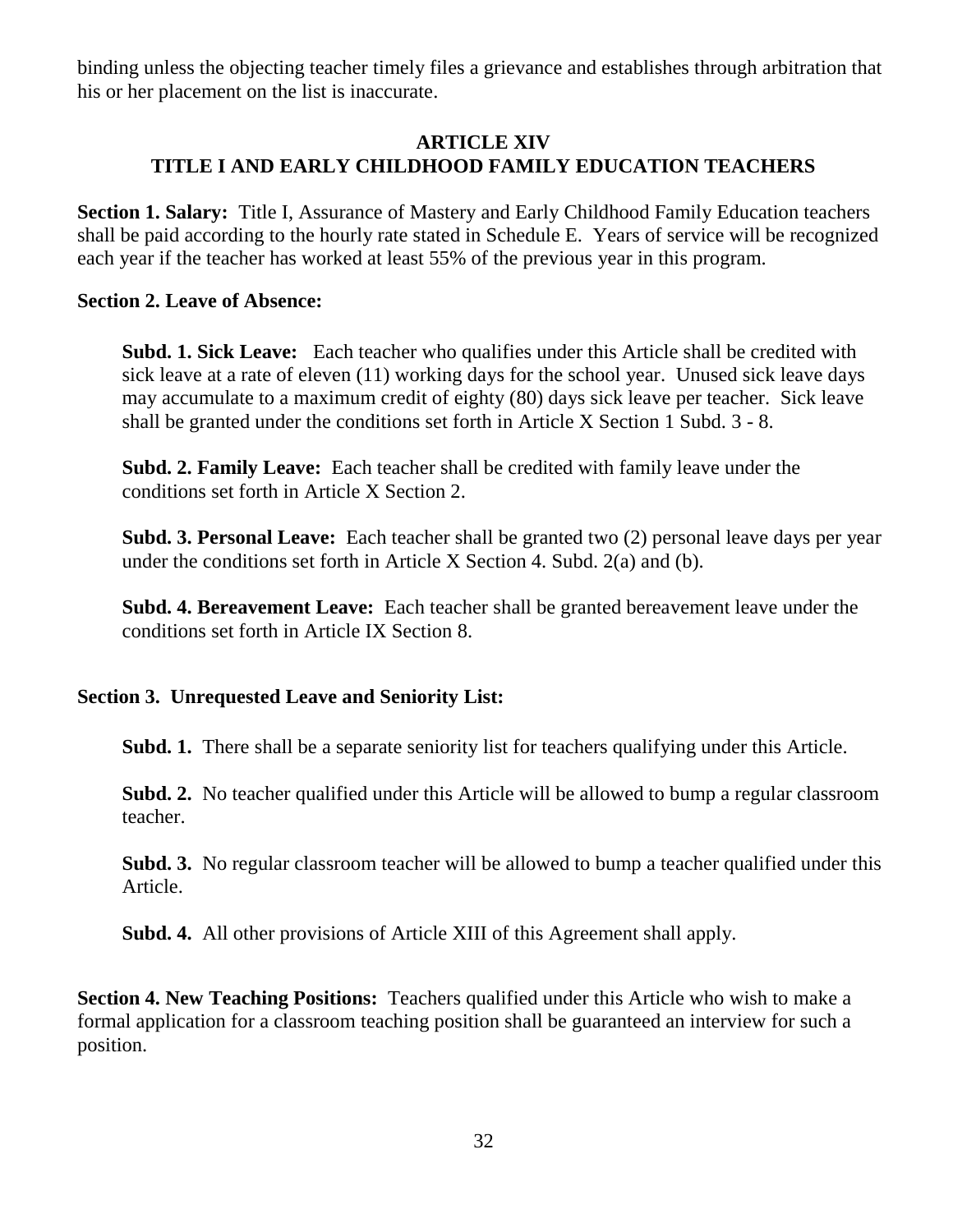binding unless the objecting teacher timely files a grievance and establishes through arbitration that his or her placement on the list is inaccurate.

#### **ARTICLE XIV TITLE I AND EARLY CHILDHOOD FAMILY EDUCATION TEACHERS**

**Section 1. Salary:** Title I, Assurance of Mastery and Early Childhood Family Education teachers shall be paid according to the hourly rate stated in Schedule E. Years of service will be recognized each year if the teacher has worked at least 55% of the previous year in this program.

#### **Section 2. Leave of Absence:**

**Subd. 1. Sick Leave:** Each teacher who qualifies under this Article shall be credited with sick leave at a rate of eleven (11) working days for the school year. Unused sick leave days may accumulate to a maximum credit of eighty (80) days sick leave per teacher. Sick leave shall be granted under the conditions set forth in Article X Section 1 Subd. 3 - 8.

**Subd. 2. Family Leave:** Each teacher shall be credited with family leave under the conditions set forth in Article X Section 2.

**Subd. 3. Personal Leave:** Each teacher shall be granted two (2) personal leave days per year under the conditions set forth in Article X Section 4. Subd. 2(a) and (b).

**Subd. 4. Bereavement Leave:** Each teacher shall be granted bereavement leave under the conditions set forth in Article IX Section 8.

#### **Section 3. Unrequested Leave and Seniority List:**

**Subd. 1.** There shall be a separate seniority list for teachers qualifying under this Article.

**Subd. 2.** No teacher qualified under this Article will be allowed to bump a regular classroom teacher.

**Subd. 3.** No regular classroom teacher will be allowed to bump a teacher qualified under this Article.

**Subd. 4.** All other provisions of Article XIII of this Agreement shall apply.

**Section 4. New Teaching Positions:** Teachers qualified under this Article who wish to make a formal application for a classroom teaching position shall be guaranteed an interview for such a position.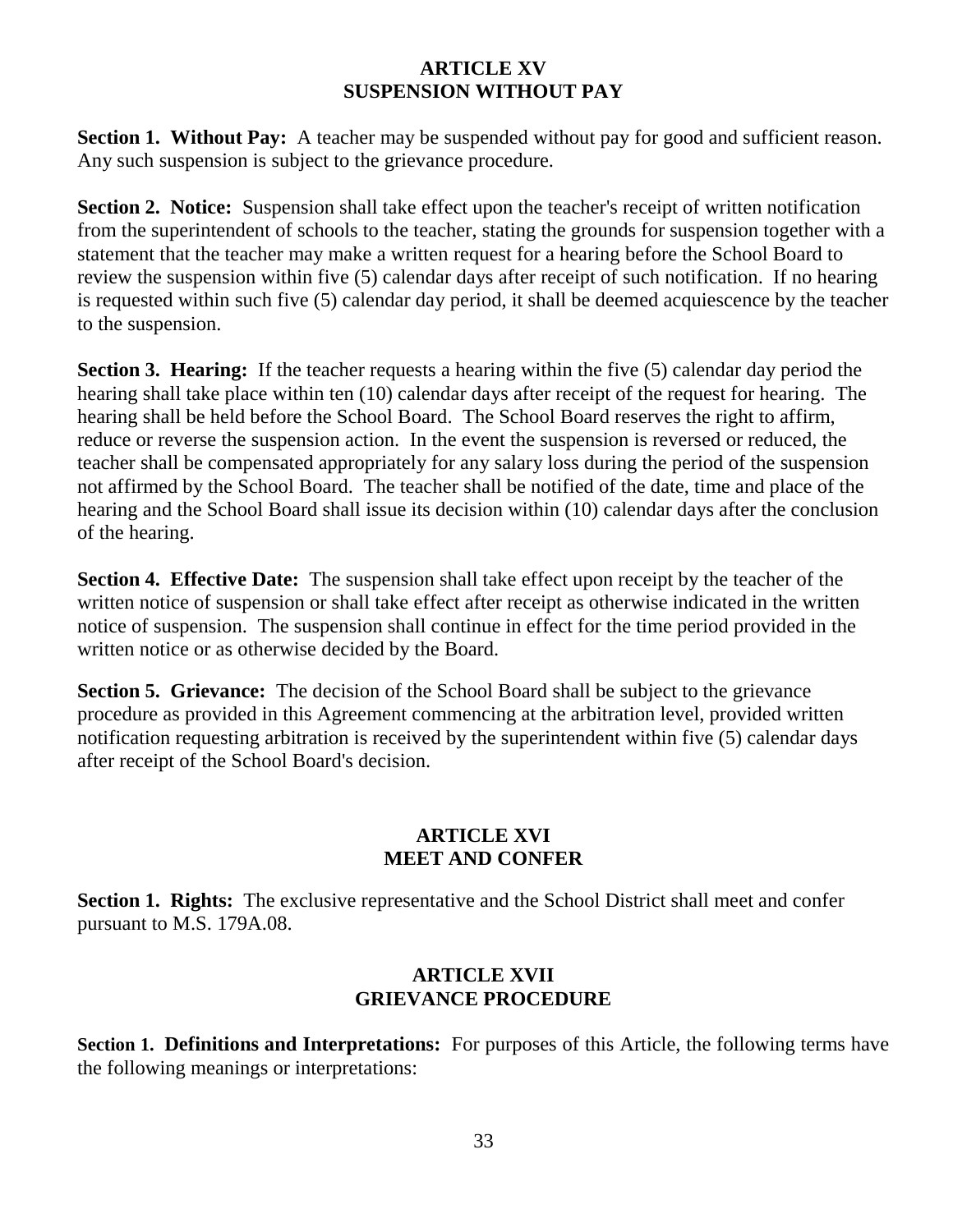#### **ARTICLE XV SUSPENSION WITHOUT PAY**

**Section 1. Without Pay:** A teacher may be suspended without pay for good and sufficient reason. Any such suspension is subject to the grievance procedure.

**Section 2. Notice:** Suspension shall take effect upon the teacher's receipt of written notification from the superintendent of schools to the teacher, stating the grounds for suspension together with a statement that the teacher may make a written request for a hearing before the School Board to review the suspension within five (5) calendar days after receipt of such notification. If no hearing is requested within such five (5) calendar day period, it shall be deemed acquiescence by the teacher to the suspension.

**Section 3. Hearing:** If the teacher requests a hearing within the five (5) calendar day period the hearing shall take place within ten (10) calendar days after receipt of the request for hearing. The hearing shall be held before the School Board. The School Board reserves the right to affirm, reduce or reverse the suspension action. In the event the suspension is reversed or reduced, the teacher shall be compensated appropriately for any salary loss during the period of the suspension not affirmed by the School Board. The teacher shall be notified of the date, time and place of the hearing and the School Board shall issue its decision within (10) calendar days after the conclusion of the hearing.

**Section 4. Effective Date:** The suspension shall take effect upon receipt by the teacher of the written notice of suspension or shall take effect after receipt as otherwise indicated in the written notice of suspension. The suspension shall continue in effect for the time period provided in the written notice or as otherwise decided by the Board.

**Section 5. Grievance:** The decision of the School Board shall be subject to the grievance procedure as provided in this Agreement commencing at the arbitration level, provided written notification requesting arbitration is received by the superintendent within five (5) calendar days after receipt of the School Board's decision.

# **ARTICLE XVI MEET AND CONFER**

**Section 1. Rights:** The exclusive representative and the School District shall meet and confer pursuant to M.S. 179A.08.

#### **ARTICLE XVII GRIEVANCE PROCEDURE**

**Section 1. Definitions and Interpretations:** For purposes of this Article, the following terms have the following meanings or interpretations: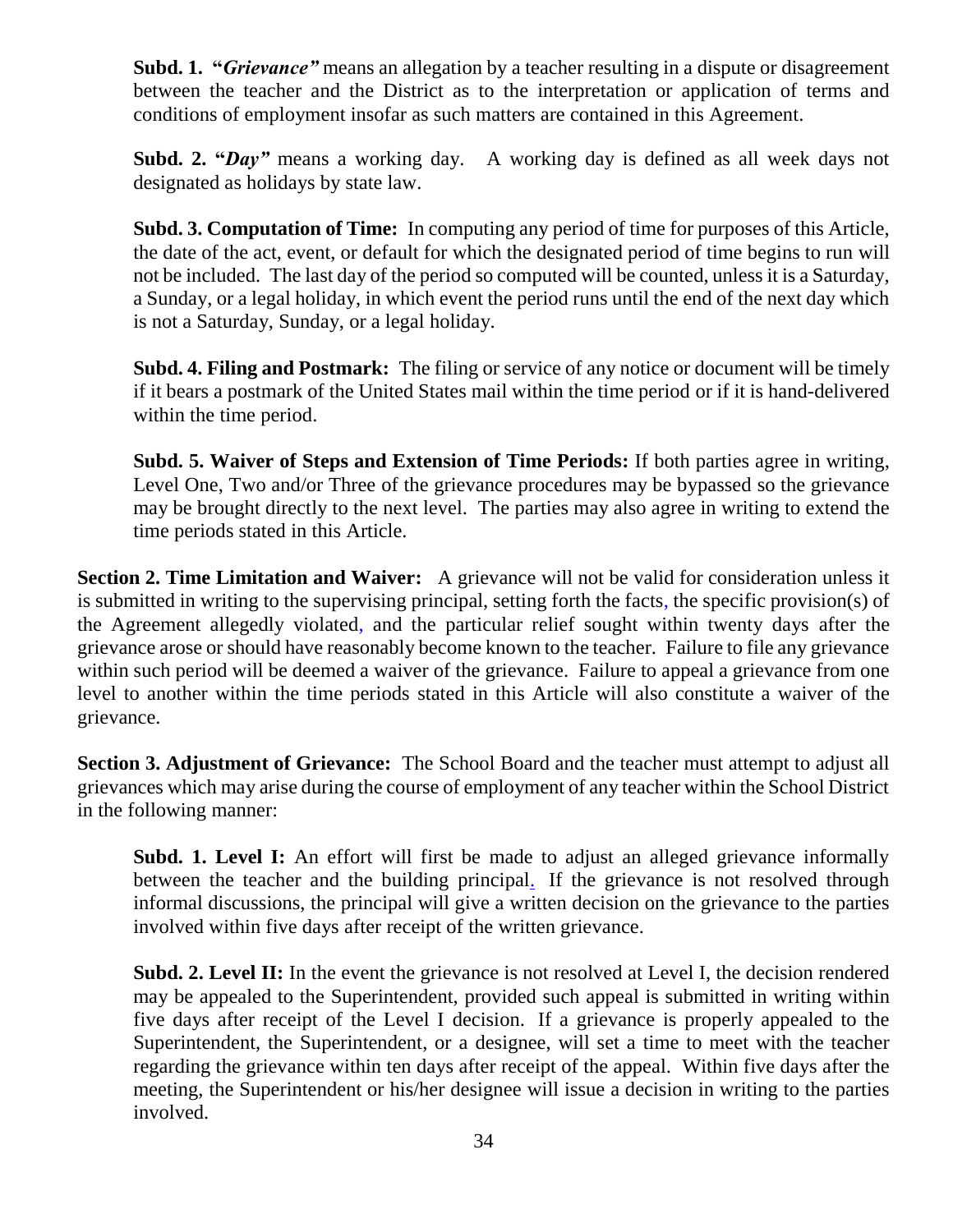**Subd. 1. "***Grievance"* means an allegation by a teacher resulting in a dispute or disagreement between the teacher and the District as to the interpretation or application of terms and conditions of employment insofar as such matters are contained in this Agreement.

**Subd. 2. "***Day"* means a working day. A working day is defined as all week days not designated as holidays by state law.

**Subd. 3. Computation of Time:** In computing any period of time for purposes of this Article, the date of the act, event, or default for which the designated period of time begins to run will not be included. The last day of the period so computed will be counted, unless it is a Saturday, a Sunday, or a legal holiday, in which event the period runs until the end of the next day which is not a Saturday, Sunday, or a legal holiday.

**Subd. 4. Filing and Postmark:** The filing or service of any notice or document will be timely if it bears a postmark of the United States mail within the time period or if it is hand-delivered within the time period.

**Subd. 5. Waiver of Steps and Extension of Time Periods:** If both parties agree in writing, Level One, Two and/or Three of the grievance procedures may be bypassed so the grievance may be brought directly to the next level. The parties may also agree in writing to extend the time periods stated in this Article.

**Section 2. Time Limitation and Waiver:** A grievance will not be valid for consideration unless it is submitted in writing to the supervising principal, setting forth the facts, the specific provision(s) of the Agreement allegedly violated, and the particular relief sought within twenty days after the grievance arose or should have reasonably become known to the teacher. Failure to file any grievance within such period will be deemed a waiver of the grievance. Failure to appeal a grievance from one level to another within the time periods stated in this Article will also constitute a waiver of the grievance.

**Section 3. Adjustment of Grievance:** The School Board and the teacher must attempt to adjust all grievances which may arise during the course of employment of any teacher within the School District in the following manner:

**Subd. 1. Level I:** An effort will first be made to adjust an alleged grievance informally between the teacher and the building principal. If the grievance is not resolved through informal discussions, the principal will give a written decision on the grievance to the parties involved within five days after receipt of the written grievance.

**Subd. 2. Level II:** In the event the grievance is not resolved at Level I, the decision rendered may be appealed to the Superintendent, provided such appeal is submitted in writing within five days after receipt of the Level I decision. If a grievance is properly appealed to the Superintendent, the Superintendent, or a designee, will set a time to meet with the teacher regarding the grievance within ten days after receipt of the appeal. Within five days after the meeting, the Superintendent or his/her designee will issue a decision in writing to the parties involved.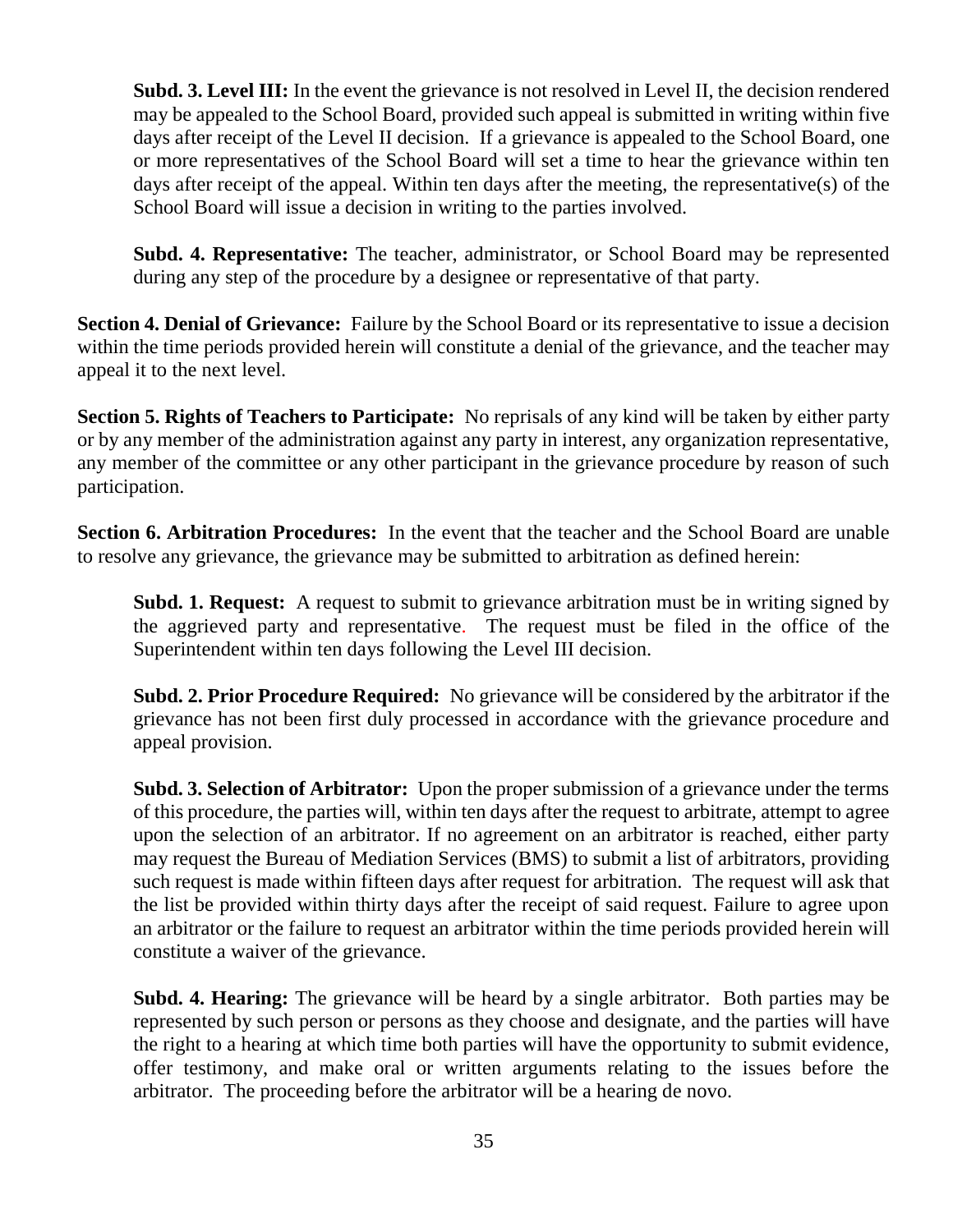**Subd. 3. Level III:** In the event the grievance is not resolved in Level II, the decision rendered may be appealed to the School Board, provided such appeal is submitted in writing within five days after receipt of the Level II decision. If a grievance is appealed to the School Board, one or more representatives of the School Board will set a time to hear the grievance within ten days after receipt of the appeal. Within ten days after the meeting, the representative(s) of the School Board will issue a decision in writing to the parties involved.

**Subd. 4. Representative:** The teacher, administrator, or School Board may be represented during any step of the procedure by a designee or representative of that party.

**Section 4. Denial of Grievance:** Failure by the School Board or its representative to issue a decision within the time periods provided herein will constitute a denial of the grievance, and the teacher may appeal it to the next level.

**Section 5. Rights of Teachers to Participate:** No reprisals of any kind will be taken by either party or by any member of the administration against any party in interest, any organization representative, any member of the committee or any other participant in the grievance procedure by reason of such participation.

**Section 6. Arbitration Procedures:** In the event that the teacher and the School Board are unable to resolve any grievance, the grievance may be submitted to arbitration as defined herein:

**Subd. 1. Request:** A request to submit to grievance arbitration must be in writing signed by the aggrieved party and representative. The request must be filed in the office of the Superintendent within ten days following the Level III decision.

**Subd. 2. Prior Procedure Required:** No grievance will be considered by the arbitrator if the grievance has not been first duly processed in accordance with the grievance procedure and appeal provision.

**Subd. 3. Selection of Arbitrator:** Upon the proper submission of a grievance under the terms of this procedure, the parties will, within ten days after the request to arbitrate, attempt to agree upon the selection of an arbitrator. If no agreement on an arbitrator is reached, either party may request the Bureau of Mediation Services (BMS) to submit a list of arbitrators, providing such request is made within fifteen days after request for arbitration. The request will ask that the list be provided within thirty days after the receipt of said request. Failure to agree upon an arbitrator or the failure to request an arbitrator within the time periods provided herein will constitute a waiver of the grievance.

**Subd. 4. Hearing:** The grievance will be heard by a single arbitrator. Both parties may be represented by such person or persons as they choose and designate, and the parties will have the right to a hearing at which time both parties will have the opportunity to submit evidence, offer testimony, and make oral or written arguments relating to the issues before the arbitrator. The proceeding before the arbitrator will be a hearing de novo.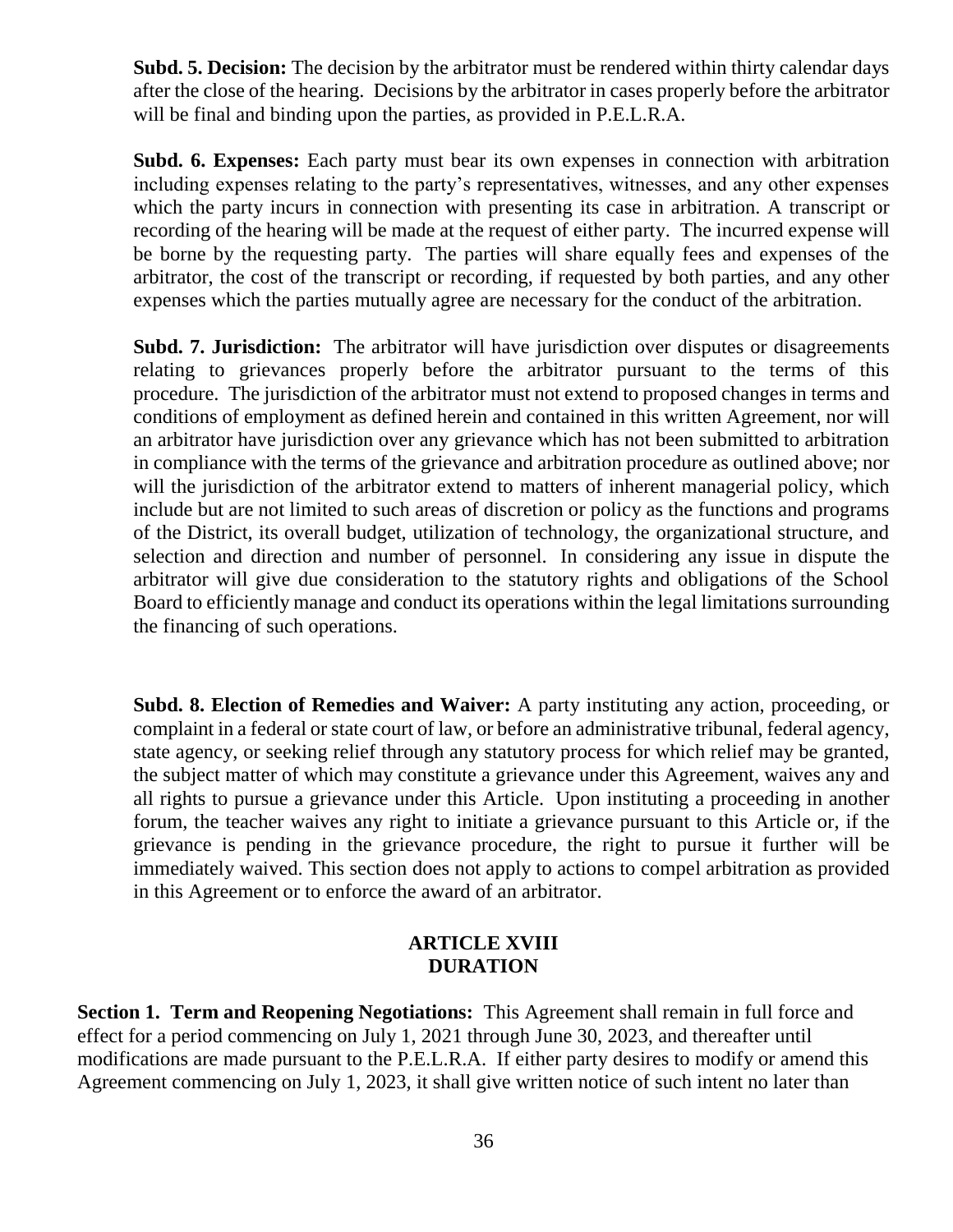**Subd. 5. Decision:** The decision by the arbitrator must be rendered within thirty calendar days after the close of the hearing. Decisions by the arbitrator in cases properly before the arbitrator will be final and binding upon the parties, as provided in P.E.L.R.A.

**Subd. 6. Expenses:** Each party must bear its own expenses in connection with arbitration including expenses relating to the party's representatives, witnesses, and any other expenses which the party incurs in connection with presenting its case in arbitration. A transcript or recording of the hearing will be made at the request of either party. The incurred expense will be borne by the requesting party. The parties will share equally fees and expenses of the arbitrator, the cost of the transcript or recording, if requested by both parties, and any other expenses which the parties mutually agree are necessary for the conduct of the arbitration.

**Subd. 7. Jurisdiction:** The arbitrator will have jurisdiction over disputes or disagreements relating to grievances properly before the arbitrator pursuant to the terms of this procedure. The jurisdiction of the arbitrator must not extend to proposed changes in terms and conditions of employment as defined herein and contained in this written Agreement, nor will an arbitrator have jurisdiction over any grievance which has not been submitted to arbitration in compliance with the terms of the grievance and arbitration procedure as outlined above; nor will the jurisdiction of the arbitrator extend to matters of inherent managerial policy, which include but are not limited to such areas of discretion or policy as the functions and programs of the District, its overall budget, utilization of technology, the organizational structure, and selection and direction and number of personnel. In considering any issue in dispute the arbitrator will give due consideration to the statutory rights and obligations of the School Board to efficiently manage and conduct its operations within the legal limitations surrounding the financing of such operations.

**Subd. 8. Election of Remedies and Waiver:** A party instituting any action, proceeding, or complaint in a federal or state court of law, or before an administrative tribunal, federal agency, state agency, or seeking relief through any statutory process for which relief may be granted, the subject matter of which may constitute a grievance under this Agreement, waives any and all rights to pursue a grievance under this Article. Upon instituting a proceeding in another forum, the teacher waives any right to initiate a grievance pursuant to this Article or, if the grievance is pending in the grievance procedure, the right to pursue it further will be immediately waived. This section does not apply to actions to compel arbitration as provided in this Agreement or to enforce the award of an arbitrator.

#### **ARTICLE XVIII DURATION**

**Section 1. Term and Reopening Negotiations:** This Agreement shall remain in full force and effect for a period commencing on July 1, 2021 through June 30, 2023, and thereafter until modifications are made pursuant to the P.E.L.R.A. If either party desires to modify or amend this Agreement commencing on July 1, 2023, it shall give written notice of such intent no later than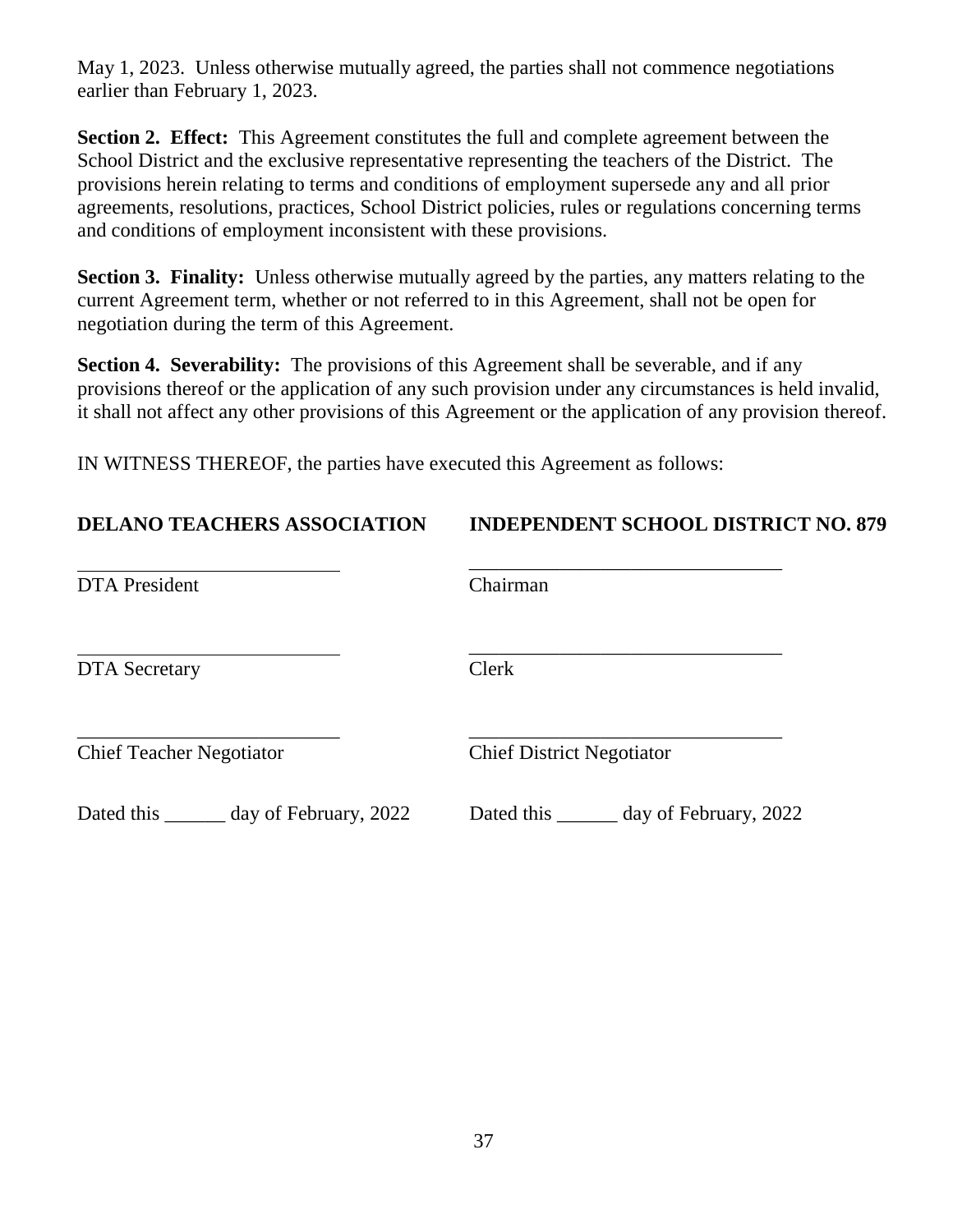May 1, 2023. Unless otherwise mutually agreed, the parties shall not commence negotiations earlier than February 1, 2023.

**Section 2. Effect:** This Agreement constitutes the full and complete agreement between the School District and the exclusive representative representing the teachers of the District. The provisions herein relating to terms and conditions of employment supersede any and all prior agreements, resolutions, practices, School District policies, rules or regulations concerning terms and conditions of employment inconsistent with these provisions.

**Section 3. Finality:** Unless otherwise mutually agreed by the parties, any matters relating to the current Agreement term, whether or not referred to in this Agreement, shall not be open for negotiation during the term of this Agreement.

**Section 4. Severability:** The provisions of this Agreement shall be severable, and if any provisions thereof or the application of any such provision under any circumstances is held invalid, it shall not affect any other provisions of this Agreement or the application of any provision thereof.

IN WITNESS THEREOF, the parties have executed this Agreement as follows:

| <b>DELANO TEACHERS ASSOCIATION</b>  | <b>INDEPENDENT SCHOOL DISTRICT NO. 879</b> |  |  |
|-------------------------------------|--------------------------------------------|--|--|
| <b>DTA</b> President                | Chairman                                   |  |  |
| <b>DTA</b> Secretary                | Clerk                                      |  |  |
| <b>Chief Teacher Negotiator</b>     | <b>Chief District Negotiator</b>           |  |  |
| Dated this<br>day of February, 2022 | Dated this<br>day of February, 2022        |  |  |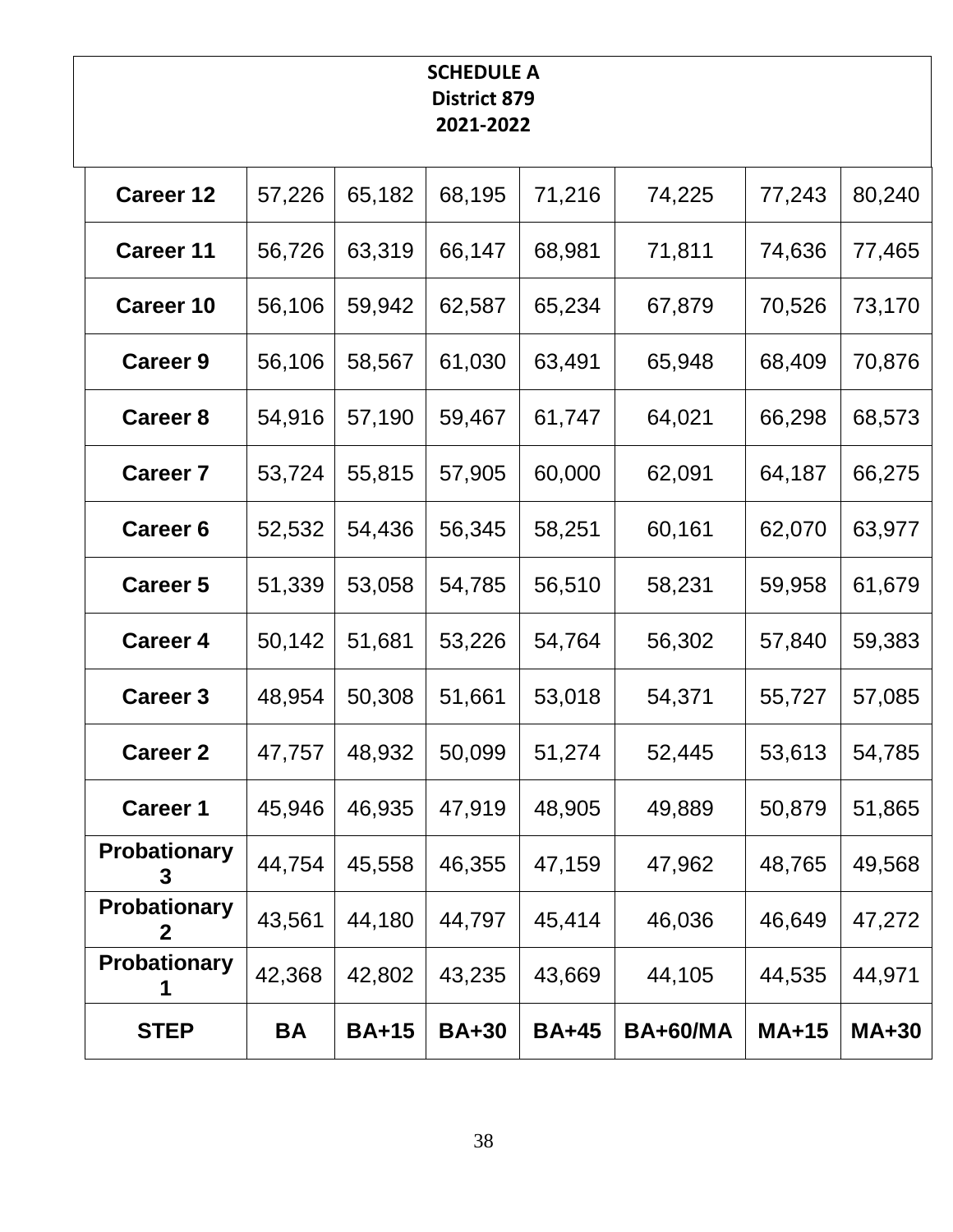# **SCHEDULE A District 879 2021-2022**

| <b>Career 12</b>                   | 57,226 | 65,182       | 68,195       | 71,216       | 74,225          | 77,243       | 80,240       |
|------------------------------------|--------|--------------|--------------|--------------|-----------------|--------------|--------------|
| <b>Career 11</b>                   | 56,726 | 63,319       | 66,147       | 68,981       | 71,811          | 74,636       | 77,465       |
| <b>Career 10</b>                   | 56,106 | 59,942       | 62,587       | 65,234       | 67,879          | 70,526       | 73,170       |
| <b>Career 9</b>                    | 56,106 | 58,567       | 61,030       | 63,491       | 65,948          | 68,409       | 70,876       |
| <b>Career 8</b>                    | 54,916 | 57,190       | 59,467       | 61,747       | 64,021          | 66,298       | 68,573       |
| <b>Career 7</b>                    | 53,724 | 55,815       | 57,905       | 60,000       | 62,091          | 64,187       | 66,275       |
| <b>Career 6</b>                    | 52,532 | 54,436       | 56,345       | 58,251       | 60,161          | 62,070       | 63,977       |
| <b>Career 5</b>                    | 51,339 | 53,058       | 54,785       | 56,510       | 58,231          | 59,958       | 61,679       |
| <b>Career 4</b>                    | 50,142 | 51,681       | 53,226       | 54,764       | 56,302          | 57,840       | 59,383       |
| <b>Career 3</b>                    | 48,954 | 50,308       | 51,661       | 53,018       | 54,371          | 55,727       | 57,085       |
| <b>Career 2</b>                    | 47,757 | 48,932       | 50,099       | 51,274       | 52,445          | 53,613       | 54,785       |
| <b>Career 1</b>                    | 45,946 | 46,935       | 47,919       | 48,905       | 49,889          | 50,879       | 51,865       |
| Probationary<br>3                  | 44,754 | 45,558       | 46,355       | 47,159       | 47,962          | 48,765       | 49,568       |
| <b>Probationary</b><br>$\mathbf 2$ | 43,561 | 44,180       | 44,797       | 45,414       | 46,036          | 46,649       | 47,272       |
| <b>Probationary</b><br>1           | 42,368 | 42,802       | 43,235       | 43,669       | 44,105          | 44,535       | 44,971       |
| <b>STEP</b>                        | BA     | <b>BA+15</b> | <b>BA+30</b> | <b>BA+45</b> | <b>BA+60/MA</b> | <b>MA+15</b> | <b>MA+30</b> |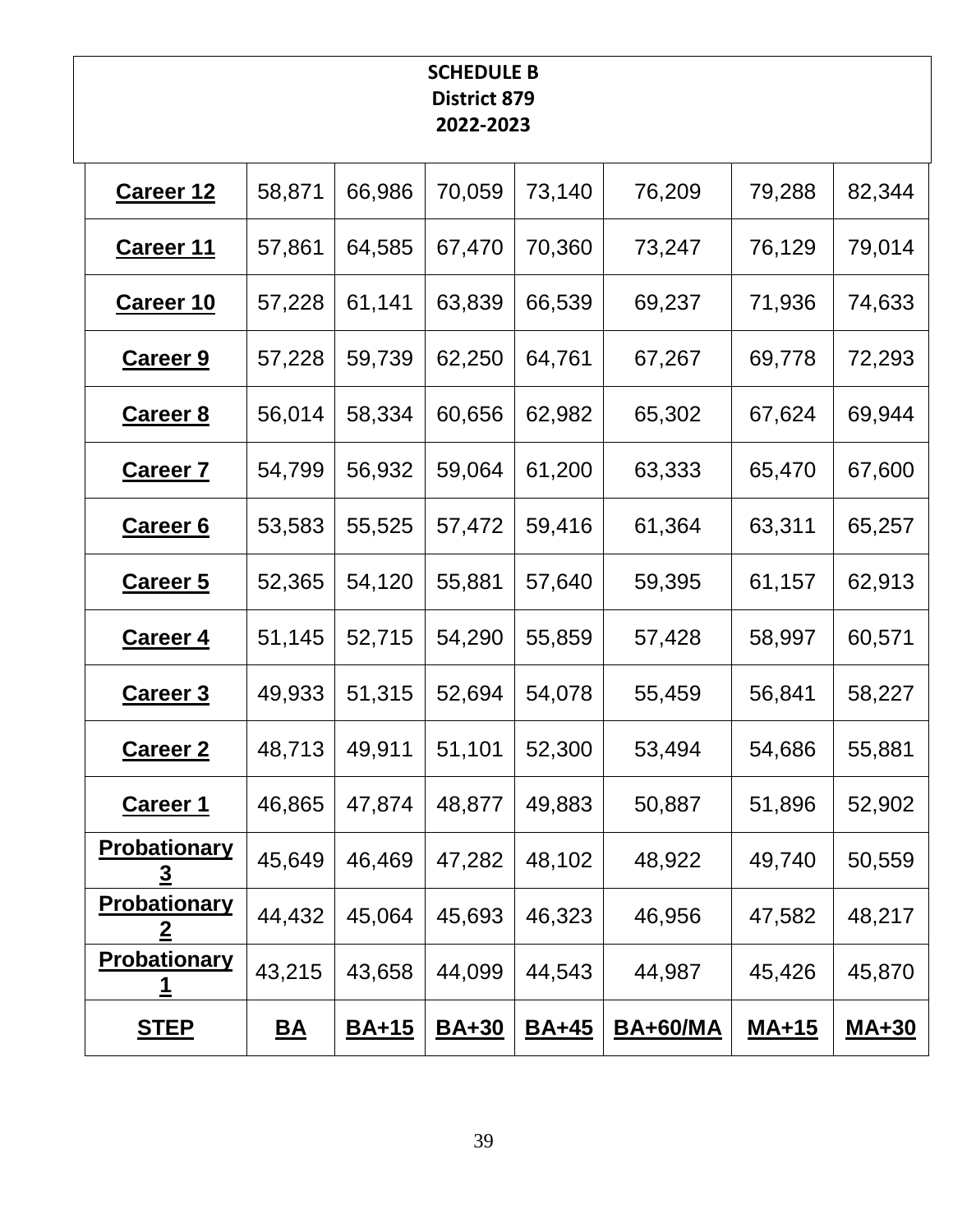# **SCHEDULE B District 879 2022-2023**

| <b>Career 12</b>                        | 58,871    | 66,986       | 70,059       | 73,140       | 76,209          | 79,288       | 82,344       |
|-----------------------------------------|-----------|--------------|--------------|--------------|-----------------|--------------|--------------|
| <b>Career 11</b>                        | 57,861    | 64,585       | 67,470       | 70,360       | 73,247          | 76,129       | 79,014       |
| <u>Career 10</u>                        | 57,228    | 61,141       | 63,839       | 66,539       | 69,237          | 71,936       | 74,633       |
| <u>Career 9</u>                         | 57,228    | 59,739       | 62,250       | 64,761       | 67,267          | 69,778       | 72,293       |
| <b>Career 8</b>                         | 56,014    | 58,334       | 60,656       | 62,982       | 65,302          | 67,624       | 69,944       |
| <b>Career 7</b>                         | 54,799    | 56,932       | 59,064       | 61,200       | 63,333          | 65,470       | 67,600       |
| <b>Career 6</b>                         | 53,583    | 55,525       | 57,472       | 59,416       | 61,364          | 63,311       | 65,257       |
| <b>Career 5</b>                         | 52,365    | 54,120       | 55,881       | 57,640       | 59,395          | 61,157       | 62,913       |
| <b>Career 4</b>                         | 51,145    | 52,715       | 54,290       | 55,859       | 57,428          | 58,997       | 60,571       |
| <b>Career 3</b>                         | 49,933    | 51,315       | 52,694       | 54,078       | 55,459          | 56,841       | 58,227       |
| <b>Career 2</b>                         | 48,713    | 49,911       | 51,101       | 52,300       | 53,494          | 54,686       | 55,881       |
| <u>Career 1</u>                         | 46,865    | 47,874       | 48,877       | 49,883       | 50,887          | 51,896       | 52,902       |
| <b>Probationary</b><br>$\overline{3}$   | 45,649    | 46,469       | 47,282       | 48,102       | 48,922          | 49,740       | 50,559       |
| Probationary<br>$\overline{\mathbf{2}}$ | 44,432    | 45,064       | 45,693       | 46,323       | 46,956          | 47,582       | 48,217       |
| <b>Probationary</b><br><u>1</u>         | 43,215    | 43,658       | 44,099       | 44,543       | 44,987          | 45,426       | 45,870       |
| <u>STEP</u>                             | <u>BA</u> | <u>BA+15</u> | <b>BA+30</b> | <u>BA+45</u> | <b>BA+60/MA</b> | <u>MA+15</u> | <b>MA+30</b> |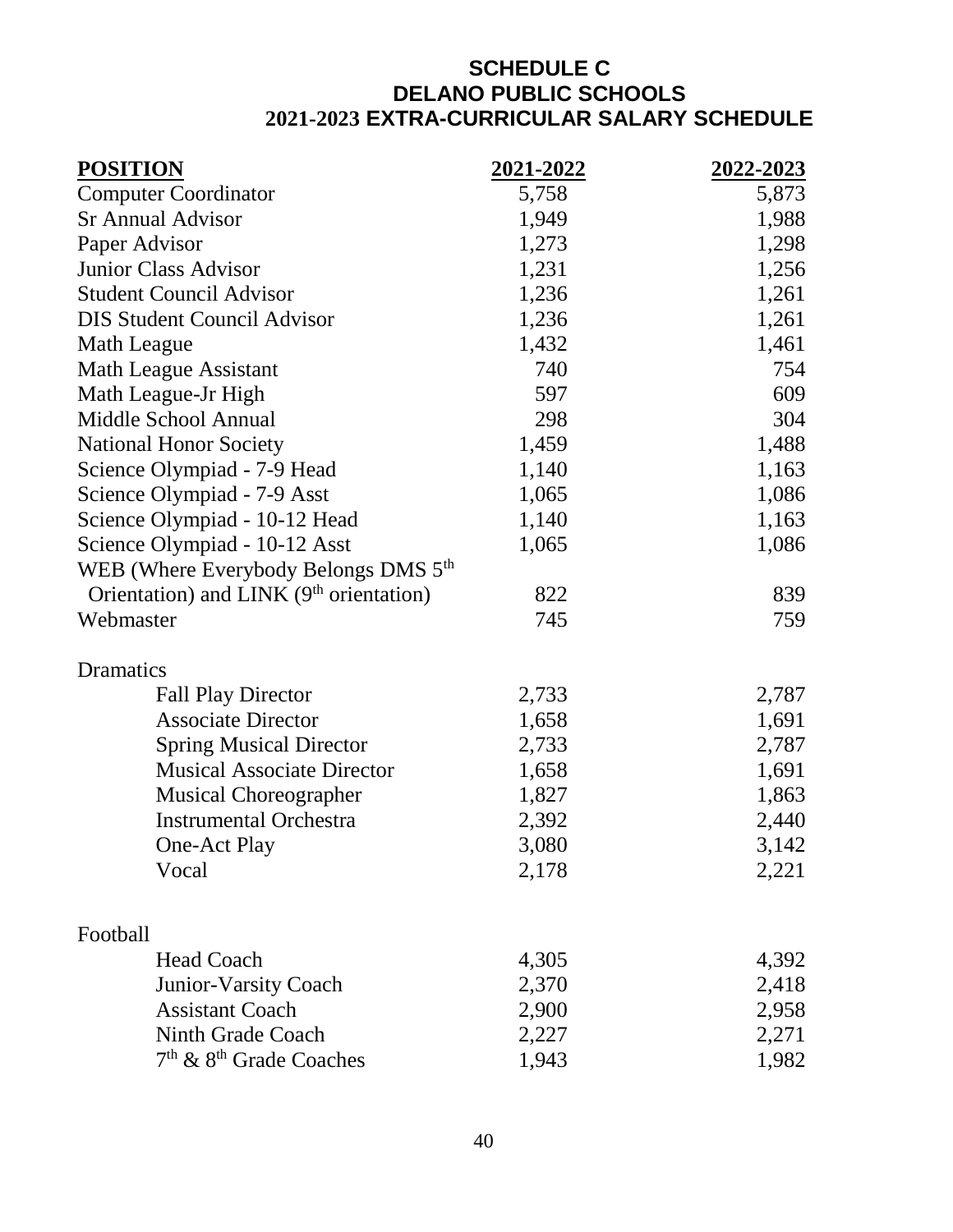# **SCHEDULE C DELANO PUBLIC SCHOOLS 2021-2023 EXTRA-CURRICULAR SALARY SCHEDULE**

| <b>POSITION</b>                                     | 2021-2022 | 2022-2023 |
|-----------------------------------------------------|-----------|-----------|
| <b>Computer Coordinator</b>                         | 5,758     | 5,873     |
| <b>Sr Annual Advisor</b>                            | 1,949     | 1,988     |
| Paper Advisor                                       | 1,273     | 1,298     |
| <b>Junior Class Advisor</b>                         | 1,231     | 1,256     |
| <b>Student Council Advisor</b>                      | 1,236     | 1,261     |
| <b>DIS Student Council Advisor</b>                  | 1,236     | 1,261     |
| Math League                                         | 1,432     | 1,461     |
| <b>Math League Assistant</b>                        | 740       | 754       |
| Math League-Jr High                                 | 597       | 609       |
| Middle School Annual                                | 298       | 304       |
| <b>National Honor Society</b>                       | 1,459     | 1,488     |
| Science Olympiad - 7-9 Head                         | 1,140     | 1,163     |
| Science Olympiad - 7-9 Asst                         | 1,065     | 1,086     |
| Science Olympiad - 10-12 Head                       | 1,140     | 1,163     |
| Science Olympiad - 10-12 Asst                       | 1,065     | 1,086     |
| WEB (Where Everybody Belongs DMS $5th$              |           |           |
| Orientation) and LINK (9 <sup>th</sup> orientation) | 822       | 839       |
| Webmaster                                           | 745       | 759       |
| Dramatics                                           |           |           |
| <b>Fall Play Director</b>                           | 2,733     | 2,787     |
| <b>Associate Director</b>                           | 1,658     | 1,691     |
| <b>Spring Musical Director</b>                      | 2,733     | 2,787     |
| <b>Musical Associate Director</b>                   | 1,658     | 1,691     |
| <b>Musical Choreographer</b>                        | 1,827     | 1,863     |
| <b>Instrumental Orchestra</b>                       | 2,392     | 2,440     |
| One-Act Play                                        | 3,080     | 3,142     |
| Vocal                                               | 2,178     | 2,221     |
| Football                                            |           |           |
| <b>Head Coach</b>                                   | 4,305     | 4,392     |
| Junior-Varsity Coach                                | 2,370     | 2,418     |
| <b>Assistant Coach</b>                              | 2,900     | 2,958     |
| Ninth Grade Coach                                   | 2,227     | 2,271     |
| 7 <sup>th</sup> & 8 <sup>th</sup> Grade Coaches     | 1,943     | 1,982     |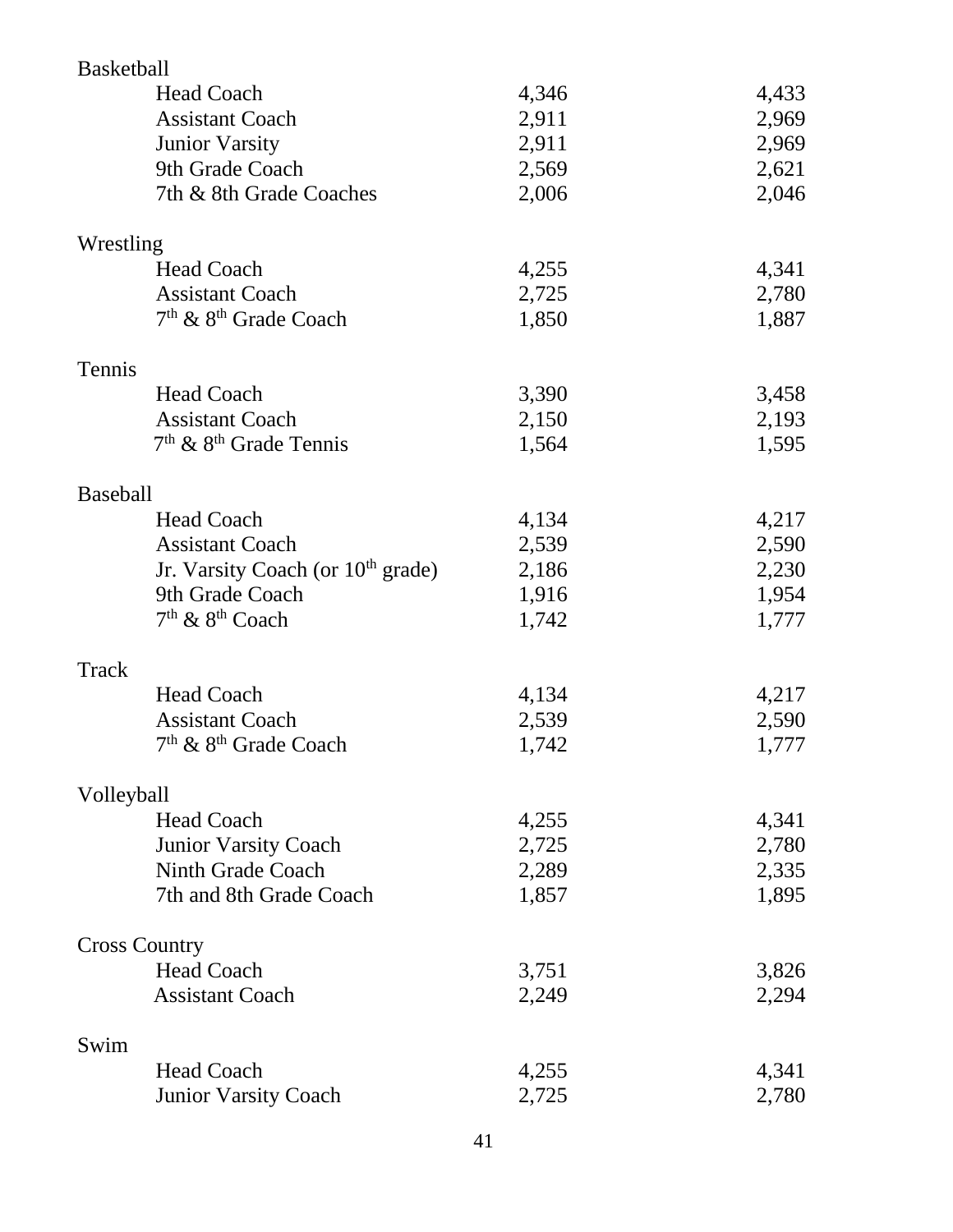| <b>Basketball</b>    |                                               |       |       |
|----------------------|-----------------------------------------------|-------|-------|
|                      | <b>Head Coach</b>                             | 4,346 | 4,433 |
|                      | <b>Assistant Coach</b>                        | 2,911 | 2,969 |
|                      | <b>Junior Varsity</b>                         | 2,911 | 2,969 |
|                      | 9th Grade Coach                               | 2,569 | 2,621 |
|                      | 7th & 8th Grade Coaches                       | 2,006 | 2,046 |
|                      |                                               |       |       |
| Wrestling            |                                               |       |       |
|                      | <b>Head Coach</b>                             | 4,255 | 4,341 |
|                      | <b>Assistant Coach</b>                        | 2,725 | 2,780 |
|                      | 7 <sup>th</sup> & 8 <sup>th</sup> Grade Coach | 1,850 | 1,887 |
|                      |                                               |       |       |
| Tennis               |                                               |       |       |
|                      | <b>Head Coach</b>                             | 3,390 | 3,458 |
|                      | <b>Assistant Coach</b>                        | 2,150 | 2,193 |
|                      | $7th$ & $8th$ Grade Tennis                    | 1,564 | 1,595 |
|                      |                                               |       |       |
| <b>Baseball</b>      |                                               |       |       |
|                      | <b>Head Coach</b>                             | 4,134 | 4,217 |
|                      | <b>Assistant Coach</b>                        | 2,539 | 2,590 |
|                      | Jr. Varsity Coach (or $10th$ grade)           | 2,186 | 2,230 |
|                      | 9th Grade Coach                               | 1,916 | 1,954 |
|                      | 7 <sup>th</sup> & 8 <sup>th</sup> Coach       | 1,742 | 1,777 |
|                      |                                               |       |       |
| Track                |                                               |       |       |
|                      | <b>Head Coach</b>                             | 4,134 | 4,217 |
|                      | <b>Assistant Coach</b>                        | 2,539 | 2,590 |
|                      | 7 <sup>th</sup> & 8 <sup>th</sup> Grade Coach | 1,742 | 1,777 |
|                      |                                               |       |       |
| Volleyball           |                                               |       |       |
|                      | <b>Head Coach</b>                             | 4,255 | 4,341 |
|                      | <b>Junior Varsity Coach</b>                   | 2,725 | 2,780 |
|                      | Ninth Grade Coach                             | 2,289 | 2,335 |
|                      | 7th and 8th Grade Coach                       | 1,857 | 1,895 |
|                      |                                               |       |       |
| <b>Cross Country</b> |                                               |       |       |
|                      | <b>Head Coach</b>                             | 3,751 | 3,826 |
|                      | <b>Assistant Coach</b>                        | 2,249 | 2,294 |
|                      |                                               |       |       |
| Swim                 |                                               |       |       |
|                      | <b>Head Coach</b>                             | 4,255 | 4,341 |
|                      | <b>Junior Varsity Coach</b>                   | 2,725 | 2,780 |
|                      |                                               |       |       |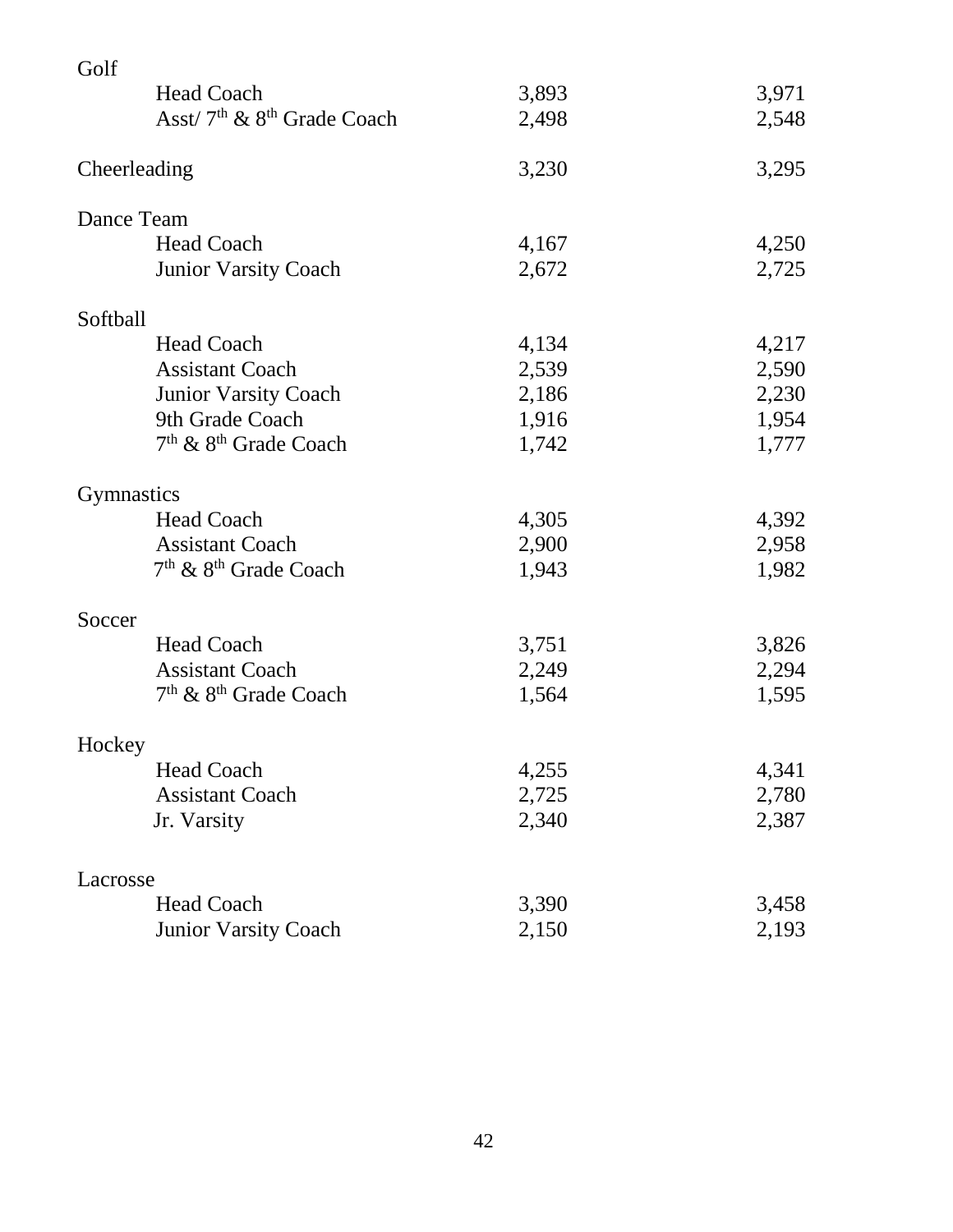| Golf                                               |       |       |
|----------------------------------------------------|-------|-------|
| <b>Head Coach</b>                                  | 3,893 | 3,971 |
| Asst/7 <sup>th</sup> & 8 <sup>th</sup> Grade Coach | 2,498 | 2,548 |
| Cheerleading                                       | 3,230 | 3,295 |
| Dance Team                                         |       |       |
| <b>Head Coach</b>                                  | 4,167 | 4,250 |
| <b>Junior Varsity Coach</b>                        | 2,672 | 2,725 |
| Softball                                           |       |       |
| <b>Head Coach</b>                                  | 4,134 | 4,217 |
| <b>Assistant Coach</b>                             | 2,539 | 2,590 |
| <b>Junior Varsity Coach</b>                        | 2,186 | 2,230 |
| 9th Grade Coach                                    | 1,916 | 1,954 |
| $7th$ & $8th$ Grade Coach                          | 1,742 | 1,777 |
| <b>Gymnastics</b>                                  |       |       |
| <b>Head Coach</b>                                  | 4,305 | 4,392 |
| <b>Assistant Coach</b>                             | 2,900 | 2,958 |
| $7th$ & $8th$ Grade Coach                          | 1,943 | 1,982 |
| Soccer                                             |       |       |
| <b>Head Coach</b>                                  | 3,751 | 3,826 |
| <b>Assistant Coach</b>                             | 2,249 | 2,294 |
| 7 <sup>th</sup> & 8 <sup>th</sup> Grade Coach      | 1,564 | 1,595 |
| Hockey                                             |       |       |
| <b>Head Coach</b>                                  | 4,255 | 4,341 |
| <b>Assistant Coach</b>                             | 2,725 | 2,780 |
| Jr. Varsity                                        | 2,340 | 2,387 |
| Lacrosse                                           |       |       |
| <b>Head Coach</b>                                  | 3,390 | 3,458 |
| <b>Junior Varsity Coach</b>                        | 2,150 | 2,193 |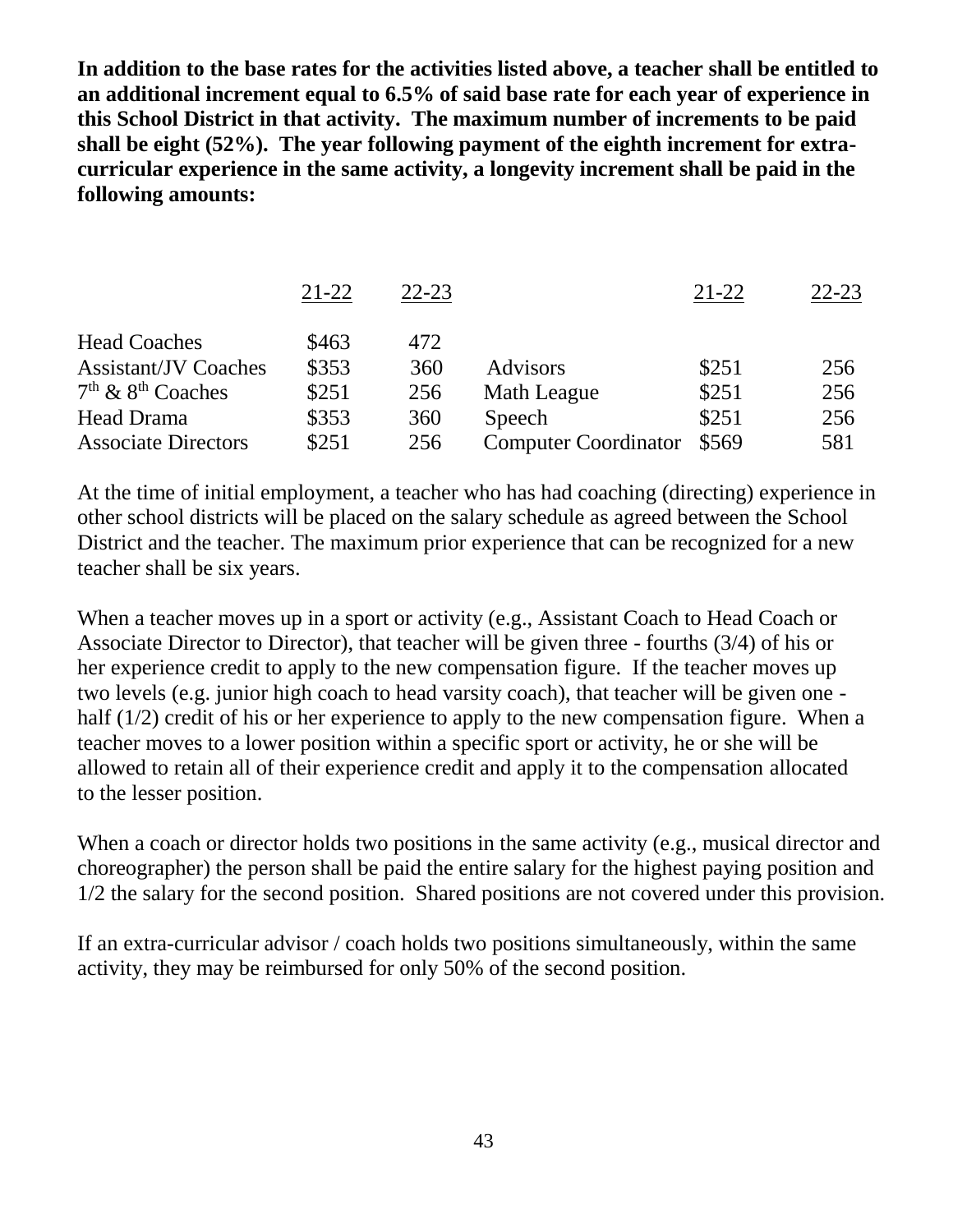**In addition to the base rates for the activities listed above, a teacher shall be entitled to an additional increment equal to 6.5% of said base rate for each year of experience in this School District in that activity. The maximum number of increments to be paid shall be eight (52%). The year following payment of the eighth increment for extracurricular experience in the same activity, a longevity increment shall be paid in the following amounts:**

|                             | $21 - 22$ | $22 - 23$ |                             | $21 - 22$ | $22 - 23$ |
|-----------------------------|-----------|-----------|-----------------------------|-----------|-----------|
| <b>Head Coaches</b>         | \$463     | 472       |                             |           |           |
| <b>Assistant/JV Coaches</b> | \$353     | 360       | <b>Advisors</b>             | \$251     | 256       |
| $7th$ & $8th$ Coaches       | \$251     | 256       | <b>Math League</b>          | \$251     | 256       |
| Head Drama                  | \$353     | 360       | Speech                      | \$251     | 256       |
| <b>Associate Directors</b>  | \$251     | 256       | <b>Computer Coordinator</b> | \$569     | 581       |

At the time of initial employment, a teacher who has had coaching (directing) experience in other school districts will be placed on the salary schedule as agreed between the School District and the teacher. The maximum prior experience that can be recognized for a new teacher shall be six years.

When a teacher moves up in a sport or activity (e.g., Assistant Coach to Head Coach or Associate Director to Director), that teacher will be given three - fourths (3/4) of his or her experience credit to apply to the new compensation figure. If the teacher moves up two levels (e.g. junior high coach to head varsity coach), that teacher will be given one half (1/2) credit of his or her experience to apply to the new compensation figure. When a teacher moves to a lower position within a specific sport or activity, he or she will be allowed to retain all of their experience credit and apply it to the compensation allocated to the lesser position.

When a coach or director holds two positions in the same activity (e.g., musical director and choreographer) the person shall be paid the entire salary for the highest paying position and 1/2 the salary for the second position. Shared positions are not covered under this provision.

If an extra-curricular advisor / coach holds two positions simultaneously, within the same activity, they may be reimbursed for only 50% of the second position.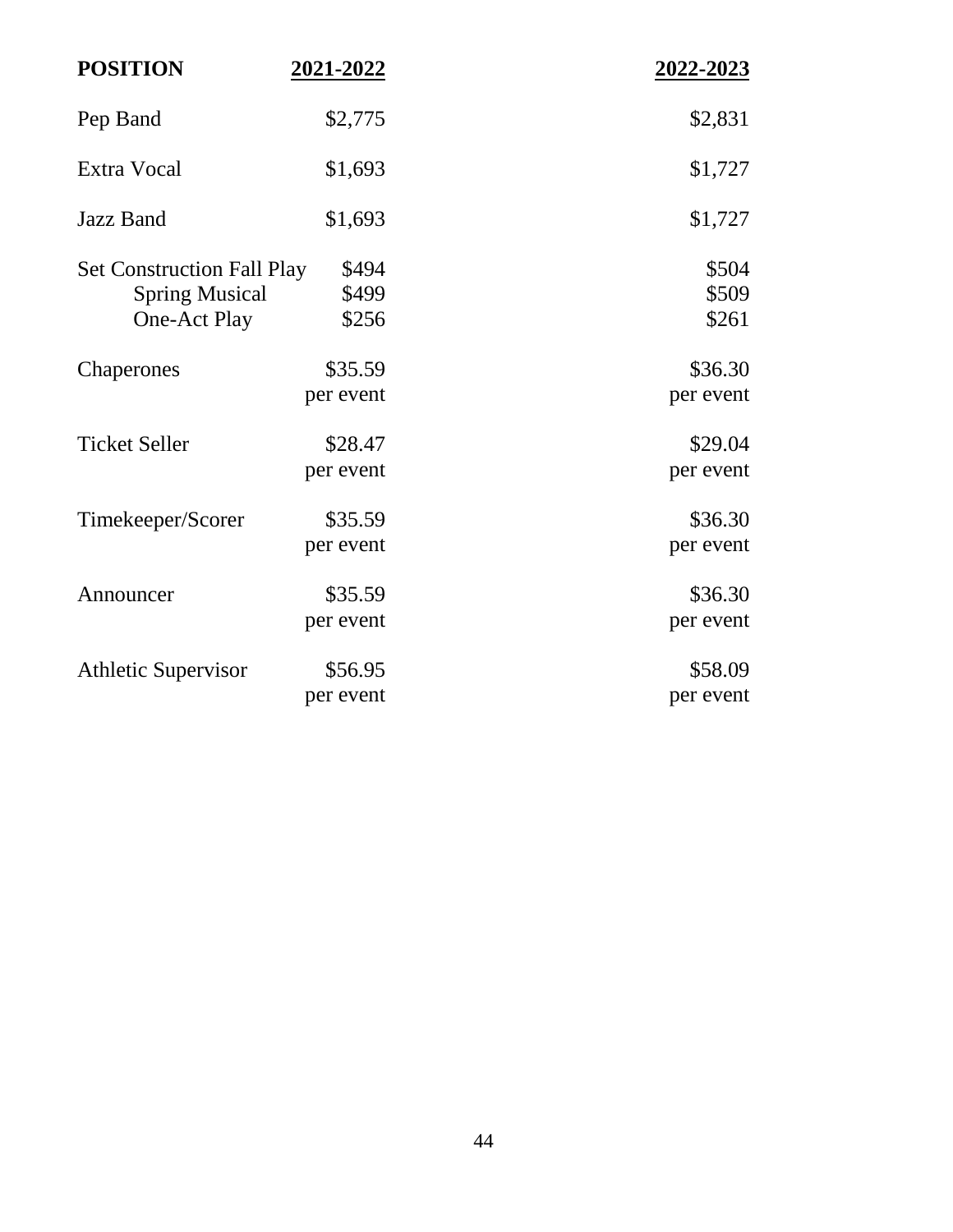| <b>POSITION</b>                       | 2021-2022      | 2022-2023      |
|---------------------------------------|----------------|----------------|
| Pep Band                              | \$2,775        | \$2,831        |
| Extra Vocal                           | \$1,693        | \$1,727        |
| <b>Jazz Band</b>                      | \$1,693        | \$1,727        |
| <b>Set Construction Fall Play</b>     | \$494          | \$504          |
| <b>Spring Musical</b><br>One-Act Play | \$499<br>\$256 | \$509<br>\$261 |
| Chaperones                            | \$35.59        | \$36.30        |
|                                       | per event      | per event      |
| <b>Ticket Seller</b>                  | \$28.47        | \$29.04        |
|                                       | per event      | per event      |
| Timekeeper/Scorer                     | \$35.59        | \$36.30        |
|                                       | per event      | per event      |
| Announcer                             | \$35.59        | \$36.30        |
|                                       | per event      | per event      |
| <b>Athletic Supervisor</b>            | \$56.95        | \$58.09        |
|                                       | per event      | per event      |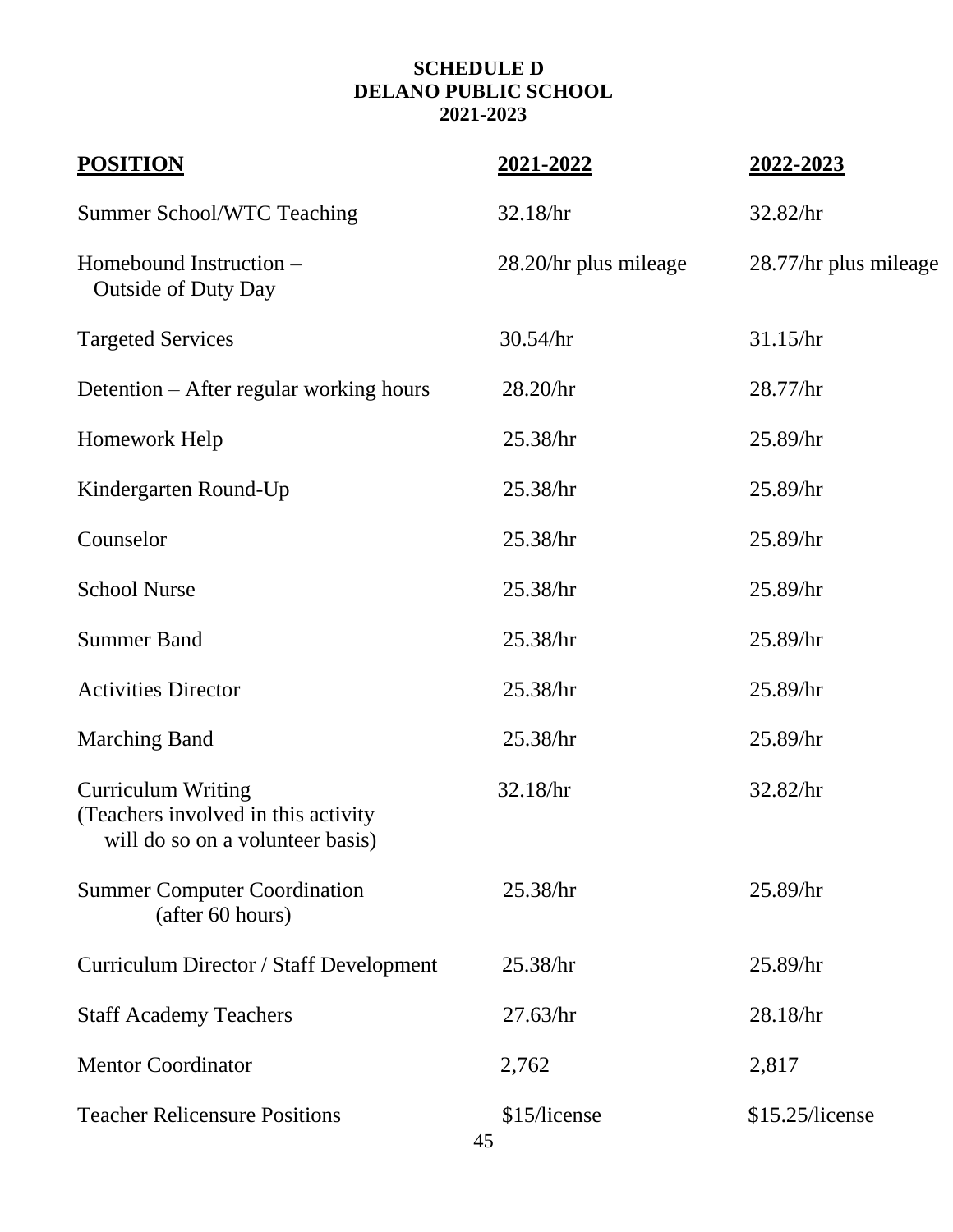# **SCHEDULE D DELANO PUBLIC SCHOOL 2021-2023**

| <b>POSITION</b>                                                                                      | 2021-2022             | 2022-2023             |
|------------------------------------------------------------------------------------------------------|-----------------------|-----------------------|
| <b>Summer School/WTC Teaching</b>                                                                    | 32.18/hr              | 32.82/hr              |
| Homebound Instruction –<br><b>Outside of Duty Day</b>                                                | 28.20/hr plus mileage | 28.77/hr plus mileage |
| <b>Targeted Services</b>                                                                             | 30.54/hr              | 31.15/hr              |
| Detention – After regular working hours                                                              | 28.20/hr              | 28.77/hr              |
| Homework Help                                                                                        | 25.38/hr              | $25.89$ /hr           |
| Kindergarten Round-Up                                                                                | 25.38/hr              | 25.89/hr              |
| Counselor                                                                                            | 25.38/hr              | 25.89/hr              |
| <b>School Nurse</b>                                                                                  | 25.38/hr              | $25.89$ /hr           |
| <b>Summer Band</b>                                                                                   | 25.38/hr              | 25.89/hr              |
| <b>Activities Director</b>                                                                           | 25.38/hr              | 25.89/hr              |
| <b>Marching Band</b>                                                                                 | 25.38/hr              | 25.89/hr              |
| <b>Curriculum Writing</b><br>(Teachers involved in this activity<br>will do so on a volunteer basis) | 32.18/hr              | 32.82/hr              |
| <b>Summer Computer Coordination</b><br>(after 60 hours)                                              | 25.38/hr              | 25.89/hr              |
| Curriculum Director / Staff Development                                                              | 25.38/hr              | 25.89/hr              |
| <b>Staff Academy Teachers</b>                                                                        | 27.63/hr              | 28.18/hr              |
| <b>Mentor Coordinator</b>                                                                            | 2,762                 | 2,817                 |
| <b>Teacher Relicensure Positions</b>                                                                 | \$15/license<br>45    | \$15.25/license       |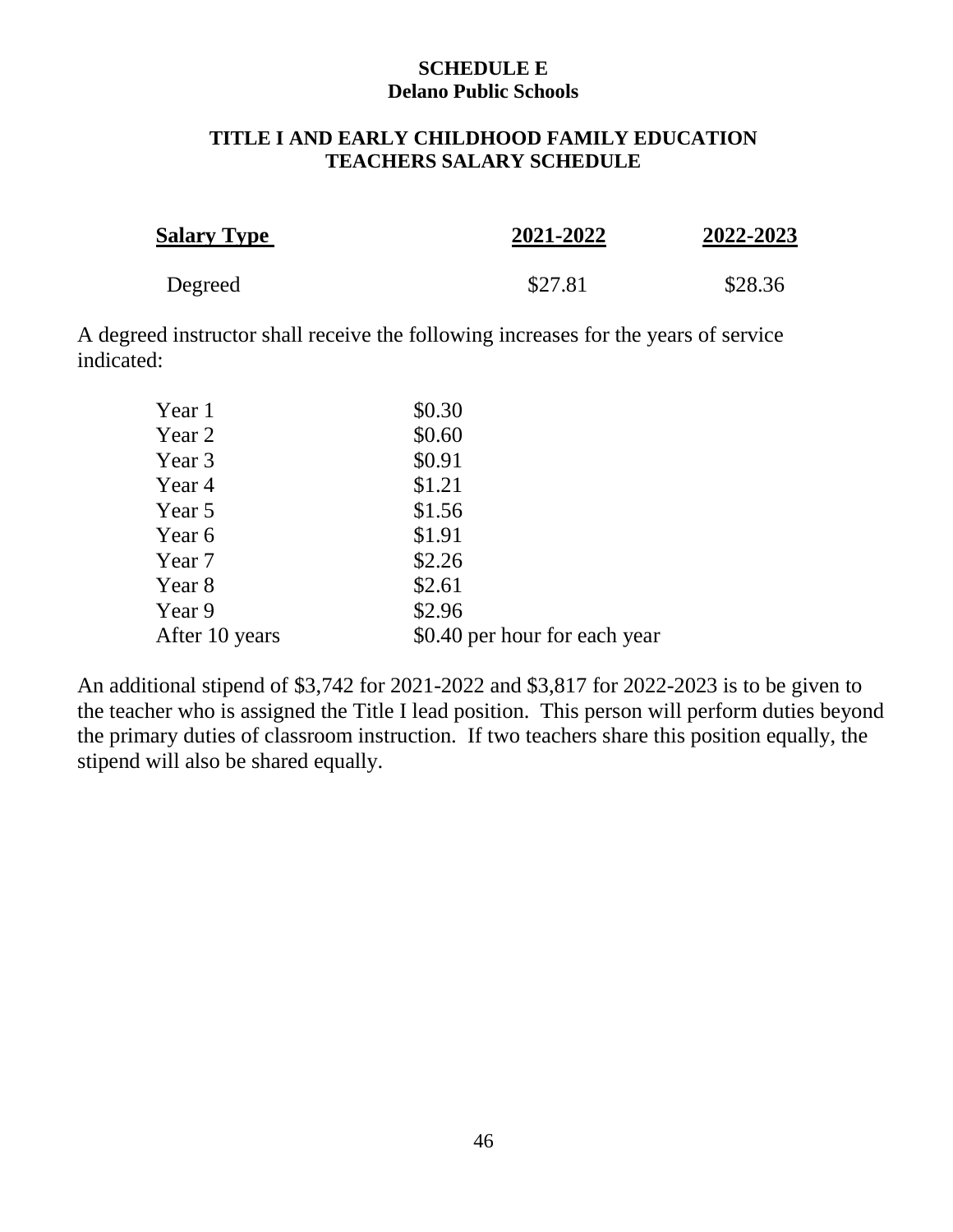#### **SCHEDULE E Delano Public Schools**

#### **TITLE I AND EARLY CHILDHOOD FAMILY EDUCATION TEACHERS SALARY SCHEDULE**

| <b>Salary Type</b> | 2021-2022 | 2022-2023 |
|--------------------|-----------|-----------|
| Degreed            | \$27.81   | \$28.36   |

A degreed instructor shall receive the following increases for the years of service indicated:

| Year 1         | \$0.30                        |
|----------------|-------------------------------|
| Year 2         | \$0.60                        |
| Year 3         | \$0.91                        |
| Year 4         | \$1.21                        |
| Year 5         | \$1.56                        |
| Year 6         | \$1.91                        |
| Year 7         | \$2.26                        |
| Year 8         | \$2.61                        |
| Year 9         | \$2.96                        |
| After 10 years | \$0.40 per hour for each year |

An additional stipend of \$3,742 for 2021-2022 and \$3,817 for 2022-2023 is to be given to the teacher who is assigned the Title I lead position. This person will perform duties beyond the primary duties of classroom instruction. If two teachers share this position equally, the stipend will also be shared equally.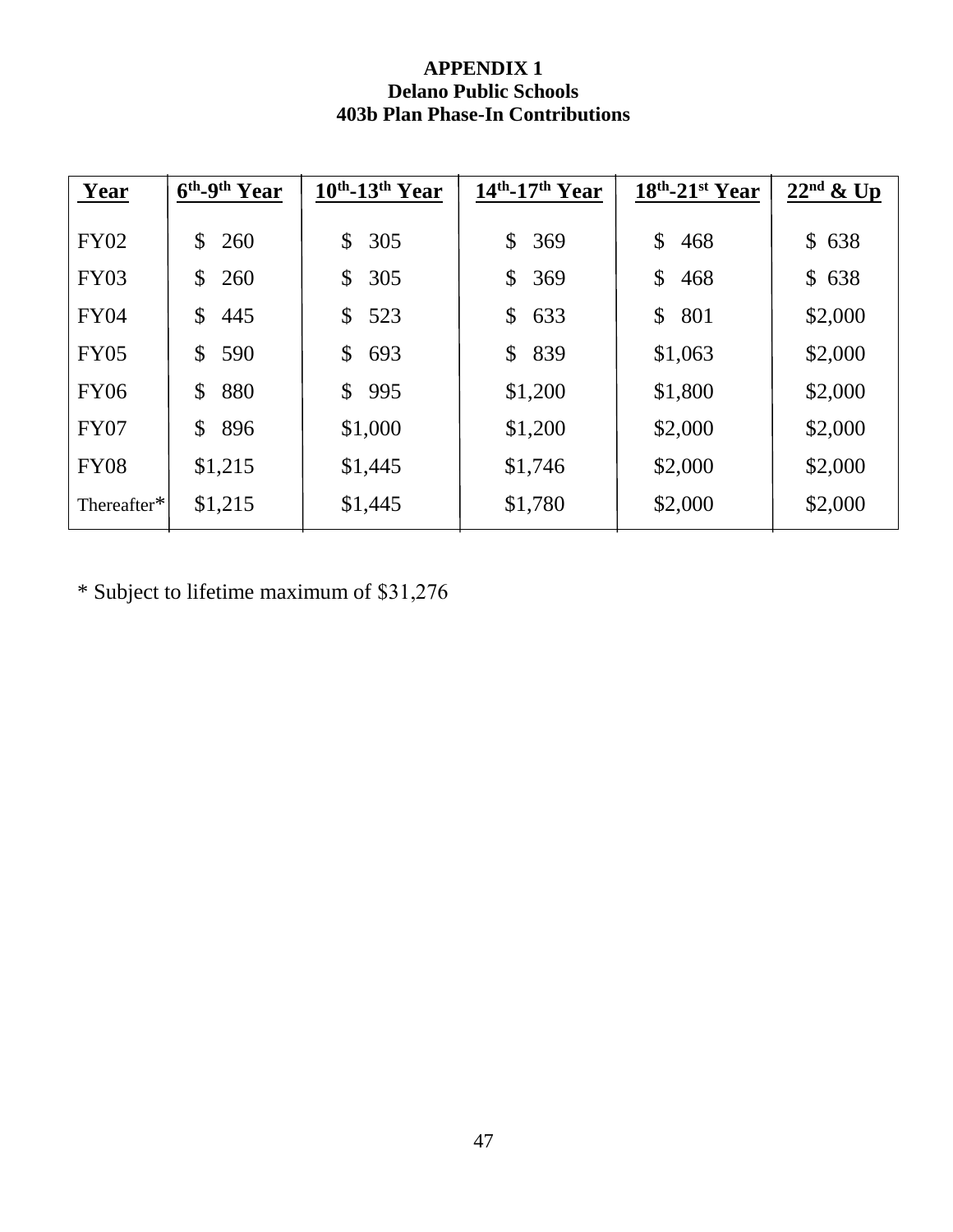#### **APPENDIX 1 Delano Public Schools 403b Plan Phase-In Contributions**

| Year        | $6th$ -9 <sup>th</sup> Year | $10th$ -13 <sup>th</sup> Year | $14th$ -17 <sup>th</sup> Year | $18th$ -21st Year | $22nd$ & Up |
|-------------|-----------------------------|-------------------------------|-------------------------------|-------------------|-------------|
| <b>FY02</b> | $\mathbb{S}$<br>260         | 305<br>$\mathbb{S}^-$         | \$<br>369                     | \$<br>468         | \$638       |
| <b>FY03</b> | \$<br>260                   | 305<br>$\mathbb{S}^-$         | $\mathbb{S}$<br>369           | \$<br>468         | \$638       |
| <b>FY04</b> | \$<br>445                   | 523<br>$\mathbb{S}^-$         | $\mathbb{S}$<br>633           | \$<br>801         | \$2,000     |
| <b>FY05</b> | \$<br>590                   | 693<br>$\mathbb{S}$           | \$<br>839                     | \$1,063           | \$2,000     |
| <b>FY06</b> | 880<br>\$                   | 995<br>$\mathbb{S}^-$         | \$1,200                       | \$1,800           | \$2,000     |
| <b>FY07</b> | \$<br>896                   | \$1,000                       | \$1,200                       | \$2,000           | \$2,000     |
| <b>FY08</b> | \$1,215                     | \$1,445                       | \$1,746                       | \$2,000           | \$2,000     |
| Thereafter* | \$1,215                     | \$1,445                       | \$1,780                       | \$2,000           | \$2,000     |

\* Subject to lifetime maximum of \$31,276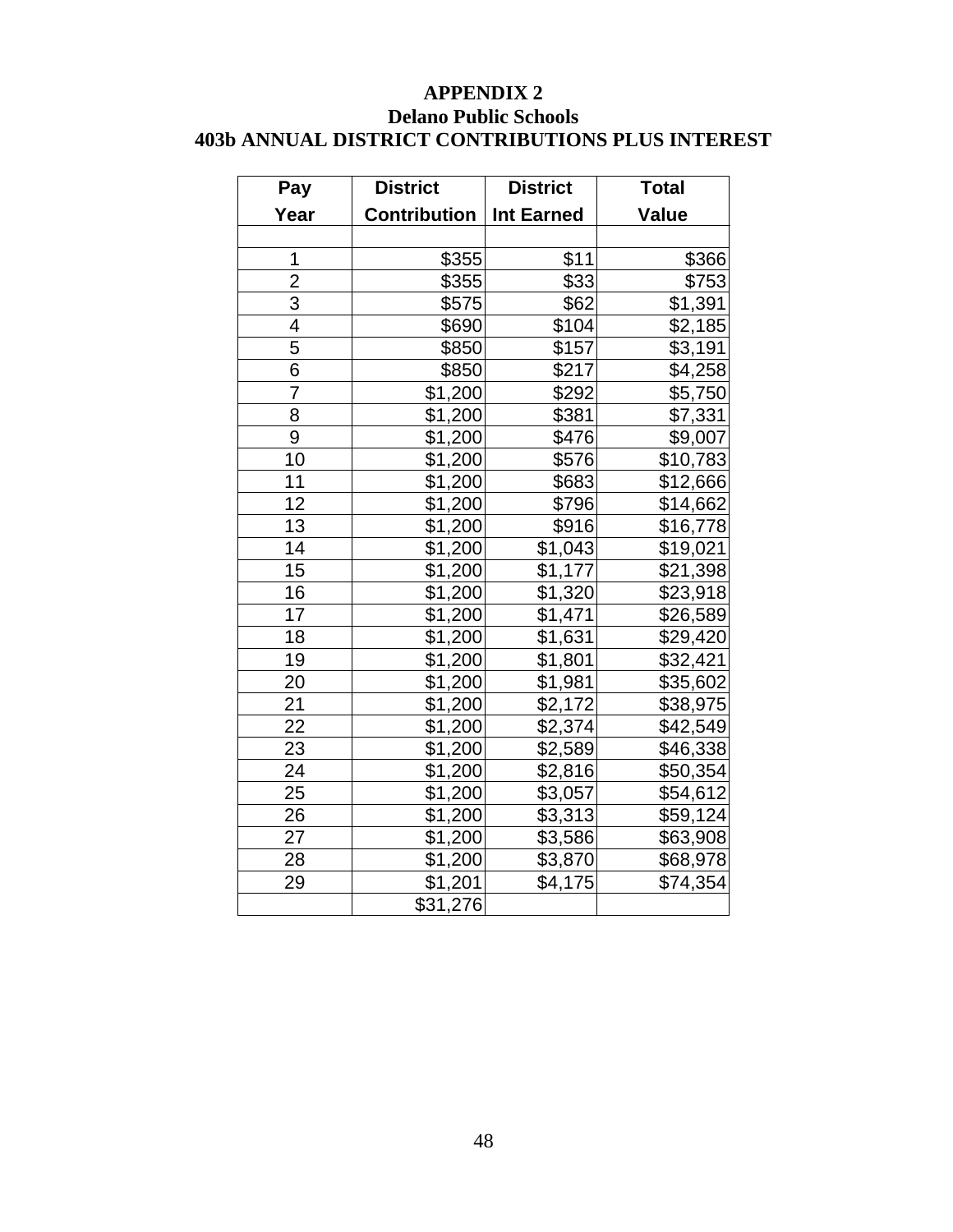#### **APPENDIX 2 Delano Public Schools 403b ANNUAL DISTRICT CONTRIBUTIONS PLUS INTEREST**

| Pay             | <b>District</b>     | <b>District</b>     | <b>Total</b>         |
|-----------------|---------------------|---------------------|----------------------|
| Year            | <b>Contribution</b> | <b>Int Earned</b>   | Value                |
|                 |                     |                     |                      |
| 1               | \$355               | \$11                | \$366                |
| $\overline{2}$  | \$355               | $\overline{$}33$    | \$753                |
| $\overline{3}$  | \$575               | \$62                | \$1,391              |
| $\overline{4}$  | \$690               | \$104               | $\overline{$2,185}$  |
| 5               | \$850               | \$157               | \$3,191              |
| 6               | \$850               | \$217               | \$4,258              |
| $\overline{7}$  | \$1,200             | \$292               | \$5,750              |
| 8               | \$1,200             | \$381               | \$7,331              |
| 9               | \$1,200             | \$476               | \$9,007              |
| 10              | \$1,200             | \$576               | \$10,783             |
| 11              | \$1,200             | \$683               | \$12,666             |
| 12              | \$1,200             | \$796               | \$14,662             |
| 13              | \$1,200             | \$916               | \$16,778             |
| 14              | \$1,200             | \$1,043             | \$19,021             |
| 15              | \$1,200             | \$1,177             | \$21,398             |
| 16              | \$1,200             | $\overline{$1,320}$ | $\overline{$}23,918$ |
| 17              | \$1,200             | \$1,471             | \$26,589             |
| 18              | \$1,200             | \$1,631             | \$29,420             |
| 19              | \$1,200             | \$1,801             | \$32,421             |
| 20              | \$1,200             | \$1,981             | \$35,602             |
| 21              | \$1,200             | \$2,172             | \$38,975             |
| $\overline{22}$ | \$1,200             | \$2,374             | \$42,549             |
| 23              | \$1,200             | \$2,589             | \$46,338             |
| 24              | \$1,200             | \$2,816             | \$50,354             |
| 25              | \$1,200             | \$3,057             | \$54,612             |
| 26              | \$1,200             | \$3,313             | \$59,124             |
| 27              | \$1,200             | \$3,586             | \$63,908             |
| 28              | $\sqrt{31,200}$     | \$3,870             | \$68,978             |
| 29              | \$1,201             | \$4,175             | \$74,354             |
|                 | \$31,276            |                     |                      |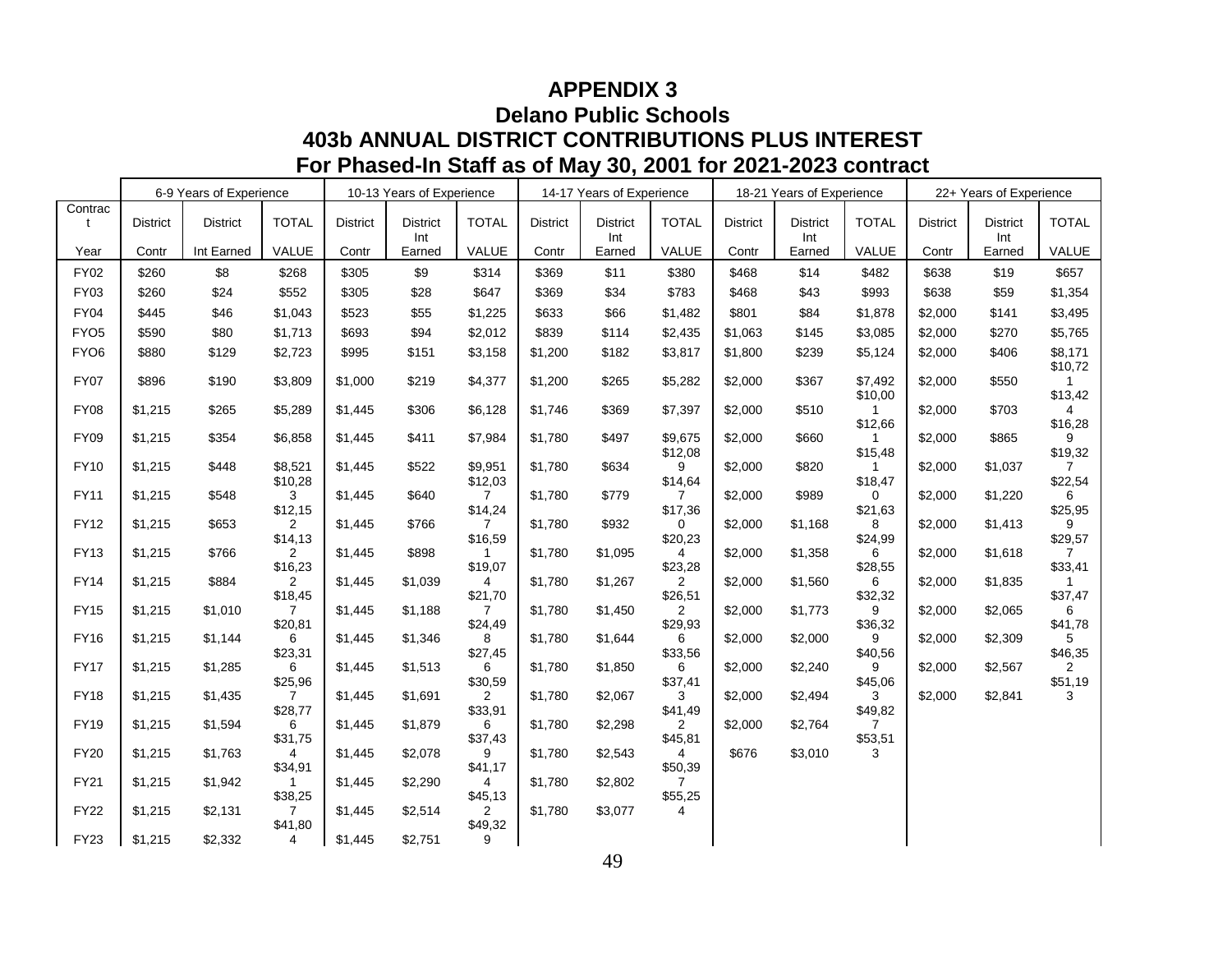# **APPENDIX 3 Delano Public Schools 403b ANNUAL DISTRICT CONTRIBUTIONS PLUS INTEREST For Phased-In Staff as of May 30, 2001 for 2021-2023 contract**

|                  |          | 6-9 Years of Experience |                           |                 | 10-13 Years of Experience |                           |                 | 14-17 Years of Experience |                           |                 | 18-21 Years of Experience |                           |                 | 22+ Years of Experience |                           |
|------------------|----------|-------------------------|---------------------------|-----------------|---------------------------|---------------------------|-----------------|---------------------------|---------------------------|-----------------|---------------------------|---------------------------|-----------------|-------------------------|---------------------------|
| Contrac<br>t     | District | <b>District</b>         | <b>TOTAL</b>              | <b>District</b> | <b>District</b><br>Int    | <b>TOTAL</b>              | <b>District</b> | <b>District</b><br>Int    | <b>TOTAL</b>              | <b>District</b> | <b>District</b><br>Int    | <b>TOTAL</b>              | <b>District</b> | <b>District</b><br>Int  | <b>TOTAL</b>              |
| Year             | Contr    | Int Earned              | VALUE                     | Contr           | Earned                    | VALUE                     | Contr           | Earned                    | VALUE                     | Contr           | Earned                    | VALUE                     | Contr           | Earned                  | VALUE                     |
| <b>FY02</b>      | \$260    | \$8                     | \$268                     | \$305           | \$9                       | \$314                     | \$369           | \$11                      | \$380                     | \$468           | \$14                      | \$482                     | \$638           | \$19                    | \$657                     |
| FY03             | \$260    | \$24                    | \$552                     | \$305           | \$28                      | \$647                     | \$369           | \$34                      | \$783                     | \$468           | \$43                      | \$993                     | \$638           | \$59                    | \$1,354                   |
| <b>FY04</b>      | \$445    | \$46                    | \$1,043                   | \$523           | \$55                      | \$1,225                   | \$633           | \$66                      | \$1,482                   | \$801           | \$84                      | \$1,878                   | \$2,000         | \$141                   | \$3,495                   |
| FYO <sub>5</sub> | \$590    | \$80                    | \$1,713                   | \$693           | \$94                      | \$2,012                   | \$839           | \$114                     | \$2,435                   | \$1,063         | \$145                     | \$3,085                   | \$2,000         | \$270                   | \$5,765                   |
| FYO <sub>6</sub> | \$880    | \$129                   | \$2,723                   | \$995           | \$151                     | \$3,158                   | \$1,200         | \$182                     | \$3,817                   | \$1,800         | \$239                     | \$5,124                   | \$2,000         | \$406                   | \$8,171<br>\$10,72        |
| <b>FY07</b>      | \$896    | \$190                   | \$3,809                   | \$1,000         | \$219                     | \$4,377                   | \$1,200         | \$265                     | \$5,282                   | \$2,000         | \$367                     | \$7,492<br>\$10,00        | \$2,000         | \$550                   | 1<br>\$13,42              |
| <b>FY08</b>      | \$1,215  | \$265                   | \$5,289                   | \$1,445         | \$306                     | \$6,128                   | \$1,746         | \$369                     | \$7,397                   | \$2,000         | \$510                     | $\mathbf{1}$<br>\$12,66   | \$2,000         | \$703                   | \$16,28                   |
| <b>FY09</b>      | \$1,215  | \$354                   | \$6,858                   | \$1,445         | \$411                     | \$7,984                   | \$1,780         | \$497                     | \$9,675<br>\$12,08        | \$2,000         | \$660                     | $\mathbf{1}$<br>\$15,48   | \$2,000         | \$865                   | 9<br>\$19,32              |
| <b>FY10</b>      | \$1,215  | \$448                   | \$8,521<br>\$10,28        | \$1,445         | \$522                     | \$9,951<br>\$12,03        | \$1,780         | \$634                     | 9<br>\$14,64              | \$2,000         | \$820                     | 1<br>\$18,47              | \$2,000         | \$1,037                 | $\overline{7}$<br>\$22,54 |
| <b>FY11</b>      | \$1,215  | \$548                   | 3<br>\$12,15              | \$1,445         | \$640                     | $7^{\circ}$<br>\$14,24    | \$1,780         | \$779                     | \$17,36                   | \$2,000         | \$989                     | 0<br>\$21,63              | \$2,000         | \$1,220                 | 6<br>\$25,95              |
| <b>FY12</b>      | \$1,215  | \$653                   | $\overline{2}$<br>\$14,13 | \$1,445         | \$766                     | $7^{\circ}$<br>\$16,59    | \$1,780         | \$932                     | $\Omega$<br>\$20,23       | \$2,000         | \$1,168                   | 8<br>\$24,99              | \$2,000         | \$1,413                 | 9<br>\$29,57              |
| <b>FY13</b>      | \$1,215  | \$766                   | 2<br>\$16,23              | \$1,445         | \$898                     | 1<br>\$19,07              | \$1,780         | \$1,095                   | 4<br>\$23,28              | \$2,000         | \$1,358                   | 6<br>\$28,55              | \$2,000         | \$1,618                 | 7<br>\$33,41              |
| <b>FY14</b>      | \$1,215  | \$884                   | $\overline{2}$<br>\$18,45 | \$1,445         | \$1,039                   | 4<br>\$21,70              | \$1,780         | \$1,267                   | 2<br>\$26,51              | \$2,000         | \$1,560                   | 6<br>\$32,32              | \$2,000         | \$1,835                 | \$37,47                   |
| <b>FY15</b>      | \$1,215  | \$1,010                 | $\overline{7}$<br>\$20,81 | \$1,445         | \$1,188                   | $\overline{7}$<br>\$24,49 | \$1,780         | \$1,450                   | $\overline{2}$<br>\$29,93 | \$2,000         | \$1,773                   | 9<br>\$36,32              | \$2,000         | \$2,065                 | 6<br>\$41,78              |
| <b>FY16</b>      | \$1,215  | \$1,144                 | 6<br>\$23,31              | \$1,445         | \$1,346                   | 8<br>\$27,45              | \$1,780         | \$1,644                   | 6<br>\$33,56              | \$2,000         | \$2,000                   | 9<br>\$40,56              | \$2,000         | \$2,309                 | 5<br>\$46,35              |
| <b>FY17</b>      | \$1,215  | \$1,285                 | 6<br>\$25,96              | \$1,445         | \$1,513                   | 6<br>\$30,59              | \$1,780         | \$1,850                   | 6<br>\$37,41              | \$2,000         | \$2,240                   | 9<br>\$45,06              | \$2,000         | \$2,567                 | $\overline{2}$<br>\$51,19 |
| <b>FY18</b>      | \$1,215  | \$1,435                 | $\overline{7}$<br>\$28,77 | \$1,445         | \$1,691                   | 2<br>\$33,91              | \$1,780         | \$2,067                   | 3<br>\$41,49              | \$2,000         | \$2,494                   | 3<br>\$49,82              | \$2,000         | \$2,841                 | 3                         |
| <b>FY19</b>      | \$1,215  | \$1,594                 | 6<br>\$31,75              | \$1,445         | \$1,879                   | 6<br>\$37,43              | \$1,780         | \$2,298                   | 2<br>\$45,81              | \$2,000         | \$2,764                   | $\overline{7}$<br>\$53,51 |                 |                         |                           |
| <b>FY20</b>      | \$1,215  | \$1,763                 | 4<br>\$34,91              | \$1,445         | \$2,078                   | 9<br>\$41,17              | \$1,780         | \$2,543                   | 4<br>\$50,39              | \$676           | \$3,010                   | 3                         |                 |                         |                           |
| <b>FY21</b>      | \$1,215  | \$1,942                 | \$38,25                   | \$1,445         | \$2,290                   | 4<br>\$45,13              | \$1,780         | \$2,802                   | \$55,25                   |                 |                           |                           |                 |                         |                           |
| <b>FY22</b>      | \$1,215  | \$2,131                 | $\overline{7}$<br>\$41,80 | \$1,445         | \$2,514                   | 2<br>\$49,32              | \$1,780         | \$3,077                   | 4                         |                 |                           |                           |                 |                         |                           |
| FY23             | \$1,215  | \$2,332                 | 4                         | \$1,445         | \$2,751                   | 9                         |                 |                           |                           |                 |                           |                           |                 |                         |                           |